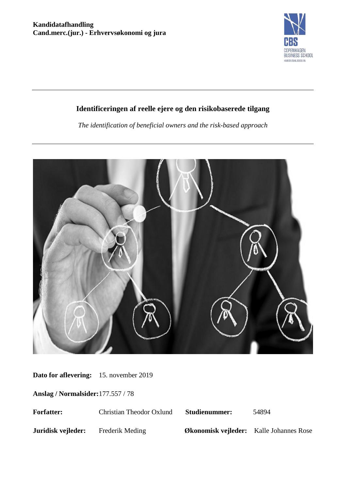

# **Identificeringen af reelle ejere og den risikobaserede tilgang**

*The identification of beneficial owners and the risk-based approach*



**Dato for aflevering:** 15. november 2019

**Anslag / Normalsider:**177.557 / 78

| <b>Forfatter:</b>  | Christian Theodor Oxlund | <b>Studienummer:</b>                           | 54894 |
|--------------------|--------------------------|------------------------------------------------|-------|
| Juridisk vejleder: | Frederik Meding          | <b>Økonomisk vejleder:</b> Kalle Johannes Rose |       |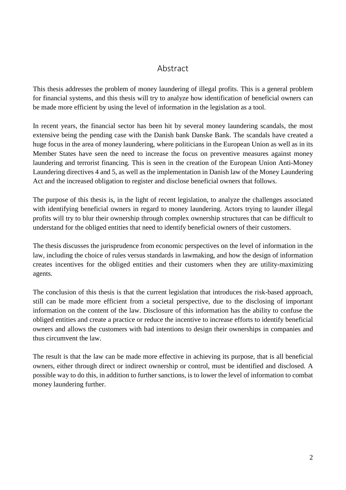## Abstract

This thesis addresses the problem of money laundering of illegal profits. This is a general problem for financial systems, and this thesis will try to analyze how identification of beneficial owners can be made more efficient by using the level of information in the legislation as a tool.

In recent years, the financial sector has been hit by several money laundering scandals, the most extensive being the pending case with the Danish bank Danske Bank. The scandals have created a huge focus in the area of money laundering, where politicians in the European Union as well as in its Member States have seen the need to increase the focus on preventive measures against money laundering and terrorist financing. This is seen in the creation of the European Union Anti-Money Laundering directives 4 and 5, as well as the implementation in Danish law of the Money Laundering Act and the increased obligation to register and disclose beneficial owners that follows.

The purpose of this thesis is, in the light of recent legislation, to analyze the challenges associated with identifying beneficial owners in regard to money laundering. Actors trying to launder illegal profits will try to blur their ownership through complex ownership structures that can be difficult to understand for the obliged entities that need to identify beneficial owners of their customers.

The thesis discusses the jurisprudence from economic perspectives on the level of information in the law, including the choice of rules versus standards in lawmaking, and how the design of information creates incentives for the obliged entities and their customers when they are utility-maximizing agents.

The conclusion of this thesis is that the current legislation that introduces the risk-based approach, still can be made more efficient from a societal perspective, due to the disclosing of important information on the content of the law. Disclosure of this information has the ability to confuse the obliged entities and create a practice or reduce the incentive to increase efforts to identify beneficial owners and allows the customers with bad intentions to design their ownerships in companies and thus circumvent the law.

The result is that the law can be made more effective in achieving its purpose, that is all beneficial owners, either through direct or indirect ownership or control, must be identified and disclosed. A possible way to do this, in addition to further sanctions, is to lower the level of information to combat money laundering further.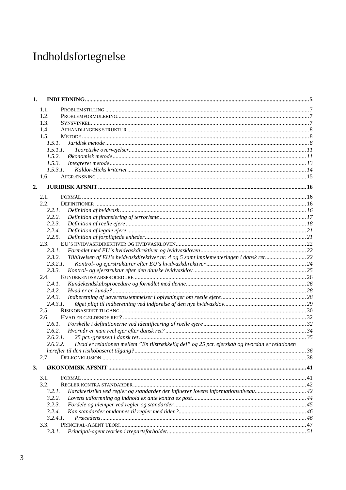# Indholdsfortegnelse

| 1. |                                                                                                           |    |
|----|-----------------------------------------------------------------------------------------------------------|----|
|    | 1.1.                                                                                                      |    |
|    | 1.2.                                                                                                      |    |
|    | 1.3.                                                                                                      |    |
|    | 1.4.                                                                                                      |    |
|    | 1.5.                                                                                                      |    |
|    | 1.5.1.                                                                                                    |    |
|    | 1.5.1.1.                                                                                                  |    |
|    | 1.5.2.                                                                                                    |    |
|    | 1.5.3.                                                                                                    |    |
|    | 1.5.3.1.                                                                                                  |    |
|    | 1.6.                                                                                                      |    |
| 2. |                                                                                                           |    |
|    | 2.1.                                                                                                      |    |
|    | 2.2.                                                                                                      |    |
|    | 2.2.1.                                                                                                    |    |
|    | 2.2.2.                                                                                                    |    |
|    | 2.2.3.                                                                                                    |    |
|    | 2.2.4.                                                                                                    |    |
|    | 2.2.5.                                                                                                    |    |
|    | 2.3.                                                                                                      |    |
|    | 2.3.1.                                                                                                    |    |
|    | Tilblivelsen af EU's hvidvaskdirektiver nr. 4 og 5 samt implementeringen i dansk ret22<br>2.3.2.          |    |
|    | 2.3.2.1.                                                                                                  |    |
|    | 2.3.3.                                                                                                    |    |
|    | 2.4.                                                                                                      |    |
|    | 2.4.1.                                                                                                    |    |
|    | 2.4.2.                                                                                                    |    |
|    | 2.4.3.                                                                                                    |    |
|    | 2.4.3.1.                                                                                                  |    |
|    | 2.5.                                                                                                      |    |
|    | 2.6.                                                                                                      |    |
|    | 2.6.1.                                                                                                    |    |
|    | 2.6.2.                                                                                                    |    |
|    | 2.6.2.1.                                                                                                  |    |
|    | Hvad er relationen mellem "En tilstrækkelig del" og 25 pct. ejerskab og hvordan er relationen<br>2.6.2.2. |    |
|    |                                                                                                           |    |
|    | 2.7.                                                                                                      | 38 |
| 3. |                                                                                                           |    |
|    | 3.1.                                                                                                      |    |
|    | 3.2.                                                                                                      |    |
|    | Karakteristika ved regler og standarder der influerer lovens informationsniveau 42<br>3.2.1.              |    |
|    | 3.2.2.                                                                                                    |    |
|    | 3.2.3.                                                                                                    |    |
|    | 3.2.4.                                                                                                    |    |
|    | 3.2.4.1.                                                                                                  |    |
|    | 3.3.                                                                                                      |    |
|    | 3.3.1.                                                                                                    |    |
|    |                                                                                                           |    |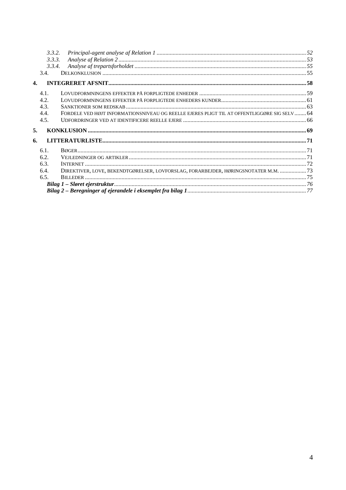|              | 3.3.2. |                                                                                             |  |
|--------------|--------|---------------------------------------------------------------------------------------------|--|
|              | 3.3.3. |                                                                                             |  |
|              | 3.3.4. |                                                                                             |  |
|              | 3.4.   |                                                                                             |  |
| $\mathbf{4}$ |        |                                                                                             |  |
|              | 4.1.   |                                                                                             |  |
|              | 4.2.   |                                                                                             |  |
|              | 4.3.   |                                                                                             |  |
|              | 4.4.   | FORDELE VED HØJT INFORMATIONSNIVEAU OG REELLE EJERES PLIGT TIL AT OFFENTLIGGØRE SIG SELV 64 |  |
|              | 4.5.   |                                                                                             |  |
| 5.           |        |                                                                                             |  |
| 6.           |        |                                                                                             |  |
|              | 6.1.   |                                                                                             |  |
|              | 6.2.   |                                                                                             |  |
|              | 6.3.   |                                                                                             |  |
|              | 6.4.   | DIREKTIVER, LOVE, BEKENDTGØRELSER, LOVFORSLAG, FORARBEJDER, HØRINGSNOTATER M.M.  73         |  |
|              | 6.5.   |                                                                                             |  |
|              |        |                                                                                             |  |
|              |        |                                                                                             |  |
|              |        |                                                                                             |  |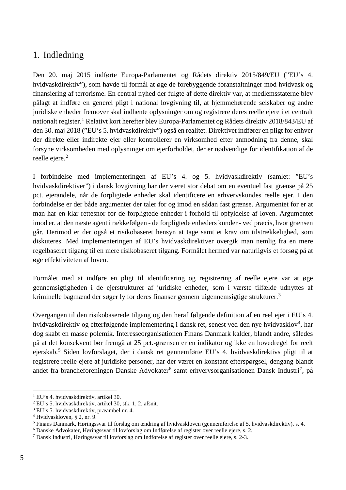# <span id="page-5-0"></span>1. Indledning

Den 20. maj 2015 indførte Europa-Parlamentet og Rådets direktiv 2015/849/EU ("EU's 4. hvidvaskdirektiv"), som havde til formål at øge de forebyggende foranstaltninger mod hvidvask og finansiering af terrorisme. En central nyhed der fulgte af dette direktiv var, at medlemsstaterne blev pålagt at indføre en generel pligt i national lovgivning til, at hjemmehørende selskaber og andre juridiske enheder fremover skal indhente oplysninger om og registrere deres reelle ejere i et centralt nationalt register.<sup>[1](#page-5-1)</sup> Relativt kort herefter blev Europa-Parlamentet og Rådets direktiv 2018/843/EU af den 30. maj 2018 ("EU's 5. hvidvaskdirektiv") også en realitet. Direktivet indfører en pligt for enhver der direkte eller indirekte ejer eller kontrollerer en virksomhed efter anmodning fra denne, skal forsyne virksomheden med oplysninger om ejerforholdet, der er nødvendige for identifikation af de reelle ejere.<sup>[2](#page-5-2)</sup>

I forbindelse med implementeringen af EU's 4. og 5. hvidvaskdirektiv (samlet: "EU's hvidvaskdirektiver") i dansk lovgivning har der været stor debat om en eventuel fast grænse på 25 pct. ejerandele, når de forpligtede enheder skal identificere en erhvervskundes reelle ejer. I den forbindelse er der både argumenter der taler for og imod en sådan fast grænse. Argumentet for er at man har en klar rettesnor for de forpligtede enheder i forhold til opfyldelse af loven. Argumentet imod er, at den næste agent i rækkefølgen - de forpligtede enheders kunder - ved præcis, hvor grænsen går. Derimod er der også et risikobaseret hensyn at tage samt et krav om tilstrækkelighed, som diskuteres. Med implementeringen af EU's hvidvaskdirektiver overgik man nemlig fra en mere regelbaseret tilgang til en mere risikobaseret tilgang. Formålet hermed var naturligvis et forsøg på at øge effektiviteten af loven.

Formålet med at indføre en pligt til identificering og registrering af reelle ejere var at øge gennemsigtigheden i de ejerstrukturer af juridiske enheder, som i værste tilfælde udnyttes af kriminelle bagmænd der søger ly for deres finanser gennem uigennemsigtige strukturer.<sup>[3](#page-5-3)</sup>

Overgangen til den risikobaserede tilgang og den heraf følgende definition af en reel ejer i EU's 4. hvidvaskdirektiv og efterfølgende implementering i dansk ret, senest ved den nye hvidvasklov<sup>[4](#page-5-4)</sup>, har dog skabt en masse polemik. Interesseorganisationen Finans Danmark kalder, blandt andre, således på at det konsekvent bør fremgå at 25 pct.-grænsen er en indikator og ikke en hovedregel for reelt ejerskab.[5](#page-5-5) Siden lovforslaget, der i dansk ret gennemførte EU's 4. hvidvaskdirektivs pligt til at registrere reelle ejere af juridiske personer, har der været en konstant efterspørgsel, dengang blandt andet fra brancheforeningen Danske Advokater<sup>[6](#page-5-6)</sup> samt erhvervsorganisationen Dansk Industri<sup>[7](#page-5-7)</sup>, på

 <sup>1</sup> EU's 4. hvidvaskdirektiv, artikel 30.

<span id="page-5-3"></span><span id="page-5-2"></span><span id="page-5-1"></span><sup>2</sup> EU's 5. hvidvaskdirektiv, artikel 30, stk. 1, 2. afsnit.

<sup>3</sup> EU's 5. hvidvaskdirektiv, præambel nr. 4.

<span id="page-5-4"></span><sup>4</sup> Hvidvaskloven, § 2, nr. 9.

<span id="page-5-5"></span><sup>5</sup> Finans Danmark, Høringssvar til forslag om ændring af hvidvaskloven (gennemførelse af 5. hvidvaskdirektiv), s. 4.

<span id="page-5-6"></span><sup>6</sup> Danske Advokater, Høringssvar til lovforslag om Indførelse af register over reelle ejere, s. 2.

<span id="page-5-7"></span><sup>7</sup> Dansk Industri, Høringssvar til lovforslag om Indførelse af register over reelle ejere, s. 2-3.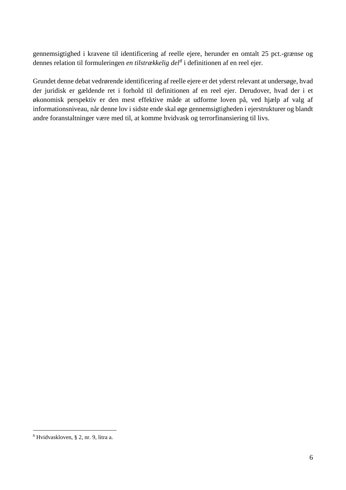gennemsigtighed i kravene til identificering af reelle ejere, herunder en omtalt 25 pct.-grænse og dennes relation til formuleringen *en tilstrækkelig del[8](#page-6-0)* i definitionen af en reel ejer.

Grundet denne debat vedrørende identificering af reelle ejere er det yderst relevant at undersøge, hvad der juridisk er gældende ret i forhold til definitionen af en reel ejer. Derudover, hvad der i et økonomisk perspektiv er den mest effektive måde at udforme loven på, ved hjælp af valg af informationsniveau, når denne lov i sidste ende skal øge gennemsigtigheden i ejerstrukturer og blandt andre foranstaltninger være med til, at komme hvidvask og terrorfinansiering til livs.

<span id="page-6-0"></span> <sup>8</sup> Hvidvaskloven, § 2, nr. 9, litra a.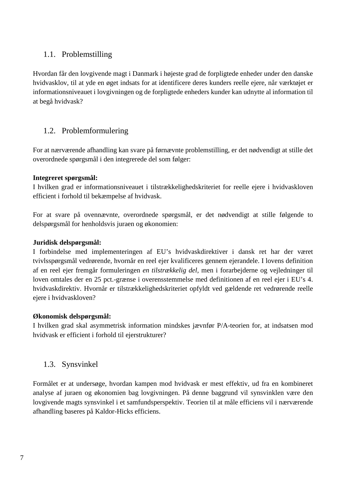## <span id="page-7-0"></span>1.1. Problemstilling

Hvordan får den lovgivende magt i Danmark i højeste grad de forpligtede enheder under den danske hvidvasklov, til at yde en øget indsats for at identificere deres kunders reelle ejere, når værktøjet er informationsniveauet i lovgivningen og de forpligtede enheders kunder kan udnytte al information til at begå hvidvask?

## <span id="page-7-1"></span>1.2. Problemformulering

For at nærværende afhandling kan svare på førnævnte problemstilling, er det nødvendigt at stille det overordnede spørgsmål i den integrerede del som følger:

## **Integreret spørgsmål:**

I hvilken grad er informationsniveauet i tilstrækkelighedskriteriet for reelle ejere i hvidvaskloven efficient i forhold til bekæmpelse af hvidvask.

For at svare på ovennævnte, overordnede spørgsmål, er det nødvendigt at stille følgende to delspørgsmål for henholdsvis juraen og økonomien:

## **Juridisk delspørgsmål:**

I forbindelse med implementeringen af EU's hvidvaskdirektiver i dansk ret har der været tvivlsspørgsmål vedrørende, hvornår en reel ejer kvalificeres gennem ejerandele. I lovens definition af en reel ejer fremgår formuleringen *en tilstrækkelig del,* men i forarbejderne og vejledninger til loven omtales der en 25 pct.-grænse i overensstemmelse med definitionen af en reel ejer i EU's 4. hvidvaskdirektiv. Hvornår er tilstrækkelighedskriteriet opfyldt ved gældende ret vedrørende reelle ejere i hvidvaskloven?

#### **Økonomisk delspørgsmål:**

I hvilken grad skal asymmetrisk information mindskes jævnfør P/A-teorien for, at indsatsen mod hvidvask er efficient i forhold til ejerstrukturer?

# <span id="page-7-2"></span>1.3. Synsvinkel

Formålet er at undersøge, hvordan kampen mod hvidvask er mest effektiv, ud fra en kombineret analyse af juraen og økonomien bag lovgivningen. På denne baggrund vil synsvinklen være den lovgivende magts synsvinkel i et samfundsperspektiv. Teorien til at måle efficiens vil i nærværende afhandling baseres på Kaldor-Hicks efficiens.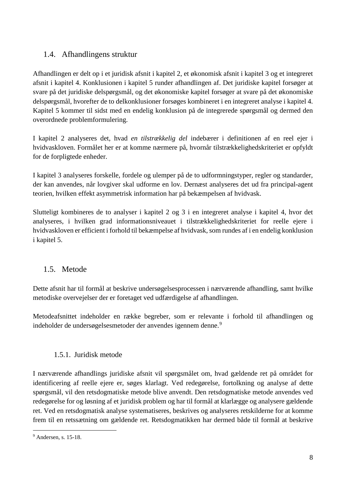## <span id="page-8-0"></span>1.4. Afhandlingens struktur

Afhandlingen er delt op i et juridisk afsnit i kapitel 2, et økonomisk afsnit i kapitel 3 og et integreret afsnit i kapitel 4. Konklusionen i kapitel 5 runder afhandlingen af. Det juridiske kapitel forsøger at svare på det juridiske delspørgsmål, og det økonomiske kapitel forsøger at svare på det økonomiske delspørgsmål, hvorefter de to delkonklusioner forsøges kombineret i en integreret analyse i kapitel 4. Kapitel 5 kommer til sidst med en endelig konklusion på de integrerede spørgsmål og dermed den overordnede problemformulering.

I kapitel 2 analyseres det, hvad *en tilstrækkelig del* indebærer i definitionen af en reel ejer i hvidvaskloven. Formålet her er at komme nærmere på, hvornår tilstrækkelighedskriteriet er opfyldt for de forpligtede enheder.

I kapitel 3 analyseres forskelle, fordele og ulemper på de to udformningstyper, regler og standarder, der kan anvendes, når lovgiver skal udforme en lov. Dernæst analyseres det ud fra principal-agent teorien, hvilken effekt asymmetrisk information har på bekæmpelsen af hvidvask.

Slutteligt kombineres de to analyser i kapitel 2 og 3 i en integreret analyse i kapitel 4, hvor det analyseres, i hvilken grad informationsniveauet i tilstrækkelighedskriteriet for reelle ejere i hvidvaskloven er efficient i forhold til bekæmpelse af hvidvask, som rundes af i en endelig konklusion i kapitel 5.

# <span id="page-8-1"></span>1.5. Metode

Dette afsnit har til formål at beskrive undersøgelsesprocessen i nærværende afhandling, samt hvilke metodiske overvejelser der er foretaget ved udfærdigelse af afhandlingen.

Metodeafsnittet indeholder en række begreber, som er relevante i forhold til afhandlingen og indeholder de undersøgelsesmetoder der anvendes igennem denne.<sup>[9](#page-8-3)</sup>

## 1.5.1. Juridisk metode

<span id="page-8-2"></span>I nærværende afhandlings juridiske afsnit vil spørgsmålet om, hvad gældende ret på området for identificering af reelle ejere er, søges klarlagt. Ved redegørelse, fortolkning og analyse af dette spørgsmål, vil den retsdogmatiske metode blive anvendt. Den retsdogmatiske metode anvendes ved redegørelse for og løsning af et juridisk problem og har til formål at klarlægge og analysere gældende ret. Ved en retsdogmatisk analyse systematiseres, beskrives og analyseres retskilderne for at komme frem til en retssætning om gældende ret. Retsdogmatikken har dermed både til formål at beskrive

<span id="page-8-3"></span> <sup>9</sup> Andersen, s. 15-18.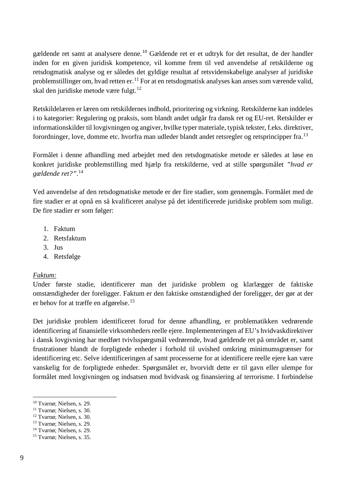gældende ret samt at analysere denne. [10](#page-9-0) Gældende ret er et udtryk for det resultat, de der handler inden for en given juridisk kompetence, vil komme frem til ved anvendelse af retskilderne og retsdogmatisk analyse og er således det gyldige resultat af retsvidenskabelige analyser af juridiske problemstillinger om, hvad retten er.<sup>[11](#page-9-1)</sup> For at en retsdogmatisk analyses kan anses som værende valid, skal den juridiske metode være fulgt.<sup>[12](#page-9-2)</sup>

Retskildelæren er læren om retskildernes indhold, prioritering og virkning. Retskilderne kan inddeles i to kategorier: Regulering og praksis, som blandt andet udgår fra dansk ret og EU-ret. Retskilder er informationskilder til lovgivningen og angiver, hvilke typer materiale, typisk tekster, f.eks. direktiver, forordninger, love, domme etc. hvorfra man udleder blandt andet retsregler og retsprincipper fra.[13](#page-9-3)

Formålet i denne afhandling med arbejdet med den retsdogmatiske metode er således at løse en konkret juridiske problemstilling med hjælp fra retskilderne, ved at stille spørgsmålet *"hvad er gældende ret?"*. [14](#page-9-4)

Ved anvendelse af den retsdogmatiske metode er der fire stadier, som gennemgås. Formålet med de fire stadier er at opnå en så kvalificeret analyse på det identificerede juridiske problem som muligt. De fire stadier er som følger:

- 1. Faktum
- 2. Retsfaktum
- 3. Jus
- 4. Retsfølge

#### *Faktum:*

Under første stadie, identificerer man det juridiske problem og klarlægger de faktiske omstændigheder der foreligger. Faktum er den faktiske omstændighed der foreligger, der gør at der er behov for at træffe en afgørelse.[15](#page-9-5)

Det juridiske problem identificeret forud for denne afhandling, er problematikken vedrørende identificering af finansielle virksomheders reelle ejere. Implementeringen af EU's hvidvaskdirektiver i dansk lovgivning har medført tvivlsspørgsmål vedrørende, hvad gældende ret på området er, samt frustrationer blandt de forpligtede enheder i forhold til uvished omkring minimumsgrænser for identificering etc. Selve identificeringen af samt processerne for at identificere reelle ejere kan være vanskelig for de forpligtede enheder. Spørgsmålet er, hvorvidt dette er til gavn eller ulempe for formålet med lovgivningen og indsatsen mod hvidvask og finansiering af terrorisme. I forbindelse

<span id="page-9-0"></span> <sup>10</sup> Tvarnø; Nielsen, s. 29.

<span id="page-9-1"></span><sup>11</sup> Tvarnø; Nielsen, s. 30.

<span id="page-9-2"></span><sup>12</sup> Tvarnø; Nielsen, s. 30.

<span id="page-9-3"></span><sup>13</sup> Tvarnø; Nielsen, s. 29.

<span id="page-9-4"></span><sup>14</sup> Tvarnø; Nielsen, s. 29.

<span id="page-9-5"></span><sup>15</sup> Tvarnø; Nielsen, s. 35.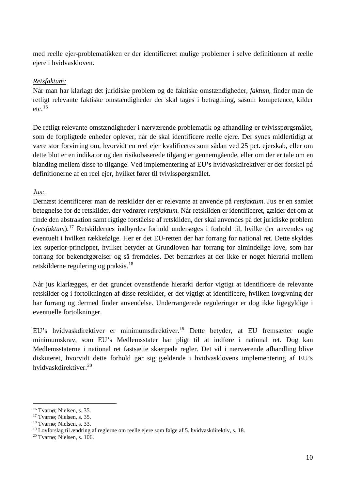med reelle ejer-problematikken er der identificeret mulige problemer i selve definitionen af reelle ejere i hvidvaskloven.

#### *Retsfaktum:*

Når man har klarlagt det juridiske problem og de faktiske omstændigheder, *faktum,* finder man de retligt relevante faktiske omstændigheder der skal tages i betragtning, såsom kompetence, kilder etc. $16$ 

De retligt relevante omstændigheder i nærværende problematik og afhandling er tvivlsspørgsmålet, som de forpligtede enheder oplever, når de skal identificere reelle ejere. Der synes midlertidigt at være stor forvirring om, hvorvidt en reel ejer kvalificeres som sådan ved 25 pct. ejerskab, eller om dette blot er en indikator og den risikobaserede tilgang er gennemgående, eller om der er tale om en blanding mellem disse to tilgange. Ved implementering af EU's hvidvaskdirektiver er der forskel på definitionerne af en reel ejer, hvilket fører til tvivlsspørgsmålet.

*Jus:*

Dernæst identificerer man de retskilder der er relevante at anvende på *retsfaktum*. Jus er en samlet betegnelse for de retskilder, der vedrører *retsfaktum.* Når retskilden er identificeret, gælder det om at finde den abstraktion samt rigtige forståelse af retskilden, der skal anvendes på det juridiske problem (*retsfaktum*).[17](#page-10-1) Retskildernes indbyrdes forhold undersøges i forhold til, hvilke der anvendes og eventuelt i hvilken rækkefølge. Her er det EU-retten der har forrang for national ret. Dette skyldes lex superior-princippet, hvilket betyder at Grundloven har forrang for almindelige love, som har forrang for bekendtgørelser og så fremdeles. Det bemærkes at der ikke er noget hierarki mellem retskilderne regulering og praksis.[18](#page-10-2)

Når jus klarlægges, er det grundet ovenstående hierarki derfor vigtigt at identificere de relevante retskilder og i fortolkningen af disse retskilder, er det vigtigt at identificere, hvilken lovgivning der har forrang og dermed finder anvendelse. Underrangerede reguleringer er dog ikke ligegyldige i eventuelle fortolkninger.

EU's hvidvaskdirektiver er minimumsdirektiver.[19](#page-10-3) Dette betyder, at EU fremsætter nogle minimumskrav, som EU's Medlemsstater har pligt til at indføre i national ret. Dog kan Medlemsstaterne i national ret fastsætte skærpede regler. Det vil i nærværende afhandling blive diskuteret, hvorvidt dette forhold gør sig gældende i hvidvasklovens implementering af EU's hvidvaskdirektiver.[20](#page-10-4)

<span id="page-10-0"></span> <sup>16</sup> Tvarnø; Nielsen, s. 35.

<span id="page-10-1"></span><sup>17</sup> Tvarnø; Nielsen, s. 35.

<span id="page-10-2"></span><sup>18</sup> Tvarnø; Nielsen, s. 33.

<span id="page-10-3"></span><sup>19</sup> Lovforslag til ændring af reglerne om reelle ejere som følge af 5. hvidvaskdirektiv, s. 18.

<span id="page-10-4"></span><sup>20</sup> Tvarnø; Nielsen, s. 106.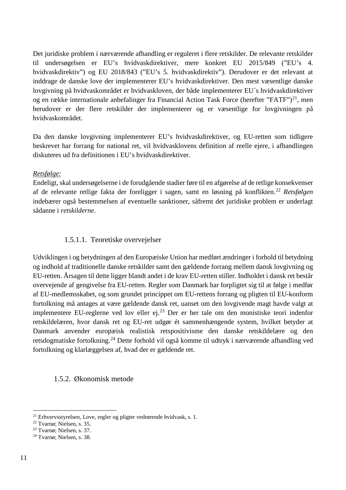Det juridiske problem i nærværende afhandling er reguleret i flere retskilder. De relevante retskilder til undersøgelsen er EU's hvidvaskdirektiver, mere konkret EU 2015/849 ("EU's 4. hvidvaskdirektiv") og EU 2018/843 ("EU's 5. hvidvaskdirektiv"). Derudover er det relevant at inddrage de danske love der implementerer EU's hvidvaskdirektiver. Den mest væsentlige danske lovgivning på hvidvaskområdet er hvidvaskloven, der både implementerer EU´s hvidvaskdirektiver og en række internationale anbefalinger fra Financial Action Task Force (herefter "FATF")<sup>[21](#page-11-2)</sup>, men herudover er der flere retskilder der implementerer og er væsentlige for lovgivningen på hvidvaskområdet.

Da den danske lovgivning implementerer EU's hvidvaskdirektiver, og EU-retten som tidligere beskrevet har forrang for national ret, vil hvidvasklovens definition af reelle ejere, i afhandlingen diskuteres ud fra definitionen i EU's hvidvaskdirektiver.

#### *Retsfølge:*

Endeligt, skal undersøgelserne i de forudgående stadier føre til en afgørelse af de retlige konsekvenser af de relevante retlige fakta der foreligger i sagen, samt en løsning på konflikten. [22](#page-11-3) *Retsfølgen* indebærer også bestemmelsen af eventuelle sanktioner, såfremt det juridiske problem er underlagt sådanne i *retskilderne*.

#### 1.5.1.1. Teoretiske overvejelser

<span id="page-11-0"></span>Udviklingen i og betydningen af den Europæiske Union har medført ændringer i forhold til betydning og indhold af traditionelle danske retskilder samt den gældende forrang mellem dansk lovgivning og EU-retten. Årsagen til dette ligger blandt andet i de krav EU-retten stiller. Indholdet i dansk ret består overvejende af gengivelse fra EU-retten. Regler som Danmark har forpligtet sig til at følge i medfør af EU-medlemsskabet, og som grundet princippet om EU-rettens forrang og pligten til EU-konform fortolkning må antages at være gældende dansk ret, uanset om den lovgivende magt havde valgt at implementere EU-reglerne ved lov eller ej. $^{23}$  $^{23}$  $^{23}$  Der er her tale om den monistiske teori indenfor retskildelæren, hvor dansk ret og EU-ret udgør ét sammenhængende system, hvilket betyder at Danmark anvender europæisk realistisk retspositivisme den danske retskildelære og den retsdogmatiske fortolkning.[24](#page-11-5) Dette forhold vil også komme til udtryk i nærværende afhandling ved fortolkning og klarlæggelsen af, hvad der er gældende ret.

#### <span id="page-11-1"></span>1.5.2. Økonomisk metode

<span id="page-11-2"></span> <sup>21</sup> Erhvervsstyrelsen, Love, regler og pligter vedrørende hvidvask, s. 1.

<span id="page-11-3"></span><sup>22</sup> Tvarnø; Nielsen, s. 35.

<span id="page-11-4"></span><sup>23</sup> Tvarnø; Nielsen, s. 37.

<span id="page-11-5"></span><sup>24</sup> Tvarnø; Nielsen, s. 38.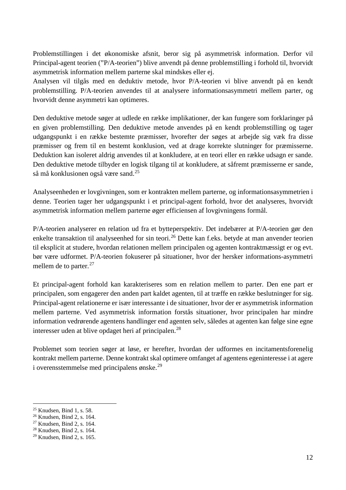Problemstillingen i det økonomiske afsnit, beror sig på asymmetrisk information. Derfor vil Principal-agent teorien ("P/A-teorien") blive anvendt på denne problemstilling i forhold til, hvorvidt asymmetrisk information mellem parterne skal mindskes eller ej.

Analysen vil tilgås med en deduktiv metode, hvor P/A-teorien vi blive anvendt på en kendt problemstilling. P/A-teorien anvendes til at analysere informationsasymmetri mellem parter, og hvorvidt denne asymmetri kan optimeres.

Den deduktive metode søger at udlede en række implikationer, der kan fungere som forklaringer på en given problemstilling. Den deduktive metode anvendes på en kendt problemstilling og tager udgangspunkt i en række bestemte præmisser, hvorefter der søges at arbejde sig væk fra disse præmisser og frem til en bestemt konklusion, ved at drage korrekte slutninger for præmisserne. Deduktion kan isoleret aldrig anvendes til at konkludere, at en teori eller en række udsagn er sande. Den deduktive metode tilbyder en logisk tilgang til at konkludere, at såfremt præmisserne er sande, så må konklusionen også være sand.[25](#page-12-0)

Analyseenheden er lovgivningen, som er kontrakten mellem parterne, og informationsasymmetrien i denne. Teorien tager her udgangspunkt i et principal-agent forhold, hvor det analyseres, hvorvidt asymmetrisk information mellem parterne øger efficiensen af lovgivningens formål.

P/A-teorien analyserer en relation ud fra et bytteperspektiv. Det indebærer at P/A-teorien gør den enkelte transaktion til analyseenhed for sin teori.[26](#page-12-1) Dette kan f.eks. betyde at man anvender teorien til eksplicit at studere, hvordan relationen mellem principalen og agenten kontraktmæssigt er og evt. bør være udformet. P/A-teorien fokuserer på situationer, hvor der hersker informations-asymmetri mellem de to parter. $27$ 

Et principal-agent forhold kan karakteriseres som en relation mellem to parter. Den ene part er principalen, som engagerer den anden part kaldet agenten, til at træffe en række beslutninger for sig. Principal-agent relationerne er især interessante i de situationer, hvor der er asymmetrisk information mellem parterne. Ved asymmetrisk information forstås situationer, hvor principalen har mindre information vedrørende agentens handlinger end agenten selv, således at agenten kan følge sine egne interesser uden at blive opdaget heri af principalen.<sup>[28](#page-12-3)</sup>

Problemet som teorien søger at løse, er herefter, hvordan der udformes en incitamentsforenelig kontrakt mellem parterne. Denne kontrakt skal optimere omfanget af agentens egeninteresse i at agere i overensstemmelse med principalens ønske.[29](#page-12-4)

<span id="page-12-0"></span> $25$  Knudsen, Bind 1, s. 58.

<span id="page-12-1"></span><sup>26</sup> Knudsen, Bind 2, s. 164.

<span id="page-12-2"></span><sup>27</sup> Knudsen, Bind 2, s. 164.

<span id="page-12-3"></span><sup>28</sup> Knudsen, Bind 2, s. 164.

<span id="page-12-4"></span><sup>29</sup> Knudsen, Bind 2, s. 165.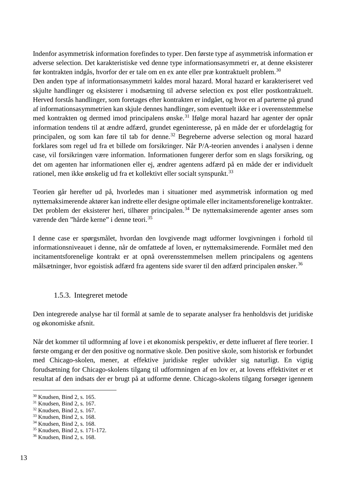Indenfor asymmetrisk information forefindes to typer. Den første type af asymmetrisk information er adverse selection. Det karakteristiske ved denne type informationsasymmetri er, at denne eksisterer før kontrakten indgås, hvorfor der er tale om en ex ante eller præ kontraktuelt problem.<sup>[30](#page-13-1)</sup>

Den anden type af informationsasymmetri kaldes moral hazard. Moral hazard er karakteriseret ved skjulte handlinger og eksisterer i modsætning til adverse selection ex post eller postkontraktuelt. Herved forstås handlinger, som foretages efter kontrakten er indgået, og hvor en af parterne på grund af informationsasymmetrien kan skjule dennes handlinger, som eventuelt ikke er i overensstemmelse med kontrakten og dermed imod principalens ønske.<sup>[31](#page-13-2)</sup> Ifølge moral hazard har agenter der opnår information tendens til at ændre adfærd, grundet egeninteresse, på en måde der er ufordelagtig for principalen, og som kan føre til tab for denne.[32](#page-13-3) Begreberne adverse selection og moral hazard forklares som regel ud fra et billede om forsikringer. Når P/A-teorien anvendes i analysen i denne case, vil forsikringen være information. Informationen fungerer derfor som en slags forsikring, og det om agenten har informationen eller ej, ændrer agentens adfærd på en måde der er individuelt rationel, men ikke ønskelig ud fra et kollektivt eller socialt synspunkt.<sup>[33](#page-13-4)</sup>

Teorien går herefter ud på, hvorledes man i situationer med asymmetrisk information og med nyttemaksimerende aktører kan indrette eller designe optimale eller incitamentsforenelige kontrakter. Det problem der eksisterer heri, tilhører principalen.<sup>[34](#page-13-5)</sup> De nyttemaksimerende agenter anses som værende den "hårde kerne" i denne teori.[35](#page-13-6)

I denne case er spørgsmålet, hvordan den lovgivende magt udformer lovgivningen i forhold til informationsniveauet i denne, når de omfattede af loven, er nyttemaksimerende. Formålet med den incitamentsforenelige kontrakt er at opnå overensstemmelsen mellem principalens og agentens målsætninger, hvor egoistisk adfærd fra agentens side svarer til den adfærd principalen ønsker.<sup>[36](#page-13-7)</sup>

#### 1.5.3. Integreret metode

<span id="page-13-0"></span>Den integrerede analyse har til formål at samle de to separate analyser fra henholdsvis det juridiske og økonomiske afsnit.

Når det kommer til udformning af love i et økonomisk perspektiv, er dette influeret af flere teorier. I første omgang er der den positive og normative skole. Den positive skole, som historisk er forbundet med Chicago-skolen, mener, at effektive juridiske regler udvikler sig naturligt. En vigtig forudsætning for Chicago-skolens tilgang til udformningen af en lov er, at lovens effektivitet er et resultat af den indsats der er brugt på at udforme denne. Chicago-skolens tilgang forsøger igennem

<span id="page-13-1"></span> <sup>30</sup> Knudsen, Bind 2, s. 165.

<span id="page-13-2"></span><sup>31</sup> Knudsen, Bind 2, s. 167.

<span id="page-13-3"></span><sup>32</sup> Knudsen, Bind 2, s. 167.

<span id="page-13-4"></span><sup>33</sup> Knudsen, Bind 2, s. 168.

<span id="page-13-5"></span><sup>34</sup> Knudsen, Bind 2, s. 168.

<span id="page-13-6"></span><sup>35</sup> Knudsen, Bind 2, s. 171-172.

<span id="page-13-7"></span><sup>36</sup> Knudsen, Bind 2, s. 168.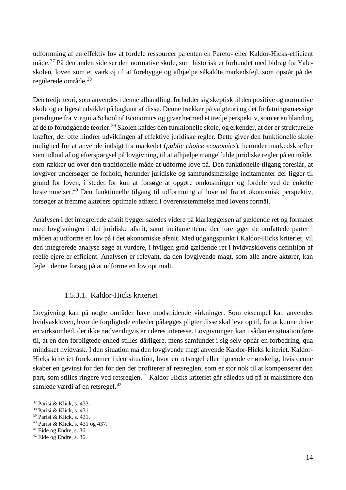udformning af en effektiv lov at fordele ressourcer på enten en Pareto- eller Kaldor-Hicks-efficient måde.[37](#page-14-1) På den anden side ser den normative skole, som historisk er forbundet med bidrag fra Yaleskolen, loven som et værktøj til at forebygge og afhjælpe såkaldte markedsfejl, som opstår på det regulerede område. [38](#page-14-2)

Den tredje teori, som anvendes i denne afhandling, forholder sig skeptisk til den positive og normative skole og er ligeså udviklet på bagkant af disse. Denne trækker på valgteori og det forfatningsmæssige paradigme fra Virginia School of Economics og giver hermed et tredje perspektiv, som er en blanding af de to forudgående teorier. [39](#page-14-3) Skolen kaldes den funktionelle skole, og erkender, at der er strukturelle kræfter, der ofte hindrer udviklingen af effektive juridiske regler. Dette giver den funktionelle skole mulighed for at anvende indsigt fra markedet (*public choice economics*), herunder markedskræfter som udbud af og efterspørgsel på lovgivning, til at afhjælpe mangelfulde juridiske regler på en måde, som rækker ud over den traditionelle måde at udforme love på. Den funktionelle tilgang foreslår, at lovgiver undersøger de forhold, herunder juridiske og samfundsmæssige incitamenter der ligger til grund for loven, i stedet for kun at forsøge at opgøre omkostninger og fordele ved de enkelte bestemmelser. [40](#page-14-4) Den funktionelle tilgang til udformning af love ud fra et økonomisk perspektiv, forsøger at fremme aktørers optimale adfærd i overensstemmelse med lovens formål.

Analysen i det integrerede afsnit bygger således videre på klarlæggelsen af gældende ret og formålet med lovgivningen i det juridiske afsnit, samt incitamenterne der foreligger de omfattede parter i måden at udforme en lov på i det økonomiske afsnit. Med udgangspunkt i Kaldor-Hicks kriteriet, vil den integrerede analyse søge at vurdere, i hvilgen grad gældende ret i hvidvasklovens definition af reelle ejere er efficient. Analysen er relevant, da den lovgivende magt, som alle andre aktører, kan fejle i denne forsøg på at udforme en lov optimalt.

#### 1.5.3.1. Kaldor-Hicks kriteriet

<span id="page-14-0"></span>Lovgivning kan på nogle områder have modstridende virkninger. Som eksempel kan anvendes hvidvaskloven, hvor de forpligtede enheder pålægges pligter disse skal leve op til, for at kunne drive en virksomhed, der ikke nødvendigvis er i deres interesse. Lovgivningen kan i sådan en situation føre til, at en den forpligtede enhed stilles dårligere, mens samfundet i sig selv opnår en forbedring, qua mindsket hvidvask. I den situation må den lovgivende magt anvende Kaldor-Hicks kriteriet. Kaldor-Hicks kriteriet forekommer i den situation, hvor en retsregel eller lignende er ønskelig, hvis denne skaber en gevinst for den for den der profiterer af retsreglen, som er stor nok til at kompenserer den part, som stilles ringere ved retsreglen.[41](#page-14-5) Kaldor-Hicks kriteriet går således ud på at maksimere den samlede værdi af en retsregel.<sup>[42](#page-14-6)</sup>

<span id="page-14-1"></span> <sup>37</sup> Parisi & Klick, s. 433.

<span id="page-14-2"></span><sup>38</sup> Parisi & Klick, s. 431.

<span id="page-14-3"></span><sup>39</sup> Parisi & Klick, s. 431.

<span id="page-14-4"></span><sup>40</sup> Parisi & Klick, s. 431 og 437.

<span id="page-14-5"></span><sup>41</sup> Eide og Endre, s. 36.

<span id="page-14-6"></span><sup>42</sup> Eide og Endre, s. 36.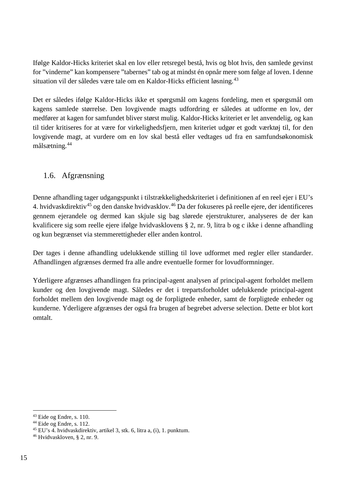Ifølge Kaldor-Hicks kriteriet skal en lov eller retsregel bestå, hvis og blot hvis, den samlede gevinst for "vinderne" kan kompensere "tabernes" tab og at mindst én opnår mere som følge af loven. I denne situation vil der således være tale om en Kaldor-Hicks efficient løsning.<sup>[43](#page-15-1)</sup>

Det er således ifølge Kaldor-Hicks ikke et spørgsmål om kagens fordeling, men et spørgsmål om kagens samlede størrelse. Den lovgivende magts udfordring er således at udforme en lov, der medfører at kagen for samfundet bliver størst mulig. Kaldor-Hicks kriteriet er let anvendelig, og kan til tider kritiseres for at være for virkelighedsfjern, men kriteriet udgør et godt værktøj til, for den lovgivende magt, at vurdere om en lov skal bestå eller vedtages ud fra en samfundsøkonomisk målsætning.[44](#page-15-2)

## <span id="page-15-0"></span>1.6. Afgrænsning

Denne afhandling tager udgangspunkt i tilstrækkelighedskriteriet i definitionen af en reel ejer i EU's 4. hvidvaskdirektiv<sup>[45](#page-15-3)</sup> og den danske hvidvasklov.<sup>[46](#page-15-4)</sup> Da der fokuseres på reelle ejere, der identificeres gennem ejerandele og dermed kan skjule sig bag slørede ejerstrukturer, analyseres de der kan kvalificere sig som reelle ejere ifølge hvidvasklovens § 2, nr. 9, litra b og c ikke i denne afhandling og kun begrænset via stemmerettigheder eller anden kontrol.

Der tages i denne afhandling udelukkende stilling til love udformet med regler eller standarder. Afhandlingen afgrænses dermed fra alle andre eventuelle former for lovudformninger.

Yderligere afgrænses afhandlingen fra principal-agent analysen af principal-agent forholdet mellem kunder og den lovgivende magt. Således er det i trepartsforholdet udelukkende principal-agent forholdet mellem den lovgivende magt og de forpligtede enheder, samt de forpligtede enheder og kunderne. Yderligere afgrænses der også fra brugen af begrebet adverse selection. Dette er blot kort omtalt.

<span id="page-15-1"></span> <sup>43</sup> Eide og Endre, s. 110.

<span id="page-15-2"></span><sup>44</sup> Eide og Endre, s. 112.

<span id="page-15-3"></span><sup>45</sup> EU's 4. hvidvaskdirektiv, artikel 3, stk. 6, litra a, (i), 1. punktum.

<span id="page-15-4"></span><sup>46</sup> Hvidvaskloven, § 2, nr. 9.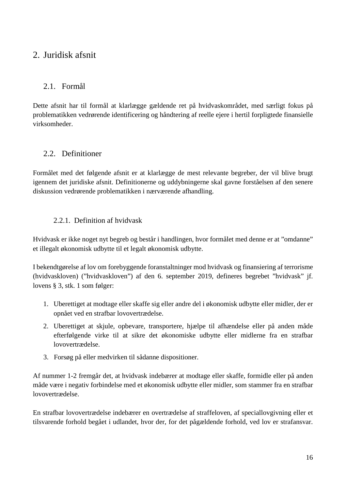# <span id="page-16-0"></span>2. Juridisk afsnit

## <span id="page-16-1"></span>2.1. Formål

Dette afsnit har til formål at klarlægge gældende ret på hvidvaskområdet, med særligt fokus på problematikken vedrørende identificering og håndtering af reelle ejere i hertil forpligtede finansielle virksomheder.

## <span id="page-16-2"></span>2.2. Definitioner

Formålet med det følgende afsnit er at klarlægge de mest relevante begreber, der vil blive brugt igennem det juridiske afsnit. Definitionerne og uddybningerne skal gavne forståelsen af den senere diskussion vedrørende problematikken i nærværende afhandling.

#### 2.2.1. Definition af hvidvask

<span id="page-16-3"></span>Hvidvask er ikke noget nyt begreb og består i handlingen, hvor formålet med denne er at "omdanne" et illegalt økonomisk udbytte til et legalt økonomisk udbytte.

I bekendtgørelse af lov om forebyggende foranstaltninger mod hvidvask og finansiering af terrorisme (hvidvaskloven) ("hvidvaskloven") af den 6. september 2019, defineres begrebet "hvidvask" jf. lovens § 3, stk. 1 som følger:

- 1. Uberettiget at modtage eller skaffe sig eller andre del i økonomisk udbytte eller midler, der er opnået ved en strafbar lovovertrædelse.
- 2. Uberettiget at skjule, opbevare, transportere, hjælpe til afhændelse eller på anden måde efterfølgende virke til at sikre det økonomiske udbytte eller midlerne fra en strafbar lovovertrædelse.
- 3. Forsøg på eller medvirken til sådanne dispositioner.

Af nummer 1-2 fremgår det, at hvidvask indebærer at modtage eller skaffe, formidle eller på anden måde være i negativ forbindelse med et økonomisk udbytte eller midler, som stammer fra en strafbar lovovertrædelse.

En strafbar lovovertrædelse indebærer en overtrædelse af straffeloven, af speciallovgivning eller et tilsvarende forhold begået i udlandet, hvor der, for det pågældende forhold, ved lov er strafansvar.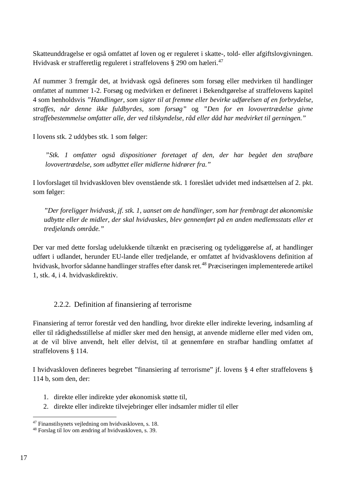Skatteunddragelse er også omfattet af loven og er reguleret i skatte-, told- eller afgiftslovgivningen. Hvidvask er strafferetlig reguleret i straffelovens § 290 om hæleri.<sup>[47](#page-17-1)</sup>

Af nummer 3 fremgår det, at hvidvask også defineres som forsøg eller medvirken til handlinger omfattet af nummer 1-2. Forsøg og medvirken er defineret i Bekendtgørelse af straffelovens kapitel 4 som henholdsvis *"Handlinger, som sigter til at fremme eller bevirke udførelsen af en forbrydelse, straffes, når denne ikke fuldbyrdes, som forsøg"* og *"Den for en lovovertrædelse givne straffebestemmelse omfatter alle, der ved tilskyndelse, råd eller dåd har medvirket til gerningen."*

I lovens stk. 2 uddybes stk. 1 som følger:

*"Stk. 1 omfatter også dispositioner foretaget af den, der har begået den strafbare lovovertrædelse, som udbyttet eller midlerne hidrører fra."* 

I lovforslaget til hvidvaskloven blev ovenstående stk. 1 foreslået udvidet med indsættelsen af 2. pkt. som følger:

*"Der foreligger hvidvask, jf. stk. 1, uanset om de handlinger, som har frembragt det økonomiske udbytte eller de midler, der skal hvidvaskes, blev gennemført på en anden medlemsstats eller et tredjelands område."*

Der var med dette forslag udelukkende tiltænkt en præcisering og tydeliggørelse af, at handlinger udført i udlandet, herunder EU-lande eller tredjelande, er omfattet af hvidvasklovens definition af hvidvask, hvorfor sådanne handlinger straffes efter dansk ret.<sup>[48](#page-17-2)</sup> Præciseringen implementerede artikel 1, stk. 4, i 4. hvidvaskdirektiv.

#### 2.2.2. Definition af finansiering af terrorisme

<span id="page-17-0"></span>Finansiering af terror forestår ved den handling, hvor direkte eller indirekte levering, indsamling af eller til rådighedsstillelse af midler sker med den hensigt, at anvende midlerne eller med viden om, at de vil blive anvendt, helt eller delvist, til at gennemføre en strafbar handling omfattet af straffelovens § 114.

I hvidvaskloven defineres begrebet "finansiering af terrorisme" jf. lovens § 4 efter straffelovens § 114 b, som den, der:

- 1. direkte eller indirekte yder økonomisk støtte til,
- 2. direkte eller indirekte tilvejebringer eller indsamler midler til eller

<span id="page-17-1"></span> <sup>47</sup> Finanstilsynets vejledning om hvidvaskloven, s. 18.

<span id="page-17-2"></span><sup>48</sup> Forslag til lov om ændring af hvidvaskloven, s. 39.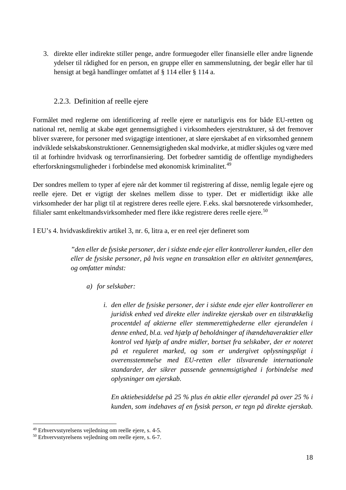3. direkte eller indirekte stiller penge, andre formuegoder eller finansielle eller andre lignende ydelser til rådighed for en person, en gruppe eller en sammenslutning, der begår eller har til hensigt at begå handlinger omfattet af § 114 eller § 114 a.

#### 2.2.3. Definition af reelle ejere

<span id="page-18-0"></span>Formålet med reglerne om identificering af reelle ejere er naturligvis ens for både EU-retten og national ret, nemlig at skabe øget gennemsigtighed i virksomheders ejerstrukturer, så det fremover bliver sværere, for personer med svigagtige intentioner, at sløre ejerskabet af en virksomhed gennem indviklede selskabskonstruktioner. Gennemsigtigheden skal modvirke, at midler skjules og være med til at forhindre hvidvask og terrorfinansiering. Det forbedrer samtidig de offentlige myndigheders efterforskningsmuligheder i forbindelse med økonomisk kriminalitet.[49](#page-18-1)

Der sondres mellem to typer af ejere når det kommer til registrering af disse, nemlig legale ejere og reelle ejere. Det er vigtigt der skelnes mellem disse to typer. Det er midlertidigt ikke alle virksomheder der har pligt til at registrere deres reelle ejere. F.eks. skal børsnoterede virksomheder, filialer samt enkeltmandsvirksomheder med flere ikke registrere deres reelle ejere.<sup>[50](#page-18-2)</sup>

I EU's 4. hvidvaskdirektiv artikel 3, nr. 6, litra a, er en reel ejer defineret som

*"den eller de fysiske personer, der i sidste ende ejer eller kontrollerer kunden, eller den eller de fysiske personer, på hvis vegne en transaktion eller en aktivitet gennemføres, og omfatter mindst:* 

- *a) for selskaber:* 
	- *i. den eller de fysiske personer, der i sidste ende ejer eller kontrollerer en juridisk enhed ved direkte eller indirekte ejerskab over en tilstrækkelig procentdel af aktierne eller stemmerettighederne eller ejerandelen i denne enhed, bl.a. ved hjælp af beholdninger af ihændehaveraktier eller kontrol ved hjælp af andre midler, bortset fra selskaber, der er noteret på et reguleret marked, og som er undergivet oplysningspligt i overensstemmelse med EU-retten eller tilsvarende internationale standarder, der sikrer passende gennemsigtighed i forbindelse med oplysninger om ejerskab.*

*En aktiebesiddelse på 25 % plus én aktie eller ejerandel på over 25 % i kunden, som indehaves af en fysisk person, er tegn på direkte ejerskab.* 

<span id="page-18-1"></span> <sup>49</sup> Erhvervsstyrelsens vejledning om reelle ejere, s. 4-5.

<span id="page-18-2"></span><sup>50</sup> Erhvervsstyrelsens vejledning om reelle ejere, s. 6-7.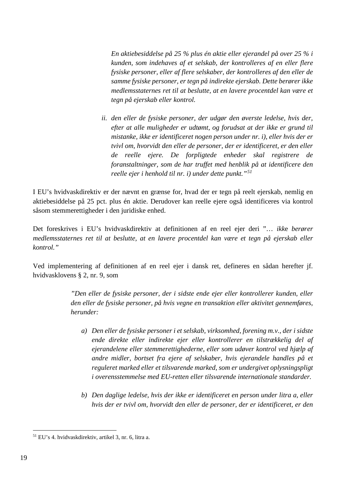*En aktiebesiddelse på 25 % plus én aktie eller ejerandel på over 25 % i kunden, som indehaves af et selskab, der kontrolleres af en eller flere fysiske personer, eller af flere selskaber, der kontrolleres af den eller de samme fysiske personer, er tegn på indirekte ejerskab. Dette berører ikke medlemsstaternes ret til at beslutte, at en lavere procentdel kan være et tegn på ejerskab eller kontrol.* 

*ii. den eller de fysiske personer, der udgør den øverste ledelse, hvis der, efter at alle muligheder er udtømt, og forudsat at der ikke er grund til mistanke, ikke er identificeret nogen person under nr. i), eller hvis der er tvivl om, hvorvidt den eller de personer, der er identificeret, er den eller de reelle ejere. De forpligtede enheder skal registrere de foranstaltninger, som de har truffet med henblik på at identificere den reelle ejer i henhold til nr. i) under dette punkt."[51](#page-19-0)*

I EU's hvidvaskdirektiv er der nævnt en grænse for, hvad der er tegn på reelt ejerskab, nemlig en aktiebesiddelse på 25 pct. plus én aktie. Derudover kan reelle ejere også identificeres via kontrol såsom stemmerettigheder i den juridiske enhed.

Det foreskrives i EU's hvidvaskdirektiv at definitionen af en reel ejer deri "… *ikk*e *berører medlemsstaternes ret til at beslutte, at en lavere procentdel kan være et tegn på ejerskab eller kontrol."*

Ved implementering af definitionen af en reel ejer i dansk ret, defineres en sådan herefter jf. hvidvasklovens § 2, nr. 9, som

> *"Den eller de fysiske personer, der i sidste ende ejer eller kontrollerer kunden, eller den eller de fysiske personer, på hvis vegne en transaktion eller aktivitet gennemføres, herunder:*

- *a) Den eller de fysiske personer i et selskab, virksomhed, forening m.v., der i sidste ende direkte eller indirekte ejer eller kontrollerer en tilstrækkelig del af ejerandelene eller stemmerettighederne, eller som udøver kontrol ved hjælp af andre midler, bortset fra ejere af selskaber, hvis ejerandele handles på et reguleret marked eller et tilsvarende marked, som er undergivet oplysningspligt i overensstemmelse med EU-retten eller tilsvarende internationale standarder.*
- *b) Den daglige ledelse, hvis der ikke er identificeret en person under litra a, eller hvis der er tvivl om, hvorvidt den eller de personer, der er identificeret, er den*

<span id="page-19-0"></span> <sup>51</sup> EU's 4. hvidvaskdirektiv, artikel 3, nr. 6, litra a.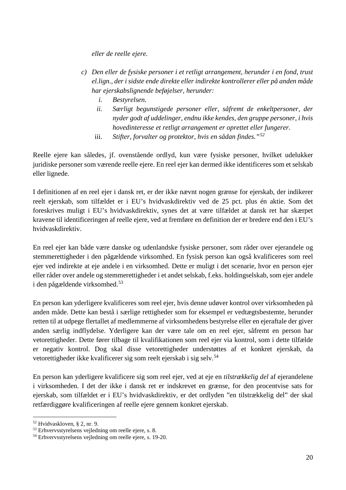*eller de reelle ejere.*

- *c) Den eller de fysiske personer i et retligt arrangement, herunder i en fond, trust el.lign., der i sidste ende direkte eller indirekte kontrollerer eller på anden måde har ejerskabslignende beføjelser, herunder:*
	- *i. Bestyrelsen.*
	- *ii. Særligt begunstigede personer eller, såfremt de enkeltpersoner, der nyder godt af uddelinger, endnu ikke kendes, den gruppe personer, i hvis hovedinteresse et retligt arrangement er oprettet eller fungerer.*
	- iii. *Stifter, forvalter og protektor, hvis en sådan findes."[52](#page-20-0)*

Reelle ejere kan således, jf. ovenstående ordlyd, kun være fysiske personer, hvilket udelukker juridiske personer som værende reelle ejere. En reel ejer kan dermed ikke identificeres som et selskab eller lignede.

I definitionen af en reel ejer i dansk ret, er der ikke nævnt nogen grænse for ejerskab, der indikerer reelt ejerskab, som tilfældet er i EU's hvidvaskdirektiv ved de 25 pct. plus én aktie. Som det foreskrives muligt i EU's hvidvaskdirektiv, synes det at være tilfældet at dansk ret har skærpet kravene til identificeringen af reelle ejere, ved at fremføre en definition der er bredere end den i EU's hvidvaskdirektiv.

En reel ejer kan både være danske og udenlandske fysiske personer, som råder over ejerandele og stemmerettigheder i den pågældende virksomhed. En fysisk person kan også kvalificeres som reel ejer ved indirekte at eje andele i en virksomhed. Dette er muligt i det scenarie, hvor en person ejer eller råder over andele og stemmerettigheder i et andet selskab, f.eks. holdingselskab, som ejer andele i den pågældende virksomhed.[53](#page-20-1)

En person kan yderligere kvalificeres som reel ejer, hvis denne udøver kontrol over virksomheden på anden måde. Dette kan bestå i særlige rettigheder som for eksempel er vedtægtsbestemte, herunder retten til at udpege flertallet af medlemmerne af virksomhedens bestyrelse eller en ejeraftale der giver anden særlig indflydelse. Yderligere kan der være tale om en reel ejer, såfremt en person har vetorettigheder. Dette fører tilbage til kvalifikationen som reel ejer via kontrol, som i dette tilfælde er negativ kontrol. Dog skal disse vetorettigheder understøttes af et konkret ejerskab, da vetorettigheder ikke kvalificerer sig som reelt ejerskab i sig selv.<sup>[54](#page-20-2)</sup>

En person kan yderligere kvalificere sig som reel ejer, ved at eje en *tilstrækkelig del* af ejerandelene i virksomheden. I det der ikke i dansk ret er indskrevet en grænse, for den procentvise sats for ejerskab, som tilfældet er i EU's hvidvaskdirektiv, er det ordlyden "en tilstrækkelig del" der skal retfærdiggøre kvalificeringen af reelle ejere gennem konkret ejerskab.

<span id="page-20-0"></span> <sup>52</sup> Hvidvaskloven, § 2, nr. 9.

<span id="page-20-1"></span><sup>53</sup> Erhvervsstyrelsens vejledning om reelle ejere, s. 8.

<span id="page-20-2"></span><sup>54</sup> Erhvervsstyrelsens vejledning om reelle ejere, s. 19-20.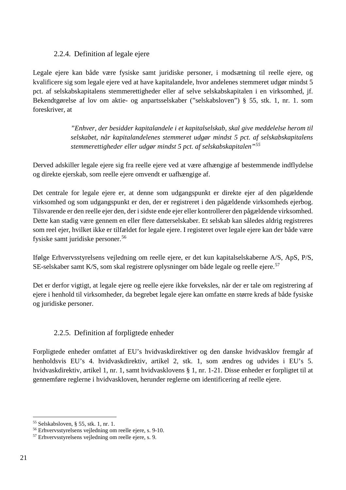#### 2.2.4. Definition af legale ejere

<span id="page-21-0"></span>Legale ejere kan både være fysiske samt juridiske personer, i modsætning til reelle ejere, og kvalificere sig som legale ejere ved at have kapitalandele, hvor andelenes stemmeret udgør mindst 5 pct. af selskabskapitalens stemmerettigheder eller af selve selskabskapitalen i en virksomhed, jf. Bekendtgørelse af lov om aktie- og anpartsselskaber ("selskabsloven") § 55, stk. 1, nr. 1. som foreskriver, at

> *"Enhver, der besidder kapitalandele i et kapitalselskab, skal give meddelelse herom til selskabet, når kapitalandelenes stemmeret udgør mindst 5 pct. af selskabskapitalens stemmerettigheder eller udgør mindst 5 pct. af selskabskapitalen"[55](#page-21-2)*

Derved adskiller legale ejere sig fra reelle ejere ved at være afhængige af bestemmende indflydelse og direkte ejerskab, som reelle ejere omvendt er uafhængige af.

Det centrale for legale ejere er, at denne som udgangspunkt er direkte ejer af den pågældende virksomhed og som udgangspunkt er den, der er registreret i den pågældende virksomheds ejerbog. Tilsvarende er den reelle ejer den, der i sidste ende ejer eller kontrollerer den pågældende virksomhed. Dette kan stadig være gennem en eller flere datterselskaber. Et selskab kan således aldrig registreres som reel ejer, hvilket ikke er tilfældet for legale ejere. I registeret over legale ejere kan der både være fysiske samt juridiske personer.<sup>[56](#page-21-3)</sup>

Ifølge Erhvervsstyrelsens vejledning om reelle ejere, er det kun kapitalselskaberne A/S, ApS, P/S, SE-selskaber samt K/S, som skal registrere oplysninger om både legale og reelle ejere.<sup>[57](#page-21-4)</sup>

Det er derfor vigtigt, at legale ejere og reelle ejere ikke forveksles, når der er tale om registrering af ejere i henhold til virksomheder, da begrebet legale ejere kan omfatte en større kreds af både fysiske og juridiske personer.

#### 2.2.5. Definition af forpligtede enheder

<span id="page-21-1"></span>Forpligtede enheder omfattet af EU's hvidvaskdirektiver og den danske hvidvasklov fremgår af henholdsvis EU's 4. hvidvaskdirektiv, artikel 2, stk. 1, som ændres og udvides i EU's 5. hvidvaskdirektiv, artikel 1, nr. 1, samt hvidvasklovens § 1, nr. 1-21. Disse enheder er forpligtet til at gennemføre reglerne i hvidvaskloven, herunder reglerne om identificering af reelle ejere.

<span id="page-21-3"></span><span id="page-21-2"></span><sup>&</sup>lt;sup>55</sup> Selskabsloven, § 55, stk. 1, nr. 1.<br><sup>56</sup> Erhvervsstyrelsens vejledning om reelle ejere, s. 9-10.

<span id="page-21-4"></span><sup>57</sup> Erhvervsstyrelsens vejledning om reelle ejere, s. 9.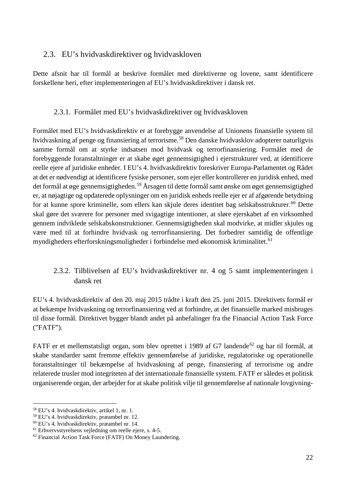#### <span id="page-22-0"></span>2.3. EU's hvidvaskdirektiver og hvidvaskloven

Dette afsnit har til formål at beskrive formålet med direktiverne og lovene, samt identificere forskellene heri, efter implementeringen af EU's hvidvaskdirektiver i dansk ret.

#### 2.3.1. Formålet med EU's hvidvaskdirektiver og hvidvaskloven

<span id="page-22-1"></span>Formålet med EU's hvidvaskdirektiv er at forebygge anvendelse af Unionens finansielle system til hvidvaskning af penge og finansiering af terrorisme.[58](#page-22-3) Den danske hvidvasklov adopterer naturligvis samme formål om at styrke indsatsen mod hvidvask og terrorfinansiering. Formålet med de forebyggende foranstaltninger er at skabe øget gennemsigtighed i ejerstrukturer ved, at identificere reelle ejere af juridiske enheder. I EU's 4. hvidvaskdirektiv foreskriver Europa-Parlamentet og Rådet at det er nødvendigt at identificere fysiske personer, som ejer eller kontrollerer en juridisk enhed, med det formål at øge gennemsigtigheden.<sup>[59](#page-22-4)</sup> Årsagen til dette formål samt ønske om øget gennemsigtighed er, at nøjagtige og opdaterede oplysninger om en juridisk enheds reelle ejer er af afgørende betydning for at kunne spore kriminelle, som ellers kan skjule deres identitet bag selskabsstrukturer.<sup>[60](#page-22-5)</sup> Dette skal gøre det sværere for personer med svigagtige intentioner, at sløre ejerskabet af en virksomhed gennem indviklede selskabskonstruktioner. Gennemsigtigheden skal modvirke, at midler skjules og være med til at forhindre hvidvask og terrorfinansiering. Det forbedrer samtidig de offentlige myndigheders efterforskningsmuligheder i forbindelse med økonomisk kriminalitet.<sup>[61](#page-22-6)</sup>

## <span id="page-22-2"></span>2.3.2. Tilblivelsen af EU's hvidvaskdirektiver nr. 4 og 5 samt implementeringen i dansk ret

EU's 4. hvidvaskdirektiv af den 20. maj 2015 trådte i kraft den 25. juni 2015. Direktivets formål er at bekæmpe hvidvaskning og terrorfinansiering ved at forhindre, at det finansielle marked misbruges til disse formål. Direktivet bygger blandt andet på anbefalinger fra the Financial Action Task Force ("FATF").

FATF er et mellemstatsligt organ, som blev oprettet i 1989 af G7 landende<sup>[62](#page-22-7)</sup> og har til formål, at skabe standarder samt fremme effektiv gennemførelse af juridiske, regulatoriske og operationelle foranstaltninger til bekæmpelse af hvidvaskning af penge, finansiering af terrorisme og andre relaterede trusler mod integriteten af det internationale finansielle system. FATF er således et politisk organiserende organ, der arbejder for at skabe politisk vilje til gennemførelse af nationale lovgivning-

<span id="page-22-3"></span> <sup>58</sup> EU's 4. hvidvaskdirektiv, artikel 1, nr. 1.

<span id="page-22-4"></span><sup>59</sup> EU's 4. hvidvaskdirektiv, præambel nr. 12.

<span id="page-22-5"></span><sup>60</sup> EU's 4. hvidvaskdirektiv, præambel nr. 14.

<span id="page-22-6"></span><sup>61</sup> Erhvervsstyrelsens vejledning om reelle ejere, s. 4-5.

<span id="page-22-7"></span><sup>62</sup> Financial Action Task Force (FATF) On Money Laundering.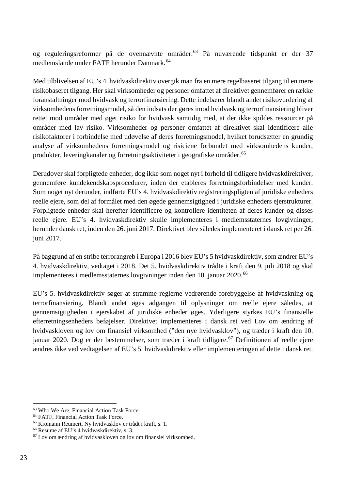og reguleringsreformer på de ovennævnte områder.[63](#page-23-0) På nuværende tidspunkt er der 37 medlemslande under FATF herunder Danmark.<sup>[64](#page-23-1)</sup>

Med tilblivelsen af EU's 4. hvidvaskdirektiv overgik man fra en mere regelbaseret tilgang til en mere risikobaseret tilgang. Her skal virksomheder og personer omfattet af direktivet gennemfører en række foranstaltninger mod hvidvask og terrorfinansiering. Dette indebærer blandt andet risikovurdering af virksomhedens forretningsmodel, så den indsats der gøres imod hvidvask og terrorfinansiering bliver rettet mod områder med øget risiko for hvidvask samtidig med, at der ikke spildes ressourcer på områder med lav risiko. Virksomheder og personer omfattet af direktivet skal identificere alle risikofaktorer i forbindelse med udøvelse af deres forretningsmodel, hvilket forudsætter en grundig analyse af virksomhedens forretningsmodel og risiciene forbundet med virksomhedens kunder, produkter, leveringkanaler og forretningsaktiviteter i geografiske områder.<sup>[65](#page-23-2)</sup>

Derudover skal forpligtede enheder, dog ikke som noget nyt i forhold til tidligere hvidvaskdirektiver, gennemføre kundekendskabsprocedurer, inden der etableres forretningsforbindelser med kunder. Som noget nyt derunder, indførte EU's 4. hvidvaskdirektiv registreringspligten af juridiske enheders reelle ejere, som del af formålet med den øgede gennemsigtighed i juridiske enheders ejerstrukturer. Forpligtede enheder skal herefter identificere og kontrollere identiteten af deres kunder og disses reelle ejere. EU's 4. hvidvaskdirektiv skulle implementeres i medlemsstaternes lovgivninger, herunder dansk ret, inden den 26. juni 2017. Direktivet blev således implementeret i dansk ret per 26. juni 2017.

På baggrund af en stribe terrorangreb i Europa i 2016 blev EU's 5 hvidvaskdirektiv, som ændrer EU's 4. hvidvaskdirektiv, vedtaget i 2018. Det 5. hvidvaskdirektiv trådte i kraft den 9. juli 2018 og skal implementeres i medlemsstaternes lovgivninger inden den 10. januar 2020.<sup>[66](#page-23-3)</sup>

EU's 5. hvidvaskdirektiv søger at stramme reglerne vedrørende forebyggelse af hvidvaskning og terrorfinansiering. Blandt andet øges adgangen til oplysninger om reelle ejere således, at gennemsigtigheden i ejerskabet af juridiske enheder øges. Yderligere styrkes EU's finansielle efterretningsenheders beføjelser. Direktivet implementeres i dansk ret ved Lov om ændring af hvidvaskloven og lov om finansiel virksomhed ("den nye hvidvasklov"), og træder i kraft den 10. januar 2020. Dog er der bestemmelser, som træder i kraft tidligere.<sup>[67](#page-23-4)</sup> Definitionen af reelle ejere ændres ikke ved vedtagelsen af EU's 5. hvidvaskdirektiv eller implementeringen af dette i dansk ret.

<span id="page-23-0"></span> <sup>63</sup> Who We Are, Financial Action Task Force.

<span id="page-23-1"></span><sup>64</sup> FATF, Financial Action Task Force.

<span id="page-23-2"></span><sup>65</sup> Kromann Reumert, Ny hvidvasklov er trådt i kraft, s. 1.

<span id="page-23-3"></span><sup>66</sup> Resume af EU's 4 hvidvaskdirektiv, s. 3.

<span id="page-23-4"></span><sup>67</sup> Lov om ændring af hvidvaskloven og lov om finansiel virksomhed.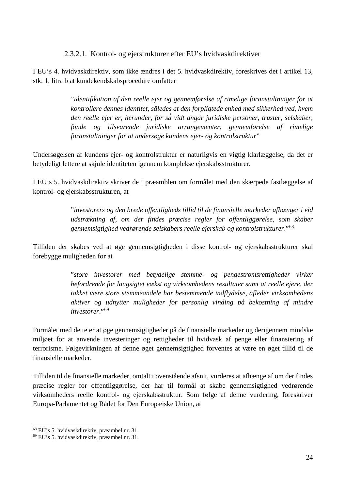2.3.2.1. Kontrol- og ejerstrukturer efter EU's hvidvaskdirektiver

<span id="page-24-0"></span>I EU's 4. hvidvaskdirektiv, som ikke ændres i det 5. hvidvaskdirektiv, foreskrives det i artikel 13, stk. 1, litra b at kundekendskabsprocedure omfatter

> "*identifikation af den reelle ejer og gennemførelse af rimelige foranstaltninger for at kontrollere dennes identitet, således at den forpligtede enhed med sikkerhed ved, hvem den reelle ejer er, herunder, for så̊ vidt angår juridiske personer, truster, selskaber, fonde og tilsvarende juridiske arrangementer, gennemførelse af rimelige foranstaltninger for at undersøge kundens ejer- og kontrolstruktur*"

Undersøgelsen af kundens ejer- og kontrolstruktur er naturligvis en vigtig klarlæggelse, da det er betydeligt lettere at skjule identiteten igennem komplekse ejerskabsstrukturer.

I EU's 5. hvidvaskdirektiv skriver de i præamblen om formålet med den skærpede fastlæggelse af kontrol- og ejerskabsstrukturen, at

> "*investorers og den brede offentligheds tillid til de finansielle markeder afhænger i vid udstrækning af, om der findes præcise regler for offentliggørelse, som skaber gennemsigtighed vedrørende selskabers reelle ejerskab og kontrolstrukturer*."[68](#page-24-1)

Tilliden der skabes ved at øge gennemsigtigheden i disse kontrol- og ejerskabsstrukturer skal forebygge muligheden for at

> "*store investorer med betydelige stemme- og pengestrømsrettigheder virker befordrende for langsigtet vækst og virksomhedens resultater samt at reelle ejere, der takket være store stemmeandele har bestemmende indflydelse, afleder virksomhedens aktiver og udnytter muligheder for personlig vinding på bekostning af mindre investorer*."[69](#page-24-2)

Formålet med dette er at øge gennemsigtigheder på de finansielle markeder og derigennem mindske miljøet for at anvende investeringer og rettigheder til hvidvask af penge eller finansiering af terrorisme. Følgevirkningen af denne øget gennemsigtighed forventes at være en øget tillid til de finansielle markeder.

Tilliden til de finansielle markeder, omtalt i ovenstående afsnit, vurderes at afhænge af om der findes præcise regler for offentliggørelse, der har til formål at skabe gennemsigtighed vedrørende virksomheders reelle kontrol- og ejerskabsstruktur. Som følge af denne vurdering, foreskriver Europa-Parlamentet og Rådet for Den Europæiske Union, at

<span id="page-24-1"></span> <sup>68</sup> EU's 5. hvidvaskdirektiv, præambel nr. 31.

<span id="page-24-2"></span><sup>69</sup> EU's 5. hvidvaskdirektiv, præambel nr. 31.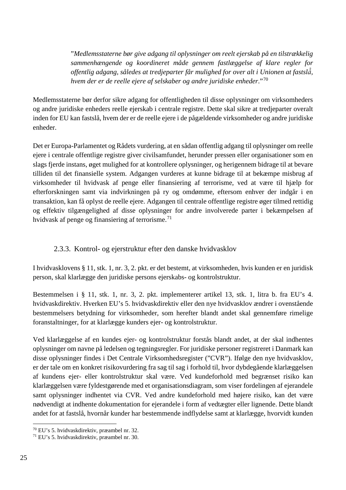"*Medlemsstaterne bør give adgang til oplysninger om reelt ejerskab på en tilstrækkelig sammenhængende og koordineret måde gennem fastlæggelse af klare regler for offentlig adgang, således at tredjeparter får mulighed for over alt i Unionen at fastslå̊, hvem der er de reelle ejere af selskaber og andre juridiske enheder*."[70](#page-25-1)

Medlemsstaterne bør derfor sikre adgang for offentligheden til disse oplysninger om virksomheders og andre juridiske enheders reelle ejerskab i centrale registre. Dette skal sikre at tredjeparter overalt inden for EU kan fastslå, hvem der er de reelle ejere i de pågældende virksomheder og andre juridiske enheder.

Det er Europa-Parlamentet og Rådets vurdering, at en sådan offentlig adgang til oplysninger om reelle ejere i centrale offentlige registre giver civilsamfundet, herunder pressen eller organisationer som en slags fjerde instans, øget mulighed for at kontrollere oplysninger, og herigennem bidrage til at bevare tilliden til det finansielle system. Adgangen vurderes at kunne bidrage til at bekæmpe misbrug af virksomheder til hvidvask af penge eller finansiering af terrorisme, ved at være til hjælp for efterforskningen samt via indvirkningen på ry og omdømme, eftersom enhver der indgår i en transaktion, kan få oplyst de reelle ejere. Adgangen til centrale offentlige registre øger tilmed rettidig og effektiv tilgængelighed af disse oplysninger for andre involverede parter i bekæmpelsen af hvidvask af penge og finansiering af terrorisme.<sup>[71](#page-25-2)</sup>

## 2.3.3. Kontrol- og ejerstruktur efter den danske hvidvasklov

<span id="page-25-0"></span>I hvidvasklovens § 11, stk. 1, nr. 3, 2. pkt. er det bestemt, at virksomheden, hvis kunden er en juridisk person, skal klarlægge den juridiske persons ejerskabs- og kontrolstruktur.

Bestemmelsen i § 11, stk. 1, nr. 3, 2. pkt. implementerer artikel 13, stk. 1, litra b. fra EU's 4. hvidvaskdirektiv. Hverken EU's 5. hvidvaskdirektiv eller den nye hvidvasklov ændrer i ovenstående bestemmelsers betydning for virksomheder, som herefter blandt andet skal gennemføre rimelige foranstaltninger, for at klarlægge kunders ejer- og kontrolstruktur.

Ved klarlæggelse af en kundes ejer- og kontrolstruktur forstås blandt andet, at der skal indhentes oplysninger om navne på ledelsen og tegningsregler. For juridiske personer registreret i Danmark kan disse oplysninger findes i Det Centrale Virksomhedsregister ("CVR"). Ifølge den nye hvidvasklov, er der tale om en konkret risikovurdering fra sag til sag i forhold til, hvor dybdegående klarlæggelsen af kundens ejer- eller kontrolstruktur skal være. Ved kundeforhold med begrænset risiko kan klarlæggelsen være fyldestgørende med et organisationsdiagram, som viser fordelingen af ejerandele samt oplysninger indhentet via CVR. Ved andre kundeforhold med højere risiko, kan det være nødvendigt at indhente dokumentation for ejerandele i form af vedtægter eller lignende. Dette blandt andet for at fastslå, hvornår kunder har bestemmende indflydelse samt at klarlægge, hvorvidt kunden

<span id="page-25-1"></span> <sup>70</sup> EU's 5. hvidvaskdirektiv, præambel nr. 32.

<span id="page-25-2"></span><sup>71</sup> EU's 5. hvidvaskdirektiv, præambel nr. 30.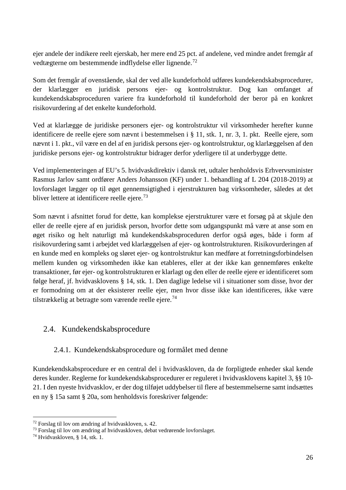ejer andele der indikere reelt ejerskab, her mere end 25 pct. af andelene, ved mindre andet fremgår af vedtægterne om bestemmende indflydelse eller lignende.[72](#page-26-2)

Som det fremgår af ovenstående, skal der ved alle kundeforhold udføres kundekendskabsprocedurer, der klarlægger en juridisk persons ejer- og kontrolstruktur. Dog kan omfanget af kundekendskabsproceduren variere fra kundeforhold til kundeforhold der beror på en konkret risikovurdering af det enkelte kundeforhold.

Ved at klarlægge de juridiske personers ejer- og kontrolstruktur vil virksomheder herefter kunne identificere de reelle ejere som nævnt i bestemmelsen i § 11, stk. 1, nr. 3, 1. pkt. Reelle ejere, som nævnt i 1. pkt., vil være en del af en juridisk persons ejer- og kontrolstruktur, og klarlæggelsen af den juridiske persons ejer- og kontrolstruktur bidrager derfor yderligere til at underbygge dette.

Ved implementeringen af EU's 5. hvidvaskdirektiv i dansk ret, udtaler henholdsvis Erhvervsminister Rasmus Jarlov samt ordfører Anders Johansson (KF) under 1. behandling af L 204 (2018-2019) at lovforslaget lægger op til øget gennemsigtighed i ejerstrukturen bag virksomheder, således at det bliver lettere at identificere reelle ejere.<sup>73</sup>

Som nævnt i afsnittet forud for dette, kan komplekse ejerstrukturer være et forsøg på at skjule den eller de reelle ejere af en juridisk person, hvorfor dette som udgangspunkt må være at anse som en øget risiko og helt naturligt må kundekendskabsproceduren derfor også øges, både i form af risikovurdering samt i arbejdet ved klarlæggelsen af ejer- og kontrolstrukturen. Risikovurderingen af en kunde med en kompleks og sløret ejer- og kontrolstruktur kan medføre at forretningsforbindelsen mellem kunden og virksomheden ikke kan etableres, eller at der ikke kan gennemføres enkelte transaktioner, før ejer- og kontrolstrukturen er klarlagt og den eller de reelle ejere er identificeret som følge heraf, jf. hvidvasklovens § 14, stk. 1. Den daglige ledelse vil i situationer som disse, hvor der er formodning om at der eksisterer reelle ejer, men hvor disse ikke kan identificeres, ikke være tilstrækkelig at betragte som værende reelle ejere.<sup>[74](#page-26-4)</sup>

## <span id="page-26-0"></span>2.4. Kundekendskabsprocedure

## 2.4.1. Kundekendskabsprocedure og formålet med denne

<span id="page-26-1"></span>Kundekendskabsprocedure er en central del i hvidvaskloven, da de forpligtede enheder skal kende deres kunder. Reglerne for kundekendskabsprocedurer er reguleret i hvidvasklovens kapitel 3, §§ 10- 21. I den nyeste hvidvasklov, er der dog tilføjet uddybelser til flere af bestemmelserne samt indsættes en ny § 15a samt § 20a, som henholdsvis foreskriver følgende:

<span id="page-26-2"></span> <sup>72</sup> Forslag til lov om ændring af hvidvaskloven, s. 42.

<span id="page-26-3"></span><sup>73</sup> Forslag til lov om ændring af hvidvaskloven, debat vedrørende lovforslaget.

<span id="page-26-4"></span><sup>74</sup> Hvidvaskloven, § 14, stk. 1.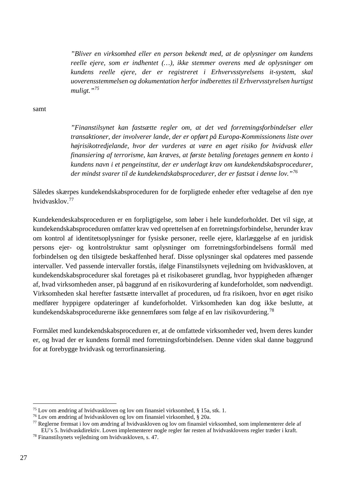*"Bliver en virksomhed eller en person bekendt med, at de oplysninger om kundens reelle ejere, som er indhentet (…), ikke stemmer overens med de oplysninger om kundens reelle ejere, der er registreret i Erhvervsstyrelsens it-system, skal uoverensstemmelsen og dokumentation herfor indberettes til Erhvervsstyrelsen hurtigst muligt."[75](#page-27-0)*

samt

*"Finanstilsynet kan fastsætte regler om, at det ved forretningsforbindelser eller transaktioner, der involverer lande, der er opført på Europa-Kommissionens liste over højrisikotredjelande, hvor der vurderes at være en øget risiko for hvidvask eller finansiering af terrorisme, kan kræves, at første betaling foretages gennem en konto i kundens navn i et pengeinstitut, der er underlagt krav om kundekendskabsprocedurer, der mindst svarer til de kundekendskabsprocedurer, der er fastsat i denne lov."[76](#page-27-1)*

Således skærpes kundekendskabsproceduren for de forpligtede enheder efter vedtagelse af den nye hvidvasklov.[77](#page-27-2)

Kundekendeskabsproceduren er en forpligtigelse, som løber i hele kundeforholdet. Det vil sige, at kundekendskabsproceduren omfatter krav ved oprettelsen af en forretningsforbindelse, herunder krav om kontrol af identitetsoplysninger for fysiske personer, reelle ejere, klarlæggelse af en juridisk persons ejer- og kontrolstruktur samt oplysninger om forretningsforbindelsens formål med forbindelsen og den tilsigtede beskaffenhed heraf. Disse oplysninger skal opdateres med passende intervaller. Ved passende intervaller forstås, ifølge Finanstilsynets vejledning om hvidvaskloven, at kundekendskabsprocedurer skal foretages på et risikobaseret grundlag, hvor hyppigheden afhænger af, hvad virksomheden anser, på baggrund af en risikovurdering af kundeforholdet, som nødvendigt. Virksomheden skal herefter fastsætte intervallet af proceduren, ud fra risikoen, hvor en øget risiko medfører hyppigere opdateringer af kundeforholdet. Virksomheden kan dog ikke beslutte, at kundekendskabsprocedurerne ikke gennemføres som følge af en lav risikovurdering.[78](#page-27-3)

Formålet med kundekendskabsproceduren er, at de omfattede virksomheder ved, hvem deres kunder er, og hvad der er kundens formål med forretningsforbindelsen. Denne viden skal danne baggrund for at forebygge hvidvask og terrorfinansiering.

<span id="page-27-0"></span> <sup>75</sup> Lov om ændring af hvidvaskloven og lov om finansiel virksomhed, § 15a, stk. 1.

<span id="page-27-1"></span><sup>76</sup> Lov om ændring af hvidvaskloven og lov om finansiel virksomhed, § 20a.

<span id="page-27-2"></span><sup>77</sup> Reglerne fremsat i lov om ændring af hvidvaskloven og lov om finansiel virksomhed, som implementerer dele af EU's 5. hvidvaskdirektiv. Loven implementerer nogle regler før resten af hvidvasklovens regler træder i kraft. 78 Finanstilsynets vejledning om hvidvaskloven, s. 47.

<span id="page-27-3"></span>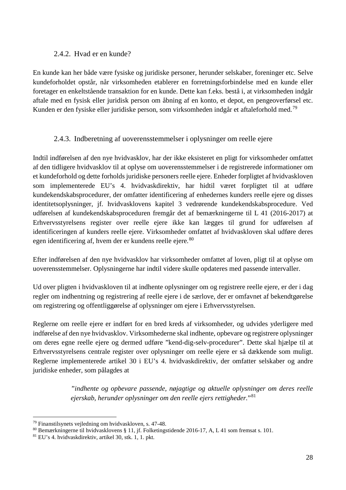#### 2.4.2. Hvad er en kunde?

<span id="page-28-0"></span>En kunde kan her både være fysiske og juridiske personer, herunder selskaber, foreninger etc. Selve kundeforholdet opstår, når virksomheden etablerer en forretningsforbindelse med en kunde eller foretager en enkeltstående transaktion for en kunde. Dette kan f.eks. bestå i, at virksomheden indgår aftale med en fysisk eller juridisk person om åbning af en konto, et depot, en pengeoverførsel etc. Kunden er den fysiske eller juridiske person, som virksomheden indgår et aftaleforhold med. [79](#page-28-2)

## 2.4.3. Indberetning af uoverensstemmelser i oplysninger om reelle ejere

<span id="page-28-1"></span>Indtil indførelsen af den nye hvidvasklov, har der ikke eksisteret en pligt for virksomheder omfattet af den tidligere hvidvasklov til at oplyse om uoverensstemmelser i de registrerede informationer om et kundeforhold og dette forholds juridiske personers reelle ejere. Enheder forpligtet af hvidvaskloven som implementerede EU's 4. hvidvaskdirektiv, har hidtil været forpligtet til at udføre kundekendskabsprocedurer, der omfatter identificering af enhedernes kunders reelle ejere og disses identitetsoplysninger, jf. hvidvasklovens kapitel 3 vedrørende kundekendskabsprocedure. Ved udførelsen af kundekendskabsproceduren fremgår det af bemærkningerne til L 41 (2016-2017) at Erhvervsstyrelsens register over reelle ejere ikke kan lægges til grund for udførelsen af identificeringen af kunders reelle ejere. Virksomheder omfattet af hvidvaskloven skal udføre deres egen identificering af, hvem der er kundens reelle ejere.<sup>[80](#page-28-3)</sup>

Efter indførelsen af den nye hvidvasklov har virksomheder omfattet af loven, pligt til at oplyse om uoverensstemmelser. Oplysningerne har indtil videre skulle opdateres med passende intervaller.

Ud over pligten i hvidvaskloven til at indhente oplysninger om og registrere reelle ejere, er der i dag regler om indhentning og registrering af reelle ejere i de særlove, der er omfavnet af bekendtgørelse om registrering og offentliggørelse af oplysninger om ejere i Erhvervsstyrelsen.

Reglerne om reelle ejere er indført for en bred kreds af virksomheder, og udvides yderligere med indførelse af den nye hvidvasklov. Virksomhederne skal indhente, opbevare og registrere oplysninger om deres egne reelle ejere og dermed udføre "kend-dig-selv-procedurer". Dette skal hjælpe til at Erhvervsstyrelsens centrale register over oplysninger om reelle ejere er så dækkende som muligt. Reglerne implementerede artikel 30 i EU's 4. hvidvaskdirektiv, der omfatter selskaber og andre juridiske enheder, som pålagdes at

> *"indhente og opbevare passende, nøjagtige og aktuelle oplysninger om deres reelle ejerskab, herunder oplysninger om den reelle ejers rettigheder.*"[81](#page-28-4)

<span id="page-28-2"></span> <sup>79</sup> Finanstilsynets vejledning om hvidvaskloven, s. 47-48.

<span id="page-28-3"></span><sup>80</sup> Bemærkningerne til hvidvasklovens § 11, jf. Folketingstidende 2016-17, A, L 41 som fremsat s. 101.

<span id="page-28-4"></span><sup>81</sup> EU's 4. hvidvaskdirektiv, artikel 30, stk. 1, 1. pkt.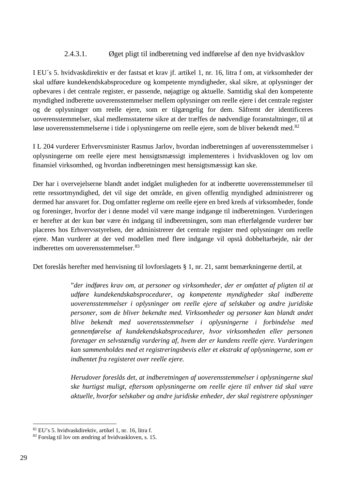#### 2.4.3.1. Øget pligt til indberetning ved indførelse af den nye hvidvasklov

<span id="page-29-0"></span>I EU´s 5. hvidvaskdirektiv er der fastsat et krav jf. artikel 1, nr. 16, litra f om, at virksomheder der skal udføre kundekendskabsprocedure og kompetente myndigheder, skal sikre, at oplysninger der opbevares i det centrale register, er passende, nøjagtige og aktuelle. Samtidig skal den kompetente myndighed indberette uoverensstemmelser mellem oplysninger om reelle ejere i det centrale register og de oplysninger om reelle ejere, som er tilgængelig for dem. Såfremt der identificeres uoverensstemmelser, skal medlemsstaterne sikre at der træffes de nødvendige foranstaltninger, til at løse uoverensstemmelserne i tide i oplysningerne om reelle ejere, som de bliver bekendt med.<sup>[82](#page-29-1)</sup>

I L 204 vurderer Erhvervsminister Rasmus Jarlov, hvordan indberetningen af uoverensstemmelser i oplysningerne om reelle ejere mest hensigtsmæssigt implementeres i hvidvaskloven og lov om finansiel virksomhed, og hvordan indberetningen mest hensigtsmæssigt kan ske.

Der har i overvejelserne blandt andet indgået muligheden for at indberette uoverensstemmelser til rette ressortmyndighed, det vil sige det område, en given offentlig myndighed administrerer og dermed har ansvaret for. Dog omfatter reglerne om reelle ejere en bred kreds af virksomheder, fonde og foreninger, hvorfor der i denne model vil være mange indgange til indberetningen. Vurderingen er herefter at der kun bør være én indgang til indberetningen, som man efterfølgende vurderer bør placeres hos Erhvervsstyrelsen, der administrerer det centrale register med oplysninger om reelle ejere. Man vurderer at der ved modellen med flere indgange vil opstå dobbeltarbejde, når der indberettes om uoverensstemmelser.[83](#page-29-2)

Det foreslås herefter med henvisning til lovforslagets § 1, nr. 21, samt bemærkningerne dertil, at

"*der indføres krav om, at personer og virksomheder, der er omfattet af pligten til at udføre kundekendskabsprocedurer, og kompetente myndigheder skal indberette uoverensstemmelser i oplysninger om reelle ejere af selskaber og andre juridiske personer, som de bliver bekendte med. Virksomheder og personer kan blandt andet blive bekendt med uoverensstemmelser i oplysningerne i forbindelse med gennemførelse af kundekendskabsprocedurer, hvor virksomheden eller personen foretager en selvstændig vurdering af, hvem der er kundens reelle ejere. Vurderingen kan sammenholdes med et registreringsbevis eller et ekstrakt af oplysningerne, som er indhentet fra registeret over reelle ejere.* 

*Herudover foreslås det, at indberetningen af uoverensstemmelser i oplysningerne skal ske hurtigst muligt, eftersom oplysningerne om reelle ejere til enhver tid skal være aktuelle, hvorfor selskaber og andre juridiske enheder, der skal registrere oplysninger* 

<span id="page-29-1"></span> <sup>82</sup> EU's 5. hvidvaskdirektiv, artikel 1, nr. 16, litra f.

<span id="page-29-2"></span><sup>83</sup> Forslag til lov om ændring af hvidvaskloven, s. 15.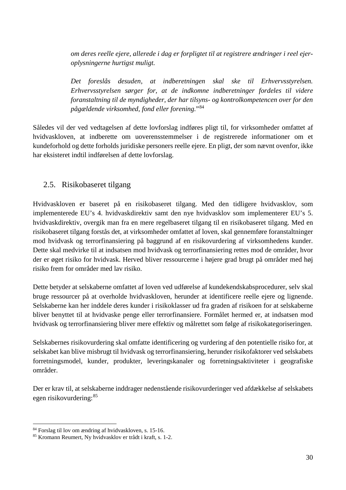*om deres reelle ejere, allerede i dag er forpligtet til at registrere ændringer i reel ejeroplysningerne hurtigst muligt.*

*Det foreslås desuden, at indberetningen skal ske til Erhvervsstyrelsen. Erhvervsstyrelsen sørger for, at de indkomne indberetninger fordeles til videre foranstaltning til de myndigheder, der har tilsyns- og kontrolkompetencen over for den pågældende virksomhed, fond eller forening.*"[84](#page-30-1)

Således vil der ved vedtagelsen af dette lovforslag indføres pligt til, for virksomheder omfattet af hvidvaskloven, at indberette om uoverensstemmelser i de registrerede informationer om et kundeforhold og dette forholds juridiske personers reelle ejere. En pligt, der som nævnt ovenfor, ikke har eksisteret indtil indførelsen af dette lovforslag.

## <span id="page-30-0"></span>2.5. Risikobaseret tilgang

Hvidvaskloven er baseret på en risikobaseret tilgang. Med den tidligere hvidvasklov, som implementerede EU's 4. hvidvaskdirektiv samt den nye hvidvasklov som implementerer EU's 5. hvidvaskdirektiv, overgik man fra en mere regelbaseret tilgang til en risikobaseret tilgang. Med en risikobaseret tilgang forstås det, at virksomheder omfattet af loven, skal gennemføre foranstaltninger mod hvidvask og terrorfinansiering på baggrund af en risikovurdering af virksomhedens kunder. Dette skal medvirke til at indsatsen mod hvidvask og terrorfinansiering rettes mod de områder, hvor der er øget risiko for hvidvask. Herved bliver ressourcerne i højere grad brugt på områder med høj risiko frem for områder med lav risiko.

Dette betyder at selskaberne omfattet af loven ved udførelse af kundekendskabsprocedurer, selv skal bruge ressourcer på at overholde hvidvaskloven, herunder at identificere reelle ejere og lignende. Selskaberne kan her inddele deres kunder i risikoklasser ud fra graden af risikoen for at selskaberne bliver benyttet til at hvidvaske penge eller terrorfinansiere. Formålet hermed er, at indsatsen mod hvidvask og terrorfinansiering bliver mere effektiv og målrettet som følge af risikokategoriseringen.

Selskabernes risikovurdering skal omfatte identificering og vurdering af den potentielle risiko for, at selskabet kan blive misbrugt til hvidvask og terrorfinansiering, herunder risikofaktorer ved selskabets forretningsmodel, kunder, produkter, leveringskanaler og forretningsaktiviteter i geografiske områder.

Der er krav til, at selskaberne inddrager nedenstående risikovurderinger ved afdækkelse af selskabets egen risikovurdering:[85](#page-30-2)

<span id="page-30-1"></span> <sup>84</sup> Forslag til lov om ændring af hvidvaskloven, s. 15-16.

<span id="page-30-2"></span><sup>85</sup> Kromann Reumert, Ny hvidvasklov er trådt i kraft, s. 1-2.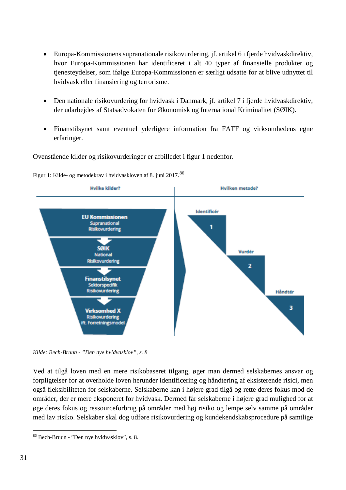- Europa-Kommissionens supranationale risikovurdering, jf. artikel 6 i fjerde hvidvaskdirektiv, hvor Europa-Kommissionen har identificeret i alt 40 typer af finansielle produkter og tjenesteydelser, som ifølge Europa-Kommissionen er særligt udsatte for at blive udnyttet til hvidvask eller finansiering og terrorisme.
- Den nationale risikovurdering for hvidvask i Danmark, jf. artikel 7 i fjerde hvidvaskdirektiv, der udarbejdes af Statsadvokaten for Økonomisk og International Kriminalitet (SØIK).
- Finanstilsynet samt eventuel yderligere information fra FATF og virksomhedens egne erfaringer.

Ovenstående kilder og risikovurderinger er afbilledet i figur 1 nedenfor.





*Kilde: Bech-Bruun - "Den nye hvidvasklov", s. 8*

Ved at tilgå loven med en mere risikobaseret tilgang, øger man dermed selskabernes ansvar og forpligtelser for at overholde loven herunder identificering og håndtering af eksisterende risici, men også fleksibiliteten for selskaberne. Selskaberne kan i højere grad tilgå og rette deres fokus mod de områder, der er mere eksponeret for hvidvask. Dermed får selskaberne i højere grad mulighed for at øge deres fokus og ressourceforbrug på områder med høj risiko og lempe selv samme på områder med lav risiko. Selskaber skal dog udføre risikovurdering og kundekendskabsprocedure på samtlige

<span id="page-31-0"></span> <sup>86</sup> Bech-Bruun - "Den nye hvidvasklov", s. 8.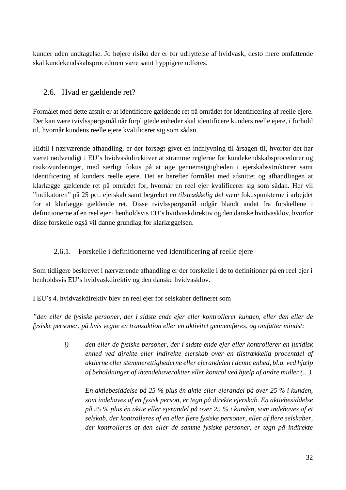kunder uden undtagelse. Jo højere risiko der er for udnyttelse af hvidvask, desto mere omfattende skal kundekendskabsproceduren være samt hyppigere udføres.

## <span id="page-32-0"></span>2.6. Hvad er gældende ret?

Formålet med dette afsnit er at identificere gældende ret på området for identificering af reelle ejere. Der kan være tvivlsspørgsmål når forpligtede enheder skal identificere kunders reelle ejere, i forhold til, hvornår kundens reelle ejere kvalificerer sig som sådan.

Hidtil i nærværende afhandling, er der forsøgt givet en indflyvning til årsagen til, hvorfor det har været nødvendigt i EU's hvidvaskdirektiver at stramme reglerne for kundekendskabsprocedurer og risikovurderinger, med særligt fokus på at øge gennemsigtigheden i ejerskabsstrukturer samt identificering af kunders reelle ejere. Det er herefter formålet med afsnittet og afhandlingen at klarlægge gældende ret på området for, hvornår en reel ejer kvalificerer sig som sådan. Her vil "indikatoren" på 25 pct. ejerskab samt begrebet *en tilstrækkelig del* være fokuspunkterne i arbejdet for at klarlægge gældende ret. Disse tvivlsspørgsmål udgår blandt andet fra forskellene i definitionerne af en reel ejer i henholdsvis EU's hvidvaskdirektiv og den danske hvidvasklov, hvorfor disse forskelle også vil danne grundlag for klarlæggelsen.

## 2.6.1. Forskelle i definitionerne ved identificering af reelle ejere

<span id="page-32-1"></span>Som tidligere beskrevet i nærværende afhandling er der forskelle i de to definitioner på en reel ejer i henholdsvis EU's hvidvaskdirektiv og den danske hvidvasklov.

I EU's 4. hvidvaskdirektiv blev en reel ejer for selskaber defineret som

*"den eller de fysiske personer, der i sidste ende ejer eller kontrollerer kunden, eller den eller de fysiske personer, på hvis vegne en transaktion eller en aktivitet gennemføres, og omfatter mindst:* 

> *i) den eller de fysiske personer, der i sidste ende ejer eller kontrollerer en juridisk enhed ved direkte eller indirekte ejerskab over en tilstrækkelig procentdel af aktierne eller stemmerettighederne eller ejerandelen i denne enhed, bl.a. ved hjælp af beholdninger af ihændehaveraktier eller kontrol ved hjælp af andre midler (…).*

*En aktiebesiddelse på 25 % plus én aktie eller ejerandel på over 25 % i kunden, som indehaves af en fysisk person, er tegn på direkte ejerskab. En aktiebesiddelse på 25 % plus én aktie eller ejerandel på over 25 % i kunden, som indehaves af et selskab, der kontrolleres af en eller flere fysiske personer, eller af flere selskaber, der kontrolleres af den eller de samme fysiske personer, er tegn på indirekte*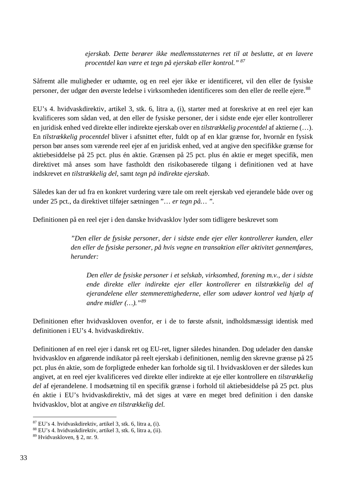*ejerskab. Dette berører ikke medlemsstaternes ret til at beslutte, at en lavere procentdel kan være et tegn på ejerskab eller kontrol." [87](#page-33-0)*

Såfremt alle muligheder er udtømte, og en reel ejer ikke er identificeret, vil den eller de fysiske personer, der udgør den øverste ledelse i virksomheden identificeres som den eller de reelle ejere.<sup>[88](#page-33-1)</sup>

EU's 4. hvidvaskdirektiv, artikel 3, stk. 6, litra a, (i), starter med at foreskrive at en reel ejer kan kvalificeres som sådan ved, at den eller de fysiske personer, der i sidste ende ejer eller kontrollerer en juridisk enhed ved direkte eller indirekte ejerskab over en *tilstrækkelig procentdel* af aktierne (…). En *tilstrækkelig procentdel* bliver i afsnittet efter, fuldt op af en klar grænse for, hvornår en fysisk person bør anses som værende reel ejer af en juridisk enhed, ved at angive den specifikke grænse for aktiebesiddelse på 25 pct. plus én aktie. Grænsen på 25 pct. plus én aktie er meget specifik, men direktivet må anses som have fastholdt den risikobaserede tilgang i definitionen ved at have indskrevet *en tilstrækkelig del*, samt *tegn på indirekte ejerskab*.

Således kan der ud fra en konkret vurdering være tale om reelt ejerskab ved ejerandele både over og under 25 pct., da direktivet tilføjer sætningen "… *er tegn på… ".*

Definitionen på en reel ejer i den danske hvidvasklov lyder som tidligere beskrevet som

*"Den eller de fysiske personer, der i sidste ende ejer eller kontrollerer kunden, eller den eller de fysiske personer, på hvis vegne en transaktion eller aktivitet gennemføres, herunder:*

*Den eller de fysiske personer i et selskab, virksomhed, forening m.v., der i sidste ende direkte eller indirekte ejer eller kontrollerer en tilstrækkelig del af ejerandelene eller stemmerettighederne, eller som udøver kontrol ved hjælp af andre midler (…)."[89](#page-33-2)*

Definitionen efter hvidvaskloven ovenfor, er i de to første afsnit, indholdsmæssigt identisk med definitionen i EU's 4. hvidvaskdirektiv.

Definitionen af en reel ejer i dansk ret og EU-ret, ligner således hinanden. Dog udelader den danske hvidvasklov en afgørende indikator på reelt ejerskab i definitionen, nemlig den skrevne grænse på 25 pct. plus én aktie, som de forpligtede enheder kan forholde sig til. I hvidvaskloven er der således kun angivet, at en reel ejer kvalificeres ved direkte eller indirekte at eje eller kontrollere en *tilstrækkelig del* af ejerandelene. I modsætning til en specifik grænse i forhold til aktiebesiddelse på 25 pct. plus én aktie i EU's hvidvaskdirektiv, må det siges at være en meget bred definition i den danske hvidvasklov, blot at angive *en tilstrækkelig del.*

<span id="page-33-0"></span> <sup>87</sup> EU's 4. hvidvaskdirektiv, artikel 3, stk. 6, litra a, (i).

<span id="page-33-1"></span><sup>88</sup> EU's 4. hvidvaskdirektiv, artikel 3, stk. 6, litra a, (ii).

<span id="page-33-2"></span><sup>89</sup> Hvidvaskloven, § 2, nr. 9.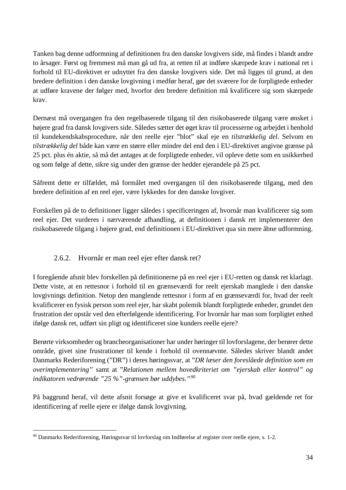Tanken bag denne udformning af definitionen fra den danske lovgivers side, må findes i blandt andre to årsager. Først og fremmest må man gå ud fra, at retten til at indføre skærpede krav i national ret i forhold til EU-direktivet er udnyttet fra den danske lovgivers side. Det må ligges til grund, at den bredere definition i den danske lovgivning i medfør heraf, gør det sværere for de forpligtede enheder at udføre kravene der følger med, hvorfor den bredere definition må kvalificere sig som skærpede krav.

Dernæst må overgangen fra den regelbaserede tilgang til den risikobaserede tilgang være ønsket i højere grad fra dansk lovgivers side. Således sætter det øget krav til processerne og arbejdet i henhold til kundekendskabsprocedure, når den reelle ejer "blot" skal eje en *tilstrækkelig del*. Selvom en *tilstrækkelig del* både kan være en større eller mindre del end den i EU-direktivet angivne grænse på 25 pct. plus én aktie, så må det antages at de forpligtede enheder, vil opleve dette som en usikkerhed og som følge af dette, sikre sig under den grænse der hedder ejerandele på 25 pct.

Såfremt dette er tilfældet, må formålet med overgangen til den risikobaserede tilgang, med den bredere definition af en reel ejer, være lykkedes for den danske lovgiver.

Forskellen på de to definitioner ligger således i specificeringen af, hvornår man kvalificerer sig som reel ejer. Det vurderes i nærværende afhandling, at definitionen i dansk ret implementerer den risikobaserede tilgang i højere grad, end definitionen i EU-direktivet qua sin mere åbne udformning.

## 2.6.2. Hvornår er man reel ejer efter dansk ret?

<span id="page-34-0"></span>I foregående afsnit blev forskellen på definitionerne på en reel ejer i EU-retten og dansk ret klarlagt. Dette viste, at en rettesnor i forhold til en grænseværdi for reelt ejerskab manglede i den danske lovgivnings definition. Netop den manglende rettesnor i form af en grænseværdi for, hvad der reelt kvalificerer en fysisk person som reel ejer, har skabt polemik blandt forpligtede enheder, grundet den frustration der opstår ved den efterfølgende identificering. For hvornår har man som forpligtet enhed ifølge dansk ret, udført sin pligt og identificeret sine kunders reelle ejere?

Berørte virksomheder og brancheorganisationer har under høringer til lovforslagene, der berører dette område, givet sine frustrationer til kende i forhold til ovennævnte. Således skriver blandt andet Danmarks Rederiforening ("DR") i deres høringssvar, at "*DR læser den foreslåede definition som en overimplementering"* samt at "*Relationen mellem hovedkriteriet om "ejerskab eller kontrol" og indikatoren vedrørende "25 %"-grænsen bør uddybes."[90](#page-34-1)*

På baggrund heraf, vil dette afsnit forsøge at give et kvalificeret svar på, hvad gældende ret for identificering af reelle ejere er ifølge dansk lovgivning.

<span id="page-34-1"></span> <sup>90</sup> Danmarks Rederiforening, Høringssvar til lovforslag om Indførelse af register over reelle ejere, s. 1-2.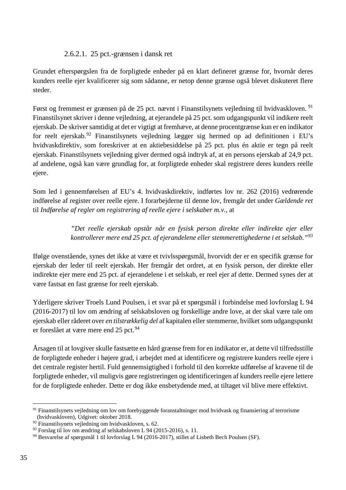#### 2.6.2.1. 25 pct.-grænsen i dansk ret

<span id="page-35-0"></span>Grundet efterspørgslen fra de forpligtede enheder på en klart defineret grænse for, hvornår deres kunders reelle ejer kvalificerer sig som sådanne, er netop denne grænse også blevet diskuteret flere steder.

Først og fremmest er grænsen på de 25 pct. nævnt i Finanstilsynets vejledning til hvidvaskloven. <sup>[91](#page-35-1)</sup> Finanstilsynet skriver i denne vejledning, at ejerandele på 25 pct. som udgangspunkt vil indikere reelt ejerskab. De skriver samtidig at det er vigtigt at fremhæve, at denne procentgrænse kun er en indikator for reelt ejerskab.<sup>[92](#page-35-2)</sup> Finanstilsynets vejledning lægger sig hermed op ad definitionen i EU's hvidvaskdirektiv, som foreskriver at en aktiebesiddelse på 25 pct. plus én aktie er tegn på reelt ejerskab. Finanstilsynets vejledning giver dermed også indtryk af, at en persons ejerskab af 24,9 pct. af andelene, også kan være grundlag for, at forpligtede enheder skal registrere deres kunders reelle ejere.

Som led i gennemførelsen af EU's 4. hvidvaskdirektiv, indførtes lov nr. 262 (2016) vedrørende indførelse af register over reelle ejere. I forarbejderne til denne lov, fremgår det under *Gældende ret* til *Indførelse af regler om registrering af reelle ejere i selskaber m.v.*, at

> *"Det reelle ejerskab opstår når en fysisk person direkte eller indirekte ejer eller kontrollerer mere end 25 pct. af ejerandelene eller stemmerettighederne i et selskab."[93](#page-35-3)*

Ifølge ovenstående, synes det ikke at være et tvivlsspørgsmål, hvorvidt der er en specifik grænse for ejerskab der leder til reelt ejerskab. Her fremgår det ordret, at en fysisk person, der direkte eller indirekte ejer mere end 25 pct. af ejerandelene i et selskab, er reel ejer af dette. Dermed synes der at være fastsat en fast grænse for reelt ejerskab.

Yderligere skriver Troels Lund Poulsen, i et svar på et spørgsmål i forbindelse med lovforslag L 94 (2016-2017) til lov om ændring af selskabsloven og forskellige andre love, at der skal være tale om ejerskab eller råderet over *en tilstrækkelig del* af kapitalen eller stemmerne, hvilket som udgangspunkt er foreslået at være mere end 25 pct.<sup>[94](#page-35-4)</sup>

Årsagen til at lovgiver skulle fastsætte en hård grænse frem for en indikator er, at dette vil tilfredsstille de forpligtede enheder i højere grad, i arbejdet med at identificere og registrere kunders reelle ejere i det centrale register hertil. Fuld gennemsigtighed i forhold til den korrekte udførelse af kravene til de forpligtede enheder, vil muligvis gøre registreringen og identificeringen af kunders reelle ejere lettere for de forpligtede enheder. Dette er dog ikke ensbetydende med, at tiltaget vil blive mere effektivt.

<span id="page-35-1"></span><sup>&</sup>lt;sup>91</sup> Finanstilsynets vejledning om lov om forebyggende foranstaltninger mod hvidvask og finansiering af terrorisme (hvidvaskloven), Udgivet: oktober 2018.

<span id="page-35-2"></span><sup>92</sup> Finanstilsynets vejledning om hvidvaskloven, s. 62.

<span id="page-35-3"></span><sup>93</sup> Forslag til lov om ændring af selskabsloven L 94 (2015-2016), s. 11.

<span id="page-35-4"></span><sup>94</sup> Besvarelse af spørgsmål 1 til lovforslag L 94 (2016-2017), stillet af Lisbeth Bech Poulsen (SF).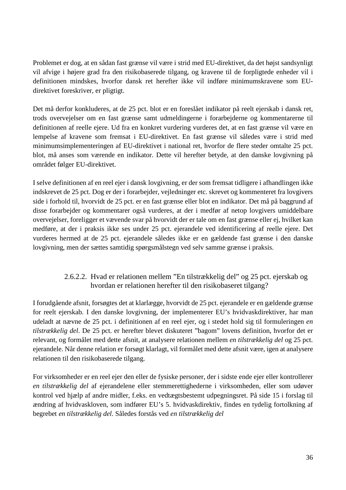Problemet er dog, at en sådan fast grænse vil være i strid med EU-direktivet, da det højst sandsynligt vil afvige i højere grad fra den risikobaserede tilgang, og kravene til de forpligtede enheder vil i definitionen mindskes, hvorfor dansk ret herefter ikke vil indføre minimumskravene som EUdirektivet foreskriver, er pligtigt.

Det må derfor konkluderes, at de 25 pct. blot er en foreslået indikator på reelt ejerskab i dansk ret, trods overvejelser om en fast grænse samt udmeldingerne i forarbejderne og kommentarerne til definitionen af reelle ejere. Ud fra en konkret vurdering vurderes det, at en fast grænse vil være en lempelse af kravene som fremsat i EU-direktivet. En fast grænse vil således være i strid med minimumsimplementeringen af EU-direktivet i national ret, hvorfor de flere steder omtalte 25 pct. blot, må anses som værende en indikator. Dette vil herefter betyde, at den danske lovgivning på området følger EU-direktivet.

I selve definitionen af en reel ejer i dansk lovgivning, er der som fremsat tidligere i afhandlingen ikke indskrevet de 25 pct. Dog er der i forarbejder, vejledninger etc. skrevet og kommenteret fra lovgivers side i forhold til, hvorvidt de 25 pct. er en fast grænse eller blot en indikator. Det må på baggrund af disse forarbejder og kommentarer også vurderes, at der i medfør af netop lovgivers umiddelbare overvejelser, foreligger et vævende svar på hvorvidt der er tale om en fast grænse eller ej, hvilket kan medføre, at der i praksis ikke ses under 25 pct. ejerandele ved identificering af reelle ejere. Det vurderes hermed at de 25 pct. ejerandele således ikke er en gældende fast grænse i den danske lovgivning, men der sættes samtidig spørgsmålstegn ved selv samme grænse i praksis.

## 2.6.2.2. Hvad er relationen mellem "En tilstrækkelig del" og 25 pct. ejerskab og hvordan er relationen herefter til den risikobaseret tilgang?

I forudgående afsnit, forsøgtes det at klarlægge, hvorvidt de 25 pct. ejerandele er en gældende grænse for reelt ejerskab. I den danske lovgivning, der implementerer EU's hvidvaskdirektiver, har man udeladt at nævne de 25 pct. i definitionen af en reel ejer, og i stedet hold sig til formuleringen *en tilstrækkelig del*. De 25 pct. er herefter blevet diskuteret "bagom" lovens definition, hvorfor det er relevant, og formålet med dette afsnit, at analysere relationen mellem *en tilstrækkelig del* og 25 pct. ejerandele. Når denne relation er forsøgt klarlagt, vil formålet med dette afsnit være, igen at analysere relationen til den risikobaserede tilgang.

For virksomheder er en reel ejer den eller de fysiske personer, der i sidste ende ejer eller kontrollerer *en tilstrækkelig del* af ejerandelene eller stemmerettighederne i virksomheden, eller som udøver kontrol ved hjælp af andre midler, f.eks. en vedtægtsbestemt udpegningsret. På side 15 i forslag til ændring af hvidvaskloven, som indfører EU's 5. hvidvaskdirektiv, findes en tydelig fortolkning af begrebet *en tilstrækkelig del*. Således forstås ved *en tilstrækkelig del*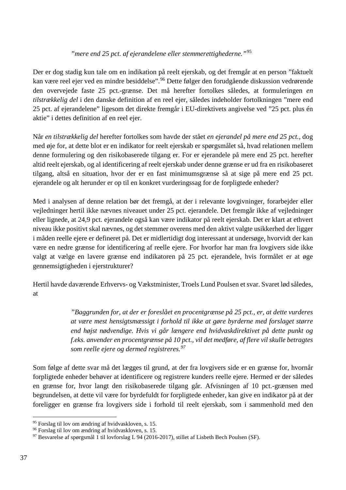#### *"mere end 25 pct. af ejerandelene eller stemmerettighederne."*[95](#page-37-0)

Der er dog stadig kun tale om en indikation på reelt ejerskab, og det fremgår at en person "faktuelt kan være reel ejer ved en mindre besiddelse". <sup>[96](#page-37-1)</sup> Dette følger den forudgående diskussion vedrørende den overvejede faste 25 pct.-grænse. Det må herefter fortolkes således, at formuleringen *en tilstrækkelig del* i den danske definition af en reel ejer, således indeholder fortolkningen "mere end 25 pct. af ejerandelene" ligesom det direkte fremgår i EU-direktivets angivelse ved "25 pct. plus én aktie" i dettes definition af en reel ejer.

Når *en tilstrækkelig del* herefter fortolkes som havde der stået *en ejerandel på mere end 25 pct.*, dog med øje for, at dette blot er en indikator for reelt ejerskab er spørgsmålet så, hvad relationen mellem denne formulering og den risikobaserede tilgang er. For er ejerandele på mere end 25 pct. herefter altid reelt ejerskab, og al identificering af reelt ejerskab under denne grænse er ud fra en risikobaseret tilgang, altså en situation, hvor der er en fast minimumsgrænse så at sige på mere end 25 pct. ejerandele og alt herunder er op til en konkret vurderingssag for de forpligtede enheder?

Med i analysen af denne relation bør det fremgå, at der i relevante lovgivninger, forarbejder eller vejledninger hertil ikke nævnes niveauet under 25 pct. ejerandele. Det fremgår ikke af vejledninger eller lignede, at 24,9 pct. ejerandele også kan være indikator på reelt ejerskab. Det er klart at ethvert niveau ikke positivt skal nævnes, og det stemmer overens med den aktivt valgte usikkerhed der ligger i måden reelle ejere er defineret på. Det er midlertidigt dog interessant at undersøge, hvorvidt der kan være en nedre grænse for identificering af reelle ejere. For hvorfor har man fra lovgivers side ikke valgt at vælge en lavere grænse end indikatoren på 25 pct. ejerandele, hvis formålet er at øge gennemsigtigheden i ejerstrukturer?

Hertil havde daværende Erhvervs- og Vækstminister, Troels Lund Poulsen et svar. Svaret lød således, at

> *"Baggrunden for, at der er foreslået en procentgrænse på 25 pct., er, at dette vurderes at være mest hensigtsmæssigt i forhold til ikke at gøre byrderne med forslaget større end højst nødvendige. Hvis vi går længere end hvidvaskdirektivet på dette punkt og f.eks. anvender en procentgrænse på 10 pct., vil det medføre, af flere vil skulle betragtes som reelle ejere og dermed registreres.[97](#page-37-2)*

Som følge af dette svar må det lægges til grund, at der fra lovgivers side er en grænse for, hvornår forpligtede enheder behøver at identificere og registrere kunders reelle ejere. Hermed er der således en grænse for, hvor langt den risikobaserede tilgang går. Afvisningen af 10 pct.-grænsen med begrundelsen, at dette vil være for byrdefuldt for forpligtede enheder, kan give en indikator på at der foreligger en grænse fra lovgivers side i forhold til reelt ejerskab, som i sammenhold med den

<span id="page-37-0"></span> <sup>95</sup> Forslag til lov om ændring af hvidvaskloven, s. 15.

<span id="page-37-1"></span><sup>96</sup> Forslag til lov om ændring af hvidvaskloven, s. 15.

<span id="page-37-2"></span><sup>97</sup> Besvarelse af spørgsmål 1 til lovforslag L 94 (2016-2017), stillet af Lisbeth Bech Poulsen (SF).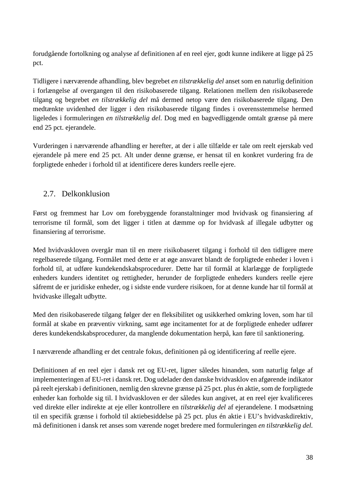forudgående fortolkning og analyse af definitionen af en reel ejer, godt kunne indikere at ligge på 25 pct.

Tidligere i nærværende afhandling, blev begrebet *en tilstrækkelig del* anset som en naturlig definition i forlængelse af overgangen til den risikobaserede tilgang. Relationen mellem den risikobaserede tilgang og begrebet *en tilstrækkelig del* må dermed netop være den risikobaserede tilgang. Den medtænkte uvidenhed der ligger i den risikobaserede tilgang findes i overensstemmelse hermed ligeledes i formuleringen *en tilstrækkelig del*. Dog med en bagvedliggende omtalt grænse på mere end 25 pct. ejerandele.

Vurderingen i nærværende afhandling er herefter, at der i alle tilfælde er tale om reelt ejerskab ved ejerandele på mere end 25 pct. Alt under denne grænse, er hensat til en konkret vurdering fra de forpligtede enheder i forhold til at identificere deres kunders reelle ejere.

# 2.7. Delkonklusion

Først og fremmest har Lov om forebyggende foranstaltninger mod hvidvask og finansiering af terrorisme til formål, som det ligger i titlen at dæmme op for hvidvask af illegale udbytter og finansiering af terrorisme.

Med hvidvaskloven overgår man til en mere risikobaseret tilgang i forhold til den tidligere mere regelbaserede tilgang. Formålet med dette er at øge ansvaret blandt de forpligtede enheder i loven i forhold til, at udføre kundekendskabsprocedurer. Dette har til formål at klarlægge de forpligtede enheders kunders identitet og rettigheder, herunder de forpligtede enheders kunders reelle ejere såfremt de er juridiske enheder, og i sidste ende vurdere risikoen, for at denne kunde har til formål at hvidvaske illegalt udbytte.

Med den risikobaserede tilgang følger der en fleksibilitet og usikkerhed omkring loven, som har til formål at skabe en præventiv virkning, samt øge incitamentet for at de forpligtede enheder udfører deres kundekendskabsprocedurer, da manglende dokumentation herpå, kan føre til sanktionering.

I nærværende afhandling er det centrale fokus, definitionen på og identificering af reelle ejere.

Definitionen af en reel ejer i dansk ret og EU-ret, ligner således hinanden, som naturlig følge af implementeringen af EU-ret i dansk ret. Dog udelader den danske hvidvasklov en afgørende indikator på reelt ejerskab i definitionen, nemlig den skrevne grænse på 25 pct. plus én aktie, som de forpligtede enheder kan forholde sig til. I hvidvaskloven er der således kun angivet, at en reel ejer kvalificeres ved direkte eller indirekte at eje eller kontrollere en *tilstrækkelig del* af ejerandelene. I modsætning til en specifik grænse i forhold til aktiebesiddelse på 25 pct. plus én aktie i EU's hvidvaskdirektiv, må definitionen i dansk ret anses som værende noget bredere med formuleringen *en tilstrækkelig del.*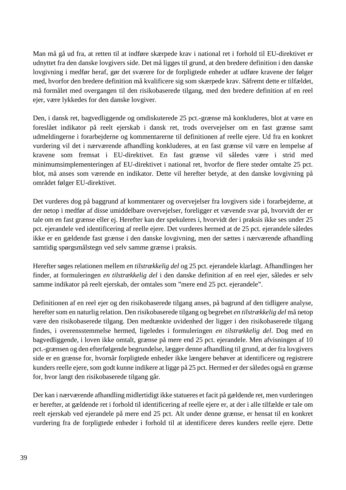Man må gå ud fra, at retten til at indføre skærpede krav i national ret i forhold til EU-direktivet er udnyttet fra den danske lovgivers side. Det må ligges til grund, at den bredere definition i den danske lovgivning i medfør heraf, gør det sværere for de forpligtede enheder at udføre kravene der følger med, hvorfor den bredere definition må kvalificere sig som skærpede krav. Såfremt dette er tilfældet, må formålet med overgangen til den risikobaserede tilgang, med den bredere definition af en reel ejer, være lykkedes for den danske lovgiver.

Den, i dansk ret, bagvedliggende og omdiskuterede 25 pct.-grænse må konkluderes, blot at være en foreslået indikator på reelt ejerskab i dansk ret, trods overvejelser om en fast grænse samt udmeldingerne i forarbejderne og kommentarerne til definitionen af reelle ejere. Ud fra en konkret vurdering vil det i nærværende afhandling konkluderes, at en fast grænse vil være en lempelse af kravene som fremsat i EU-direktivet. En fast grænse vil således være i strid med minimumsimplementeringen af EU-direktivet i national ret, hvorfor de flere steder omtalte 25 pct. blot, må anses som værende en indikator. Dette vil herefter betyde, at den danske lovgivning på området følger EU-direktivet.

Det vurderes dog på baggrund af kommentarer og overvejelser fra lovgivers side i forarbejderne, at der netop i medfør af disse umiddelbare overvejelser, foreligger et vævende svar på, hvorvidt der er tale om en fast grænse eller ej. Herefter kan der spekuleres i, hvorvidt der i praksis ikke ses under 25 pct. ejerandele ved identificering af reelle ejere. Det vurderes hermed at de 25 pct. ejerandele således ikke er en gældende fast grænse i den danske lovgivning, men der sættes i nærværende afhandling samtidig spørgsmålstegn ved selv samme grænse i praksis.

Herefter søges relationen mellem *en tilstrækkelig del* og 25 pct. ejerandele klarlagt. Afhandlingen her finder, at formuleringen *en tilstrækkelig del* i den danske definition af en reel ejer, således er selv samme indikator på reelt ejerskab, der omtales som "mere end 25 pct. ejerandele".

Definitionen af en reel ejer og den risikobaserede tilgang anses, på bagrund af den tidligere analyse, herefter som en naturlig relation. Den risikobaserede tilgang og begrebet *en tilstrækkelig del* må netop være den risikobaserede tilgang. Den medtænkte uvidenhed der ligger i den risikobaserede tilgang findes, i overensstemmelse hermed, ligeledes i formuleringen *en tilstrækkelig del*. Dog med en bagvedliggende, i loven ikke omtalt, grænse på mere end 25 pct. ejerandele. Men afvisningen af 10 pct.-grænsen og den efterfølgende begrundelse, lægger denne afhandling til grund, at der fra lovgivers side er en grænse for, hvornår forpligtede enheder ikke længere behøver at identificere og registrere kunders reelle ejere, som godt kunne indikere at ligge på 25 pct. Hermed er der således også en grænse for, hvor langt den risikobaserede tilgang går.

Der kan i nærværende afhandling midlertidigt ikke statueres et facit på gældende ret, men vurderingen er herefter, at gældende ret i forhold til identificering af reelle ejere er, at der i alle tilfælde er tale om reelt ejerskab ved ejerandele på mere end 25 pct. Alt under denne grænse, er hensat til en konkret vurdering fra de forpligtede enheder i forhold til at identificere deres kunders reelle ejere. Dette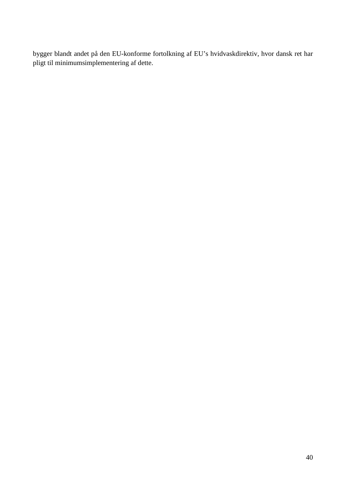bygger blandt andet på den EU-konforme fortolkning af EU's hvidvaskdirektiv, hvor dansk ret har pligt til minimumsimplementering af dette.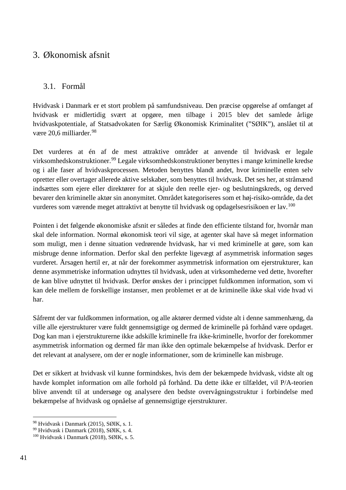# 3. Økonomisk afsnit

# 3.1. Formål

Hvidvask i Danmark er et stort problem på samfundsniveau. Den præcise opgørelse af omfanget af hvidvask er midlertidig svært at opgøre, men tilbage i 2015 blev det samlede årlige hvidvaskpotentiale, af Statsadvokaten for Særlig Økonomisk Kriminalitet ("SØIK"), anslået til at være 20,6 milliarder. [98](#page-41-0)

Det vurderes at én af de mest attraktive områder at anvende til hvidvask er legale virksomhedskonstruktioner. [99](#page-41-1) Legale virksomhedskonstruktioner benyttes i mange kriminelle kredse og i alle faser af hvidvaskprocessen. Metoden benyttes blandt andet, hvor kriminelle enten selv opretter eller overtager allerede aktive selskaber, som benyttes til hvidvask. Det ses her, at stråmænd indsættes som ejere eller direktører for at skjule den reelle ejer- og beslutningskreds, og derved bevarer den kriminelle aktør sin anonymitet. Området kategoriseres som et høj-risiko-område, da det vurderes som værende meget attraktivt at benytte til hvidvask og opdagelsesrisikoen er lav.<sup>[100](#page-41-2)</sup>

Pointen i det følgende økonomiske afsnit er således at finde den efficiente tilstand for, hvornår man skal dele information. Normal økonomisk teori vil sige, at agenter skal have så meget information som muligt, men i denne situation vedrørende hvidvask, har vi med kriminelle at gøre, som kan misbruge denne information. Derfor skal den perfekte ligevægt af asymmetrisk information søges vurderet. Årsagen hertil er, at når der forekommer asymmetrisk information om ejerstrukturer, kan denne asymmetriske information udnyttes til hvidvask, uden at virksomhederne ved dette, hvorefter de kan blive udnyttet til hvidvask. Derfor ønskes der i princippet fuldkommen information, som vi kan dele mellem de forskellige instanser, men problemet er at de kriminelle ikke skal vide hvad vi har.

Såfremt der var fuldkommen information, og alle aktører dermed vidste alt i denne sammenhæng, da ville alle ejerstrukturer være fuldt gennemsigtige og dermed de kriminelle på forhånd være opdaget. Dog kan man i ejerstrukturerne ikke adskille kriminelle fra ikke-kriminelle, hvorfor der forekommer asymmetrisk information og dermed får man ikke den optimale bekæmpelse af hvidvask. Derfor er det relevant at analysere, om der er nogle informationer, som de kriminelle kan misbruge.

Det er sikkert at hvidvask vil kunne formindskes, hvis dem der bekæmpede hvidvask, vidste alt og havde komplet information om alle forhold på forhånd. Da dette ikke er tilfældet, vil P/A-teorien blive anvendt til at undersøge og analysere den bedste overvågningsstruktur i forbindelse med bekæmpelse af hvidvask og opnåelse af gennemsigtige ejerstrukturer.

<span id="page-41-0"></span> <sup>98</sup> Hvidvask i Danmark (2015), SØIK, s. 1.

<span id="page-41-1"></span><sup>99</sup> Hvidvask i Danmark (2018), SØIK, s. 4.

<span id="page-41-2"></span> $100$  Hvidvask i Danmark (2018), SØIK, s. 5.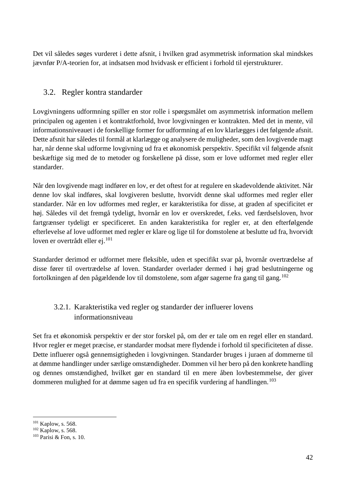Det vil således søges vurderet i dette afsnit, i hvilken grad asymmetrisk information skal mindskes jævnfør P/A-teorien for, at indsatsen mod hvidvask er efficient i forhold til ejerstrukturer.

# 3.2. Regler kontra standarder

Lovgivningens udformning spiller en stor rolle i spørgsmålet om asymmetrisk information mellem principalen og agenten i et kontraktforhold, hvor lovgivningen er kontrakten. Med det in mente, vil informationsniveauet i de forskellige former for udformning af en lov klarlægges i det følgende afsnit. Dette afsnit har således til formål at klarlægge og analysere de muligheder, som den lovgivende magt har, når denne skal udforme lovgivning ud fra et økonomisk perspektiv. Specifikt vil følgende afsnit beskæftige sig med de to metoder og forskellene på disse, som er love udformet med regler eller standarder.

Når den lovgivende magt indfører en lov, er det oftest for at regulere en skadevoldende aktivitet. Når denne lov skal indføres, skal lovgiveren beslutte, hvorvidt denne skal udformes med regler eller standarder. Når en lov udformes med regler, er karakteristika for disse, at graden af specificitet er høj. Således vil det fremgå tydeligt, hvornår en lov er overskredet, f.eks. ved færdselsloven, hvor fartgrænser tydeligt er specificeret. En anden karakteristika for regler er, at den efterfølgende efterlevelse af love udformet med regler er klare og lige til for domstolene at beslutte ud fra, hvorvidt loven er overtrådt eller ej.<sup>101</sup>

Standarder derimod er udformet mere fleksible, uden et specifikt svar på, hvornår overtrædelse af disse fører til overtrædelse af loven. Standarder overlader dermed i høj grad beslutningerne og fortolkningen af den pågældende lov til domstolene, som afgør sagerne fra gang til gang.[102](#page-42-1)

# 3.2.1. Karakteristika ved regler og standarder der influerer lovens informationsniveau

Set fra et økonomisk perspektiv er der stor forskel på, om der er tale om en regel eller en standard. Hvor regler er meget præcise, er standarder modsat mere flydende i forhold til specificiteten af disse. Dette influerer også gennemsigtigheden i lovgivningen. Standarder bruges i juraen af dommerne til at dømme handlinger under særlige omstændigheder. Dommen vil her bero på den konkrete handling og dennes omstændighed, hvilket gør en standard til en mere åben lovbestemmelse, der giver dommeren mulighed for at dømme sagen ud fra en specifik vurdering af handlingen.<sup>[103](#page-42-2)</sup>

<span id="page-42-0"></span><sup>&</sup>lt;sup>101</sup> Kaplow, s. 568.<br><sup>102</sup> Kaplow, s. 568.

<span id="page-42-1"></span>

<span id="page-42-2"></span><sup>103</sup> Parisi & Fon, s. 10.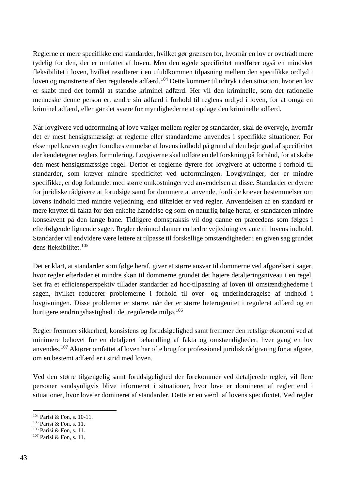Reglerne er mere specifikke end standarder, hvilket gør grænsen for, hvornår en lov er ovetrådt mere tydelig for den, der er omfattet af loven. Men den øgede specificitet medfører også en mindsket fleksibilitet i loven, hvilket resulterer i en ufuldkommen tilpasning mellem den specifikke ordlyd i loven og mønstrene af den regulerede adfærd.<sup>[104](#page-43-0)</sup> Dette kommer til udtryk i den situation, hvor en lov er skabt med det formål at standse kriminel adfærd. Her vil den kriminelle, som det rationelle menneske denne person er, ændre sin adfærd i forhold til reglens ordlyd i loven, for at omgå en kriminel adfærd, eller gør det svære for myndighederne at opdage den kriminelle adfærd.

Når lovgivere ved udformning af love vælger mellem regler og standarder, skal de overveje, hvornår det er mest hensigtsmæssigt at reglerne eller standarderne anvendes i specifikke situationer. For eksempel kræver regler forudbestemmelse af lovens indhold på grund af den høje grad af specificitet der kendetegner reglers formulering. Lovgiverne skal udføre en del forskning på forhånd, for at skabe den mest hensigtsmæssige regel. Derfor er reglerne dyrere for lovgivere at udforme i forhold til standarder, som kræver mindre specificitet ved udformningen. Lovgivninger, der er mindre specifikke, er dog forbundet med større omkostninger ved anvendelsen af disse. Standarder er dyrere for juridiske rådgivere at forudsige samt for dommere at anvende, fordi de kræver bestemmelser om lovens indhold med mindre vejledning, end tilfældet er ved regler. Anvendelsen af en standard er mere knyttet til fakta for den enkelte hændelse og som en naturlig følge heraf, er standarden mindre konsekvent på den lange bane. Tidligere domspraksis vil dog danne en præcedens som følges i efterfølgende lignende sager. Regler derimod danner en bedre vejledning ex ante til lovens indhold. Standarder vil endvidere være lettere at tilpasse til forskellige omstændigheder i en given sag grundet dens fleksibilitet. [105](#page-43-1)

Det er klart, at standarder som følge heraf, giver et større ansvar til dommerne ved afgørelser i sager, hvor regler efterlader et mindre skøn til dommerne grundet det højere detaljeringsniveau i en regel. Set fra et efficiensperspektiv tillader standarder ad hoc-tilpasning af loven til omstændighederne i sagen, hvilket reducerer problemerne i forhold til over- og underinddragelse af indhold i lovgivningen. Disse problemer er større, når der er større heterogenitet i reguleret adfærd og en hurtigere ændringshastighed i det regulerede miljø.<sup>[106](#page-43-2)</sup>

Regler fremmer sikkerhed, konsistens og forudsigelighed samt fremmer den retslige økonomi ved at minimere behovet for en detaljeret behandling af fakta og omstændigheder, hver gang en lov anvendes.[107](#page-43-3) Aktører omfattet af loven har ofte brug for professionel juridisk rådgivning for at afgøre, om en bestemt adfærd er i strid med loven.

Ved den større tilgængelig samt forudsigelighed der forekommer ved detaljerede regler, vil flere personer sandsynligvis blive informeret i situationer, hvor love er domineret af regler end i situationer, hvor love er domineret af standarder. Dette er en værdi af lovens specificitet. Ved regler

<span id="page-43-0"></span> <sup>104</sup> Parisi & Fon, s. 10-11.

<span id="page-43-1"></span><sup>105</sup> Parisi & Fon, s. 11.

<span id="page-43-2"></span><sup>106</sup> Parisi & Fon, s. 11.

<span id="page-43-3"></span><sup>107</sup> Parisi & Fon, s. 11.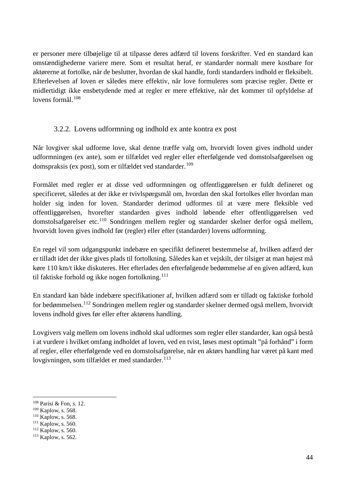er personer mere tilbøjelige til at tilpasse deres adfærd til lovens forskrifter. Ved en standard kan omstændighederne variere mere. Som et resultat heraf, er standarder normalt mere kostbare for aktørerne at fortolke, når de beslutter, hvordan de skal handle, fordi standarders indhold er fleksibelt. Efterlevelsen af loven er således mere effektiv, når love formuleres som præcise regler. Dette er midlertidigt ikke ensbetydende med at regler er mere effektive, når det kommer til opfyldelse af lovens formål. $108$ 

### 3.2.2. Lovens udformning og indhold ex ante kontra ex post

Når lovgiver skal udforme love, skal denne træffe valg om, hvorvidt loven gives indhold under udformningen (ex ante), som er tilfældet ved regler eller efterfølgende ved domstolsafgørelsen og domspraksis (ex post), som er tilfældet ved standarder.<sup>[109](#page-44-1)</sup>

Formålet med regler er at disse ved udformningen og offentliggørelsen er fuldt defineret og specificeret, således at der ikke er tvivlspørgsmål om, hvordan den skal fortolkes eller hvordan man holder sig inden for loven. Standarder derimod udformes til at være mere fleksible ved offentliggørelsen, hvorefter standarden gives indhold løbende efter offentliggørelsen ved domstolsafgørelser etc.[110](#page-44-2) Sondringen mellem regler og standarder skelner derfor også mellem, hvorvidt loven gives indhold før (regler) eller efter (standarder) lovens udformning.

En regel vil som udgangspunkt indebære en specifikt defineret bestemmelse af, hvilken adfærd der er tilladt idet der ikke gives plads til fortolkning. Således kan et vejskilt, der tilsiger at man højest må køre 110 km/t ikke diskuteres. Her efterlades den efterfølgende bedømmelse af en given adfærd, kun til faktiske forhold og ikke nogen fortolkning.<sup>[111](#page-44-3)</sup>

En standard kan både indebære specifikationer af, hvilken adfærd som er tilladt og faktiske forhold for bedømmelsen.[112](#page-44-4) Sondringen mellem regler og standarder skelner dermed også mellem, hvorvidt lovens indhold gives før eller efter aktørens handling.

Lovgivers valg mellem om lovens indhold skal udformes som regler eller standarder, kan også bestå i at vurdere i hvilket omfang indholdet af loven, ved en tvist, løses mest optimalt "på forhånd" i form af regler, eller efterfølgende ved en domstolsafgørelse, når en aktørs handling har været på kant med lovgivningen, som tilfældet er med standarder. $^{113}$  $^{113}$  $^{113}$ 

<span id="page-44-0"></span> <sup>108</sup> Parisi & Fon, s. 12.

<span id="page-44-1"></span><sup>109</sup> Kaplow, s. 568.

<span id="page-44-2"></span><sup>&</sup>lt;sup>110</sup> Kaplow, s. 568.

<span id="page-44-3"></span><sup>&</sup>lt;sup>111</sup> Kaplow, s. 560.

<span id="page-44-4"></span><sup>112</sup> Kaplow, s. 560.

<span id="page-44-5"></span><sup>&</sup>lt;sup>113</sup> Kaplow, s. 562.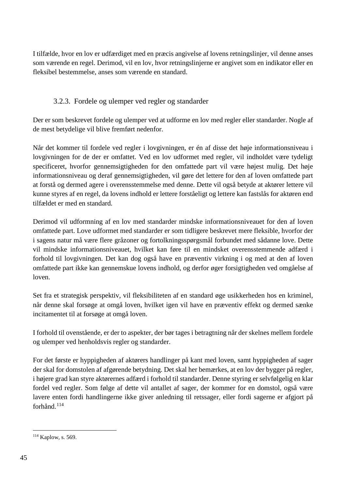I tilfælde, hvor en lov er udfærdiget med en præcis angivelse af lovens retningslinjer, vil denne anses som værende en regel. Derimod, vil en lov, hvor retningslinjerne er angivet som en indikator eller en fleksibel bestemmelse, anses som værende en standard.

# 3.2.3. Fordele og ulemper ved regler og standarder

Der er som beskrevet fordele og ulemper ved at udforme en lov med regler eller standarder. Nogle af de mest betydelige vil blive fremført nedenfor.

Når det kommer til fordele ved regler i lovgivningen, er én af disse det høje informationsniveau i lovgivningen for de der er omfattet. Ved en lov udformet med regler, vil indholdet være tydeligt specificeret, hvorfor gennemsigtigheden for den omfattede part vil være højest mulig. Det høje informationsniveau og deraf gennemsigtigheden, vil gøre det lettere for den af loven omfattede part at forstå og dermed agere i overensstemmelse med denne. Dette vil også betyde at aktører lettere vil kunne styres af en regel, da lovens indhold er lettere forståeligt og lettere kan fastslås for aktøren end tilfældet er med en standard.

Derimod vil udformning af en lov med standarder mindske informationsniveauet for den af loven omfattede part. Love udformet med standarder er som tidligere beskrevet mere fleksible, hvorfor der i sagens natur må være flere gråzoner og fortolkningsspørgsmål forbundet med sådanne love. Dette vil mindske informationsniveauet, hvilket kan føre til en mindsket overensstemmende adfærd i forhold til lovgivningen. Det kan dog også have en præventiv virkning i og med at den af loven omfattede part ikke kan gennemskue lovens indhold, og derfor øger forsigtigheden ved omgåelse af loven.

Set fra et strategisk perspektiv, vil fleksibiliteten af en standard øge usikkerheden hos en kriminel, når denne skal forsøge at omgå loven, hvilket igen vil have en præventiv effekt og dermed sænke incitamentet til at forsøge at omgå loven.

I forhold til ovenstående, er der to aspekter, der bør tages i betragtning når der skelnes mellem fordele og ulemper ved henholdsvis regler og standarder.

For det første er hyppigheden af aktørers handlinger på kant med loven, samt hyppigheden af sager der skal for domstolen af afgørende betydning. Det skal her bemærkes, at en lov der bygger på regler, i højere grad kan styre aktørernes adfærd i forhold til standarder. Denne styring er selvfølgelig en klar fordel ved regler. Som følge af dette vil antallet af sager, der kommer for en domstol, også være lavere enten fordi handlingerne ikke giver anledning til retssager, eller fordi sagerne er afgjort på forhånd.<sup>[114](#page-45-0)</sup>

<span id="page-45-0"></span><sup>&</sup>lt;sup>114</sup> Kaplow, s. 569.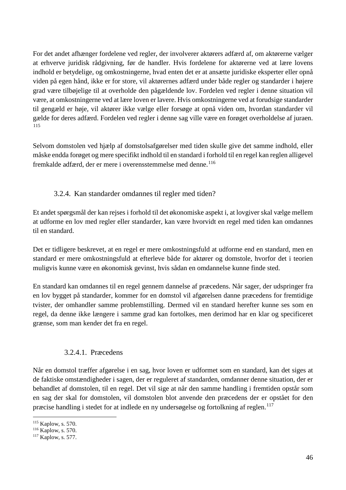For det andet afhænger fordelene ved regler, der involverer aktørers adfærd af, om aktørerne vælger at erhverve juridisk rådgivning, før de handler. Hvis fordelene for aktørerne ved at lære lovens indhold er betydelige, og omkostningerne, hvad enten det er at ansætte juridiske eksperter eller opnå viden på egen hånd, ikke er for store, vil aktørernes adfærd under både regler og standarder i højere grad være tilbøjelige til at overholde den pågældende lov. Fordelen ved regler i denne situation vil være, at omkostningerne ved at lære loven er lavere. Hvis omkostningerne ved at forudsige standarder til gengæld er høje, vil aktører ikke vælge eller forsøge at opnå viden om, hvordan standarder vil gælde for deres adfærd. Fordelen ved regler i denne sag ville være en forøget overholdelse af juraen. [115](#page-46-0)

Selvom domstolen ved hjælp af domstolsafgørelser med tiden skulle give det samme indhold, eller måske endda forøget og mere specifikt indhold til en standard i forhold til en regel kan reglen alligevel fremkalde adfærd, der er mere i overensstemmelse med denne.<sup>[116](#page-46-1)</sup>

### 3.2.4. Kan standarder omdannes til regler med tiden?

Et andet spørgsmål der kan rejses i forhold til det økonomiske aspekt i, at lovgiver skal vælge mellem at udforme en lov med regler eller standarder, kan være hvorvidt en regel med tiden kan omdannes til en standard.

Det er tidligere beskrevet, at en regel er mere omkostningsfuld at udforme end en standard, men en standard er mere omkostningsfuld at efterleve både for aktører og domstole, hvorfor det i teorien muligvis kunne være en økonomisk gevinst, hvis sådan en omdannelse kunne finde sted.

En standard kan omdannes til en regel gennem dannelse af præcedens. Når sager, der udspringer fra en lov bygget på standarder, kommer for en domstol vil afgørelsen danne præcedens for fremtidige tvister, der omhandler samme problemstilling. Dermed vil en standard herefter kunne ses som en regel, da denne ikke længere i samme grad kan fortolkes, men derimod har en klar og specificeret grænse, som man kender det fra en regel.

#### 3.2.4.1. Præcedens

Når en domstol træffer afgørelse i en sag, hvor loven er udformet som en standard, kan det siges at de faktiske omstændigheder i sagen, der er reguleret af standarden, omdanner denne situation, der er behandlet af domstolen, til en regel. Det vil sige at når den samme handling i fremtiden opstår som en sag der skal for domstolen, vil domstolen blot anvende den præcedens der er opstået for den præcise handling i stedet for at indlede en ny undersøgelse og fortolkning af reglen.<sup>[117](#page-46-2)</sup>

<span id="page-46-0"></span> <sup>115</sup> Kaplow, s. 570.

<span id="page-46-1"></span><sup>116</sup> Kaplow, s. 570.

<span id="page-46-2"></span><sup>&</sup>lt;sup>117</sup> Kaplow, s. 577.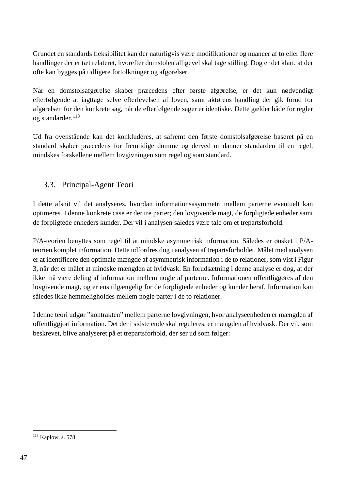Grundet en standards fleksibilitet kan der naturligvis være modifikationer og nuancer af to eller flere handlinger der er tæt relateret, hvorefter domstolen alligevel skal tage stilling. Dog er det klart, at der ofte kan bygges på tidligere fortolkninger og afgørelser.

Når en domstolsafgørelse skaber præcedens efter første afgørelse, er det kun nødvendigt efterfølgende at iagttage selve efterlevelsen af loven, samt aktørens handling der gik forud for afgørelsen for den konkrete sag, når de efterfølgende sager er identiske. Dette gælder både for regler og standarder.<sup>[118](#page-47-0)</sup>

Ud fra ovenstående kan det konkluderes, at såfremt den første domstolsafgørelse baseret på en standard skaber præcedens for fremtidige domme og derved omdanner standarden til en regel, mindskes forskellene mellem lovgivningen som regel og som standard.

# 3.3. Principal-Agent Teori

I dette afsnit vil det analyseres, hvordan informationsasymmetri mellem parterne eventuelt kan optimeres. I denne konkrete case er der tre parter; den lovgivende magt, de forpligtede enheder samt de forpligtede enheders kunder. Der vil i analysen således være tale om et trepartsforhold.

P/A-teorien benyttes som regel til at mindske asymmetrisk information. Således er ønsket i P/Ateorien komplet information. Dette udfordres dog i analysen af trepartsforholdet. Målet med analysen er at identificere den optimale mængde af asymmetrisk information i de to relationer, som vist i Figur 3, når det er målet at mindske mængden af hvidvask. En forudsætning i denne analyse er dog, at der ikke må være deling af information mellem nogle af parterne. Informationen offentliggøres af den lovgivende magt, og er ens tilgængelig for de forpligtede enheder og kunder heraf. Information kan således ikke hemmeligholdes mellem nogle parter i de to relationer.

I denne teori udgør "kontrakten" mellem parterne lovgivningen, hvor analyseenheden er mængden af offentliggjort information. Det der i sidste ende skal reguleres, er mængden af hvidvask. Der vil, som beskrevet, blive analyseret på et trepartsforhold, der ser ud som følger:

<span id="page-47-0"></span> <sup>118</sup> Kaplow, s. 578.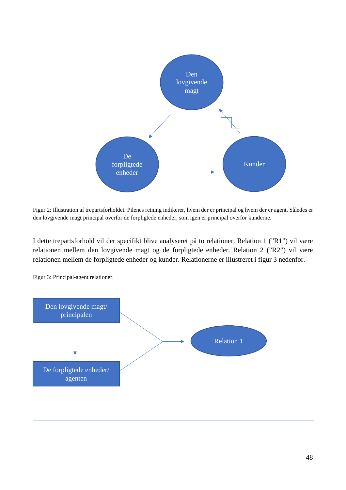

Figur 2: Illustration af trepartsforholdet. Pilenes retning indikerer, hvem der er principal og hvem der er agent. Således er den lovgivende magt principal overfor de forpligtede enheder, som igen er principal overfor kunderne.

I dette trepartsforhold vil der specifikt blive analyseret på to relationer. Relation 1 ("R1") vil være relationen mellem den lovgivende magt og de forpligtede enheder. Relation 2 ("R2") vil være relationen mellem de forpligtede enheder og kunder. Relationerne er illustreret i figur 3 nedenfor.



Figur 3: Principal-agent relationer.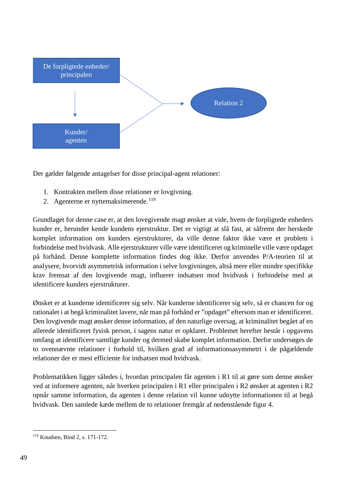

Der gælder følgende antagelser for disse principal-agent relationer:

- 1. Kontrakten mellem disse relationer er lovgivning.
- 2. Agenterne er nyttemaksimerende.<sup>[119](#page-49-0)</sup>

Grundlaget for denne case er, at den lovegivende magt ønsker at vide, hvem de forpligtede enheders kunder er, herunder kende kundens ejerstruktur. Det er vigtigt at slå fast, at såfremt der herskede komplet information om kunders ejerstrukturer, da ville denne faktor ikke være et problem i forbindelse med hvidvask. Alle ejerstrukturer ville være identificeret og kriminelle ville være opdaget på forhånd. Denne komplette information findes dog ikke. Derfor anvendes P/A-teorien til at analysere, hvorvidt asymmetrisk information i selve lovgivningen, altså mere eller mindre specifikke krav fremsat af den lovgivende magt, influerer indsatsen mod hvidvask i forbindelse med at identificere kunders ejerstrukturer.

Ønsket er at kunderne identificerer sig selv. Når kunderne identificerer sig selv, så er chancen for og rationalet i at begå kriminalitet lavere, når man på forhånd er "opdaget" eftersom man er identificeret. Den lovgivende magt ønsker denne information, af den naturlige oversag, at kriminalitet begået af en allerede identificeret fysisk person, i sagens natur er opklaret. Problemet herefter består i opgavens omfang at identificere samtlige kunder og dermed skabe komplet information. Derfor undersøges de to ovennævnte relationer i forhold til, hvilken grad af informationsasymmetri i de pågældende relationer der er mest efficiente for indsatsen mod hvidvask.

Problematikken ligger således i, hvordan principalen får agenten i R1 til at gøre som denne ønsker ved at informere agenten, når hverken principalen i R1 eller principalen i R2 ønsker at agenten i R2 opnår samme information, da agenten i denne relation vil kunne udnytte informationen til at begå hvidvask. Den samlede kæde mellem de to relationer fremgår af nedenstående figur 4.

<span id="page-49-0"></span> <sup>119</sup> Knudsen, Bind 2, s. 171-172.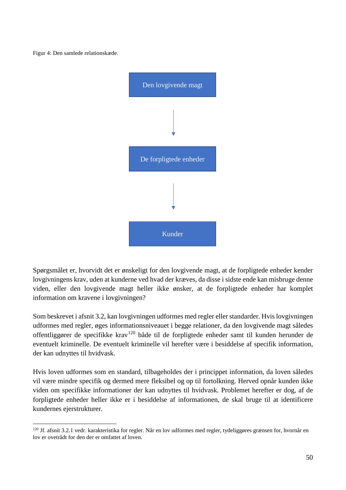Figur 4: Den samlede relationskæde.



Spørgsmålet er, hvorvidt det er ønskeligt for den lovgivende magt, at de forpligtede enheder kender lovgivningens krav, uden at kunderne ved hvad der kræves, da disse i sidste ende kan misbruge denne viden, eller den lovgivende magt heller ikke ønsker, at de forpligtede enheder har komplet information om kravene i lovgivningen?

Som beskrevet i afsnit 3.2, kan lovgivningen udformes med regler eller standarder. Hvis lovgivningen udformes med regler, øges informationsniveauet i begge relationer, da den lovgivende magt således offentliggører de specifikke krav<sup>[120](#page-50-0)</sup> både til de forpligtede enheder samt til kunden herunder de eventuelt kriminelle. De eventuelt kriminelle vil herefter være i besiddelse af specifik information, der kan udnyttes til hvidvask.

Hvis loven udformes som en standard, tilbageholdes der i princippet information, da loven således vil være mindre specifik og dermed mere fleksibel og op til fortolkning. Herved opnår kunden ikke viden om specifikke informationer der kan udnyttes til hvidvask. Problemet herefter er dog, af de forpligtede enheder heller ikke er i besiddelse af informationen, de skal bruge til at identificere kundernes ejerstrukturer.

<span id="page-50-0"></span> $120$  Jf. afsnit 3.2.1 vedr. karakteristika for regler. Når en lov udformes med regler, tydeliggøres grænsen for, hvornår en lov er ovetrådt for den der er omfattet af loven.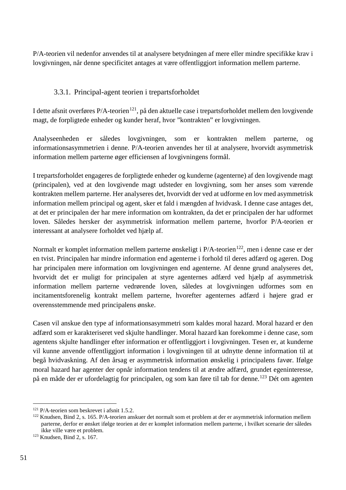P/A-teorien vil nedenfor anvendes til at analysere betydningen af mere eller mindre specifikke krav i lovgivningen, når denne specificitet antages at være offentliggjort information mellem parterne.

### 3.3.1. Principal-agent teorien i trepartsforholdet

I dette afsnit overføres P/A-teorien<sup>121</sup>, på den aktuelle case i trepartsforholdet mellem den lovgivende magt, de forpligtede enheder og kunder heraf, hvor "kontrakten" er lovgivningen.

Analyseenheden er således lovgivningen, som er kontrakten mellem parterne, og informationsasymmetrien i denne. P/A-teorien anvendes her til at analysere, hvorvidt asymmetrisk information mellem parterne øger efficiensen af lovgivningens formål.

I trepartsforholdet engageres de forpligtede enheder og kunderne (agenterne) af den lovgivende magt (principalen), ved at den lovgivende magt udsteder en lovgivning, som her anses som værende kontrakten mellem parterne. Her analyseres det, hvorvidt der ved at udforme en lov med asymmetrisk information mellem principal og agent, sker et fald i mængden af hvidvask. I denne case antages det, at det er principalen der har mere information om kontrakten, da det er principalen der har udformet loven. Således hersker der asymmetrisk information mellem parterne, hvorfor P/A-teorien er interessant at analysere forholdet ved hjælp af.

Normalt er komplet information mellem parterne ønskeligt i  $P/A$ -teorien<sup>122</sup>, men i denne case er der en tvist. Principalen har mindre information end agenterne i forhold til deres adfærd og ageren. Dog har principalen mere information om lovgivningen end agenterne. Af denne grund analyseres det, hvorvidt det er muligt for principalen at styre agenternes adfærd ved hjælp af asymmetrisk information mellem parterne vedrørende loven, således at lovgivningen udformes som en incitamentsforenelig kontrakt mellem parterne, hvorefter agenternes adfærd i højere grad er overensstemmende med principalens ønske.

Casen vil anskue den type af informationsasymmetri som kaldes moral hazard. Moral hazard er den adfærd som er karakteriseret ved skjulte handlinger. Moral hazard kan forekomme i denne case, som agentens skjulte handlinger efter information er offentliggjort i lovgivningen. Tesen er, at kunderne vil kunne anvende offentliggjort information i lovgivningen til at udnytte denne information til at begå hvidvaskning. Af den årsag er asymmetrisk information ønskelig i principalens favør. Ifølge moral hazard har agenter der opnår information tendens til at ændre adfærd, grundet egeninteresse, på en måde der er ufordelagtig for principalen, og som kan føre til tab for denne.[123](#page-51-2) Dét om agenten

<span id="page-51-0"></span> <sup>121</sup> P/A-teorien som beskrevet i afsnit 1.5.2.

<span id="page-51-1"></span><sup>&</sup>lt;sup>122</sup> Knudsen, Bind 2, s. 165. P/A-teorien anskuer det normalt som et problem at der er asymmetrisk information mellem parterne, derfor er ønsket ifølge teorien at der er komplet information mellem parterne, i hvilket scenarie der således ikke ville være et problem. 123 Knudsen, Bind 2, s. 167.

<span id="page-51-2"></span>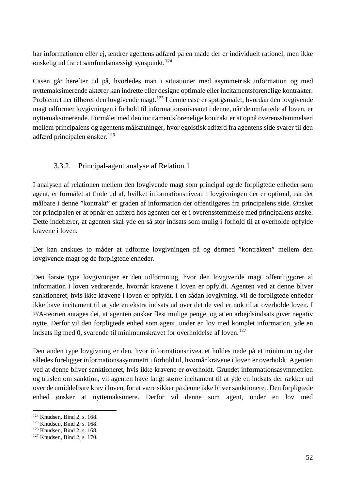har informationen eller ej, ændrer agentens adfærd på en måde der er individuelt rationel, men ikke ønskelig ud fra et samfundsmæssigt synspunkt. [124](#page-52-0)

Casen går herefter ud på, hvorledes man i situationer med asymmetrisk information og med nyttemaksimerende aktører kan indrette eller designe optimale eller incitamentsforenelige kontrakter. Problemet her tilhører den lovgivende magt.<sup>[125](#page-52-1)</sup> I denne case er spørgsmålet, hvordan den lovgivende magt udformer lovgivningen i forhold til informationsniveauet i denne, når de omfattede af loven, er nyttemaksimerende. Formålet med den incitamentsforenelige kontrakt er at opnå overensstemmelsen mellem principalens og agentens målsætninger, hvor egoistisk adfærd fra agentens side svarer til den adfærd principalen ønsker.[126](#page-52-2)

## 3.3.2. Principal-agent analyse af Relation 1

I analysen af relationen mellem den lovgivende magt som principal og de forpligtede enheder som agent, er formålet at finde ud af, hvilket informationsniveau i lovgivningen der er optimal, når det målbare i denne "kontrakt" er graden af information der offentligøres fra principalens side. Ønsket for principalen er at opnår en adfærd hos agenten der er i overensstemmelse med principalens ønske. Dette indebærer, at agenten skal yde en så stor indsats som mulig i forhold til at overholde opfylde kravene i loven.

Der kan anskues to måder at udforme lovgivningen på og dermed "kontrakten" mellem den lovgivende magt og de forpligtede enheder.

Den første type lovgivninger er den udformning, hvor den lovgivende magt offentliggører al information i loven vedrørende, hvornår kravene i loven er opfyldt. Agenten ved at denne bliver sanktioneret, hvis ikke kravene i loven er opfyldt. I en sådan lovgivning, vil de forpligtede enheder ikke have incitament til at yde en ekstra indsats ud over det de ved er nok til at overholde loven. I P/A-teorien antages det, at agenten ønsker flest mulige penge, og at en arbejdsindsats giver negativ nytte. Derfor vil den forpligtede enhed som agent, under en lov med komplet information, yde en indsats lig med 0, svarende til minimumskravet for overholdelse af loven.<sup>[127](#page-52-3)</sup>

Den anden type lovgivning er den, hvor informationsniveauet holdes nede på et minimum og der således foreligger informationsasymmetri i forhold til, hvornår kravene i loven er overholdt. Agenten ved at denne bliver sanktioneret, hvis ikke kravene er overholdt. Grundet informationsasymmetrien og truslen om sanktion, vil agenten have langt større incitament til at yde en indsats der rækker ud over de umiddelbare krav i loven, for at være sikker på denne ikke bliver sanktioneret. Den forpligtede enhed ønsker at nyttemaksimere. Derfor vil denne som agent, under en lov med

<span id="page-52-0"></span> <sup>124</sup> Knudsen, Bind 2, s. 168.

<span id="page-52-1"></span><sup>125</sup> Knudsen, Bind 2, s. 168.

<span id="page-52-2"></span><sup>126</sup> Knudsen, Bind 2, s. 168.

<span id="page-52-3"></span><sup>127</sup> Knudsen, Bind 2, s. 170.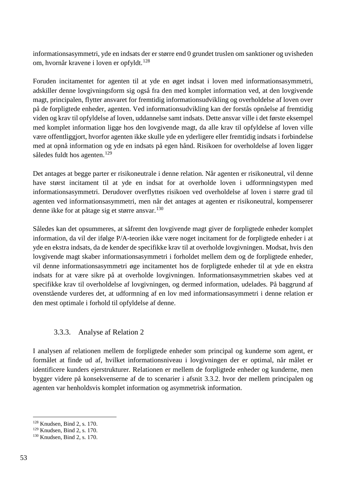informationsasymmetri, yde en indsats der er større end 0 grundet truslen om sanktioner og uvisheden om, hvornår kravene i loven er opfyldt.<sup>[128](#page-53-0)</sup>

Foruden incitamentet for agenten til at yde en øget indsat i loven med informationsasymmetri, adskiller denne lovgivningsform sig også fra den med komplet information ved, at den lovgivende magt, principalen, flytter ansvaret for fremtidig informationsudvikling og overholdelse af loven over på de forpligtede enheder, agenten. Ved informationsudvikling kan der forstås opnåelse af fremtidig viden og krav til opfyldelse af loven, uddannelse samt indsats. Dette ansvar ville i det første eksempel med komplet information ligge hos den lovgivende magt, da alle krav til opfyldelse af loven ville være offentliggjort, hvorfor agenten ikke skulle yde en yderligere eller fremtidig indsats i forbindelse med at opnå information og yde en indsats på egen hånd. Risikoen for overholdelse af loven ligger således fuldt hos agenten.<sup>[129](#page-53-1)</sup>

Det antages at begge parter er risikoneutrale i denne relation. Når agenten er risikoneutral, vil denne have størst incitament til at yde en indsat for at overholde loven i udformningstypen med informationsasymmetri. Derudover overflyttes risikoen ved overholdelse af loven i større grad til agenten ved informationsasymmetri, men når det antages at agenten er risikoneutral, kompenserer denne ikke for at påtage sig et større ansvar.<sup>[130](#page-53-2)</sup>

Således kan det opsummeres, at såfremt den lovgivende magt giver de forpligtede enheder komplet information, da vil der ifølge P/A-teorien ikke være noget incitament for de forpligtede enheder i at yde en ekstra indsats, da de kender de specifikke krav til at overholde lovgivningen. Modsat, hvis den lovgivende magt skaber informationsasymmetri i forholdet mellem dem og de forpligtede enheder, vil denne informationsasymmetri øge incitamentet hos de forpligtede enheder til at yde en ekstra indsats for at være sikre på at overholde lovgivningen. Informationsasymmetrien skabes ved at specifikke krav til overholdelse af lovgivningen, og dermed information, udelades. På baggrund af ovenstående vurderes det, at udformning af en lov med informationsasymmetri i denne relation er den mest optimale i forhold til opfyldelse af denne.

## 3.3.3. Analyse af Relation 2

I analysen af relationen mellem de forpligtede enheder som principal og kunderne som agent, er formålet at finde ud af, hvilket informationsniveau i lovgivningen der er optimal, når målet er identificere kunders ejerstrukturer. Relationen er mellem de forpligtede enheder og kunderne, men bygger videre på konsekvenserne af de to scenarier i afsnit 3.3.2. hvor der mellem principalen og agenten var henholdsvis komplet information og asymmetrisk information.

<span id="page-53-0"></span> <sup>128</sup> Knudsen, Bind 2, s. 170.

<span id="page-53-1"></span><sup>129</sup> Knudsen, Bind 2, s. 170.

<span id="page-53-2"></span><sup>130</sup> Knudsen, Bind 2, s. 170.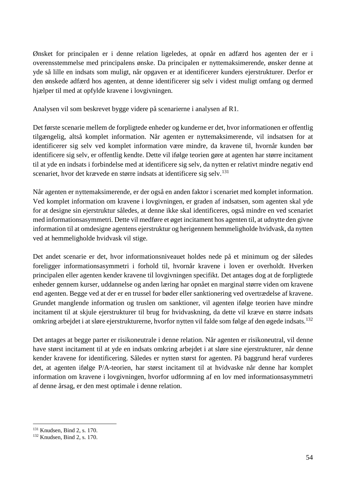Ønsket for principalen er i denne relation ligeledes, at opnår en adfærd hos agenten der er i overensstemmelse med principalens ønske. Da principalen er nyttemaksimerende, ønsker denne at yde så lille en indsats som muligt, når opgaven er at identificerer kunders ejerstrukturer. Derfor er den ønskede adfærd hos agenten, at denne identificerer sig selv i videst muligt omfang og dermed hjælper til med at opfylde kravene i lovgivningen.

Analysen vil som beskrevet bygge videre på scenarierne i analysen af R1.

Det første scenarie mellem de forpligtede enheder og kunderne er det, hvor informationen er offentlig tilgængelig, altså komplet information. Når agenten er nyttemaksimerende, vil indsatsen for at identificerer sig selv ved komplet information være mindre, da kravene til, hvornår kunden bør identificere sig selv, er offentlig kendte. Dette vil ifølge teorien gøre at agenten har større incitament til at yde en indsats i forbindelse med at identificere sig selv, da nytten er relativt mindre negativ end scenariet, hvor det krævede en større indsats at identificere sig selv.<sup>[131](#page-54-0)</sup>

Når agenten er nyttemaksimerende, er der også en anden faktor i scenariet med komplet information. Ved komplet information om kravene i lovgivningen, er graden af indsatsen, som agenten skal yde for at designe sin ejerstruktur således, at denne ikke skal identificeres, også mindre en ved scenariet med informationsasymmetri. Dette vil medføre et øget incitament hos agenten til, at udnytte den givne information til at omdesigne agentens ejerstruktur og herigennem hemmeligholde hvidvask, da nytten ved at hemmeligholde hvidvask vil stige.

Det andet scenarie er det, hvor informationsniveauet holdes nede på et minimum og der således foreligger informationsasymmetri i forhold til, hvornår kravene i loven er overholdt. Hverken principalen eller agenten kender kravene til lovgivningen specifikt. Det antages dog at de forpligtede enheder gennem kurser, uddannelse og anden læring har opnået en marginal større viden om kravene end agenten. Begge ved at der er en trussel for bøder eller sanktionering ved overtrædelse af kravene. Grundet manglende information og truslen om sanktioner, vil agenten ifølge teorien have mindre incitament til at skjule ejerstrukturer til brug for hvidvaskning, da dette vil kræve en større indsats omkring arbejdet i at sløre ejerstrukturerne, hvorfor nytten vil falde som følge af den øgede indsats.<sup>[132](#page-54-1)</sup>

Det antages at begge parter er risikoneutrale i denne relation. Når agenten er risikoneutral, vil denne have størst incitament til at yde en indsats omkring arbejdet i at sløre sine ejerstrukturer, når denne kender kravene for identificering. Således er nytten størst for agenten. På baggrund heraf vurderes det, at agenten ifølge P/A-teorien, har størst incitament til at hvidvaske når denne har komplet information om kravene i lovgivningen, hvorfor udformning af en lov med informationsasymmetri af denne årsag, er den mest optimale i denne relation.

<span id="page-54-0"></span> <sup>131</sup> Knudsen, Bind 2, s. 170.

<span id="page-54-1"></span><sup>132</sup> Knudsen, Bind 2, s. 170.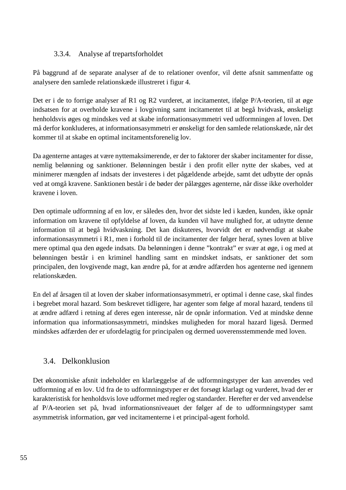#### 3.3.4. Analyse af trepartsforholdet

På baggrund af de separate analyser af de to relationer ovenfor, vil dette afsnit sammenfatte og analysere den samlede relationskæde illustreret i figur 4.

Det er i de to forrige analyser af R1 og R2 vurderet, at incitamentet, ifølge P/A-teorien, til at øge indsatsen for at overholde kravene i lovgivning samt incitamentet til at begå hvidvask, ønskeligt henholdsvis øges og mindskes ved at skabe informationsasymmetri ved udformningen af loven. Det må derfor konkluderes, at informationsasymmetri er ønskeligt for den samlede relationskæde, når det kommer til at skabe en optimal incitamentsforenelig lov.

Da agenterne antages at være nyttemaksimerende, er der to faktorer der skaber incitamenter for disse, nemlig belønning og sanktioner. Belønningen består i den profit eller nytte der skabes, ved at minimerer mængden af indsats der investeres i det pågældende arbejde, samt det udbytte der opnås ved at omgå kravene. Sanktionen består i de bøder der pålægges agenterne, når disse ikke overholder kravene i loven.

Den optimale udformning af en lov, er således den, hvor det sidste led i kæden, kunden, ikke opnår information om kravene til opfyldelse af loven, da kunden vil have mulighed for, at udnytte denne information til at begå hvidvaskning. Det kan diskuteres, hvorvidt det er nødvendigt at skabe informationsasymmetri i R1, men i forhold til de incitamenter der følger heraf, synes loven at blive mere optimal qua den øgede indsats. Da belønningen i denne "kontrakt" er svær at øge, i og med at belønningen består i en kriminel handling samt en mindsket indsats, er sanktioner det som principalen, den lovgivende magt, kan ændre på, for at ændre adfærden hos agenterne ned igennem relationskæden.

En del af årsagen til at loven der skaber informationsasymmetri, er optimal i denne case, skal findes i begrebet moral hazard. Som beskrevet tidligere, har agenter som følge af moral hazard, tendens til at ændre adfærd i retning af deres egen interesse, når de opnår information. Ved at mindske denne information qua informationsasymmetri, mindskes muligheden for moral hazard ligeså. Dermed mindskes adfærden der er ufordelagtig for principalen og dermed uoverensstemmende med loven.

## 3.4. Delkonklusion

Det økonomiske afsnit indeholder en klarlæggelse af de udformningstyper der kan anvendes ved udformning af en lov. Ud fra de to udformningstyper er det forsøgt klarlagt og vurderet, hvad der er karakteristisk for henholdsvis love udformet med regler og standarder. Herefter er der ved anvendelse af P/A-teorien set på, hvad informationsniveauet der følger af de to udformningstyper samt asymmetrisk information, gør ved incitamenterne i et principal-agent forhold.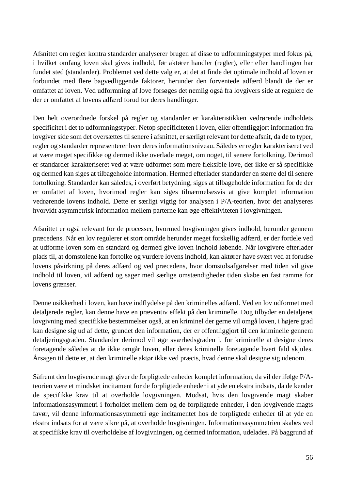Afsnittet om regler kontra standarder analyserer brugen af disse to udformningstyper med fokus på, i hvilket omfang loven skal gives indhold, før aktører handler (regler), eller efter handlingen har fundet sted (standarder). Problemet ved dette valg er, at det at finde det optimale indhold af loven er forbundet med flere bagvedliggende faktorer, herunder den forventede adfærd blandt de der er omfattet af loven. Ved udformning af love forsøges det nemlig også fra lovgivers side at regulere de der er omfattet af lovens adfærd forud for deres handlinger.

Den helt overordnede forskel på regler og standarder er karakteristikken vedrørende indholdets specificitet i det to udformningstyper. Netop specificiteten i loven, eller offentliggjort information fra lovgiver side som det oversættes til senere i afsnittet, er særligt relevant for dette afsnit, da de to typer, regler og standarder repræsenterer hver deres informationsniveau. Således er regler karakteriseret ved at være meget specifikke og dermed ikke overlade meget, om noget, til senere fortolkning. Derimod er standarder karakteriseret ved at være udformet som mere fleksible love, der ikke er så specifikke og dermed kan siges at tilbageholde information. Hermed efterlader standarder en større del til senere fortolkning. Standarder kan således, i overført betydning, siges at tilbageholde information for de der er omfattet af loven, hvorimod regler kan siges tilnærmelsesvis at give komplet information vedrørende lovens indhold. Dette er særligt vigtig for analysen i P/A-teorien, hvor det analyseres hvorvidt asymmetrisk information mellem parterne kan øge effektiviteten i lovgivningen.

Afsnittet er også relevant for de processer, hvormed lovgivningen gives indhold, herunder gennem præcedens. Når en lov regulerer et stort område herunder meget forskellig adfærd, er der fordele ved at udforme loven som en standard og dermed give loven indhold løbende. Når lovgivere efterlader plads til, at domstolene kan fortolke og vurdere lovens indhold, kan aktører have svært ved at forudse lovens påvirkning på deres adfærd og ved præcedens, hvor domstolsafgørelser med tiden vil give indhold til loven, vil adfærd og sager med særlige omstændigheder tiden skabe en fast ramme for lovens grænser.

Denne usikkerhed i loven, kan have indflydelse på den kriminelles adfærd. Ved en lov udformet med detaljerede regler, kan denne have en præventiv effekt på den kriminelle. Dog tilbyder en detaljeret lovgivning med specifikke bestemmelser også, at en kriminel der gerne vil omgå loven, i højere grad kan designe sig ud af dette, grundet den information, der er offentliggjort til den kriminelle gennem detaljeringsgraden. Standarder derimod vil øge sværhedsgraden i, for kriminelle at designe deres foretagende således at de ikke omgår loven, eller deres kriminelle foretagende hvert fald skjules. Årsagen til dette er, at den kriminelle aktør ikke ved præcis, hvad denne skal designe sig udenom.

Såfremt den lovgivende magt giver de forpligtede enheder komplet information, da vil der ifølge P/Ateorien være et mindsket incitament for de forpligtede enheder i at yde en ekstra indsats, da de kender de specifikke krav til at overholde lovgivningen. Modsat, hvis den lovgivende magt skaber informationsasymmetri i forholdet mellem dem og de forpligtede enheder, i den lovgivende magts favør, vil denne informationsasymmetri øge incitamentet hos de forpligtede enheder til at yde en ekstra indsats for at være sikre på, at overholde lovgivningen. Informationsasymmetrien skabes ved at specifikke krav til overholdelse af lovgivningen, og dermed information, udelades. På baggrund af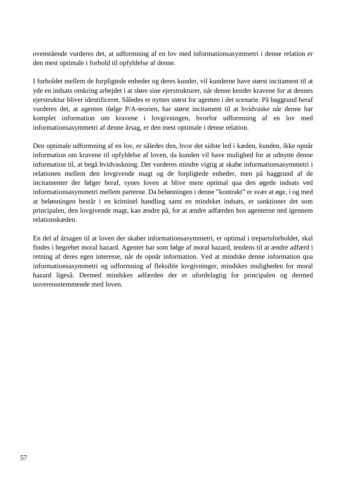ovenstående vurderes det, at udformning af en lov med informationsasymmetri i denne relation er den mest optimale i forhold til opfyldelse af denne.

I forholdet mellem de forpligtede enheder og deres kunder, vil kunderne have størst incitament til at yde en indsats omkring arbejdet i at sløre sine ejerstrukturer, når denne kender kravene for at dennes ejerstruktur bliver identificeret. Således er nytten størst for agenten i det scenarie. På baggrund heraf vurderes det, at agenten ifølge P/A-teorien, har størst incitament til at hvidvaske når denne har komplet information om kravene i lovgivningen, hvorfor udformning af en lov med informationsasymmetri af denne årsag, er den mest optimale i denne relation.

Den optimale udformning af en lov, er således den, hvor det sidste led i kæden, kunden, ikke opnår information om kravene til opfyldelse af loven, da kunden vil have mulighed for at udnytte denne information til, at begå hvidvaskning. Det vurderes mindre vigtig at skabe informationsasymmetri i relationen mellem den lovgivende magt og de forpligtede enheder, men på baggrund af de incitamenter der følger heraf, synes loven at blive mere optimal qua den øgede indsats ved informationsasymmetri mellem parterne. Da belønningen i denne "kontrakt" er svær at øge, i og med at belønningen består i en kriminel handling samt en mindsket indsats, er sanktioner det som principalen, den lovgivende magt, kan ændre på, for at ændre adfærden hos agenterne ned igennem relationskæden.

En del af årsagen til at loven der skaber informationsasymmetri, er optimal i trepartsforholdet, skal findes i begrebet moral hazard. Agenter har som følge af moral hazard, tendens til at ændre adfærd i retning af deres egen interesse, når de opnår information. Ved at mindske denne information qua informationsasymmetri og udformning af fleksible lovgivninger, mindskes muligheden for moral hazard ligeså. Dermed mindskes adfærden der er ufordelagtig for principalen og dermed uoverensstemmende med loven.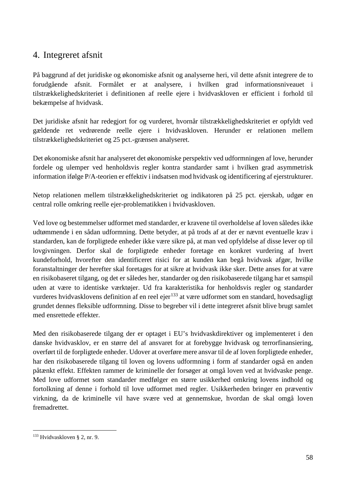# 4. Integreret afsnit

På baggrund af det juridiske og økonomiske afsnit og analyserne heri, vil dette afsnit integrere de to forudgående afsnit. Formålet er at analysere, i hvilken grad informationsniveauet i tilstrækkelighedskriteriet i definitionen af reelle ejere i hvidvaskloven er efficient i forhold til bekæmpelse af hvidvask.

Det juridiske afsnit har redegjort for og vurderet, hvornår tilstrækkelighedskriteriet er opfyldt ved gældende ret vedrørende reelle ejere i hvidvaskloven. Herunder er relationen mellem tilstrækkelighedskriteriet og 25 pct.-grænsen analyseret.

Det økonomiske afsnit har analyseret det økonomiske perspektiv ved udformningen af love, herunder fordele og ulemper ved henholdsvis regler kontra standarder samt i hvilken grad asymmetrisk information ifølge P/A-teorien er effektiv i indsatsen mod hvidvask og identificering af ejerstrukturer.

Netop relationen mellem tilstrækkelighedskriteriet og indikatoren på 25 pct. ejerskab, udgør en central rolle omkring reelle ejer-problematikken i hvidvaskloven.

Ved love og bestemmelser udformet med standarder, er kravene til overholdelse af loven således ikke udtømmende i en sådan udformning. Dette betyder, at på trods af at der er nævnt eventuelle krav i standarden, kan de forpligtede enheder ikke være sikre på, at man ved opfyldelse af disse lever op til lovgivningen. Derfor skal de forpligtede enheder foretage en konkret vurdering af hvert kundeforhold, hvorefter den identificeret risici for at kunden kan begå hvidvask afgør, hvilke foranstaltninger der herefter skal foretages for at sikre at hvidvask ikke sker. Dette anses for at være en risikobaseret tilgang, og det er således her, standarder og den risikobaserede tilgang har et samspil uden at være to identiske værktøjer. Ud fra karakteristika for henholdsvis regler og standarder vurderes hvidvasklovens definition af en reel ejer<sup>[133](#page-58-0)</sup> at være udformet som en standard, hovedsagligt grundet dennes fleksible udformning. Disse to begreber vil i dette integreret afsnit blive brugt samlet med ensrettede effekter.

Med den risikobaserede tilgang der er optaget i EU's hvidvaskdirektiver og implementeret i den danske hvidvasklov, er en større del af ansvaret for at forebygge hvidvask og terrorfinansiering, overført til de forpligtede enheder. Udover at overføre mere ansvar til de af loven forpligtede enheder, har den risikobaserede tilgang til loven og lovens udformning i form af standarder også en anden påtænkt effekt. Effekten rammer de kriminelle der forsøger at omgå loven ved at hvidvaske penge. Med love udformet som standarder medfølger en større usikkerhed omkring lovens indhold og fortolkning af denne i forhold til love udformet med regler. Usikkerheden bringer en præventiv virkning, da de kriminelle vil have svære ved at gennemskue, hvordan de skal omgå loven fremadrettet.

<span id="page-58-0"></span> <sup>133</sup> Hvidvaskloven § 2, nr. 9.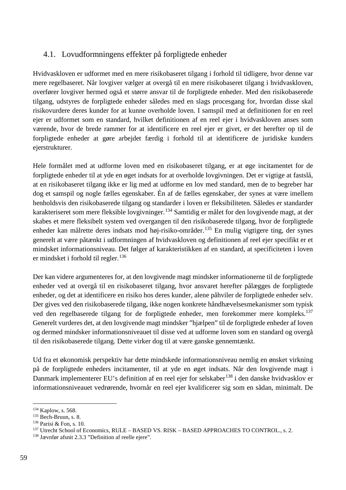# 4.1. Lovudformningens effekter på forpligtede enheder

Hvidvaskloven er udformet med en mere risikobaseret tilgang i forhold til tidligere, hvor denne var mere regelbaseret. Når lovgiver vælger at overgå til en mere risikobaseret tilgang i hvidvaskloven, overfører lovgiver hermed også et større ansvar til de forpligtede enheder. Med den risikobaserede tilgang, udstyres de forpligtede enheder således med en slags procesgang for, hvordan disse skal risikovurdere deres kunder for at kunne overholde loven. I samspil med at definitionen for en reel ejer er udformet som en standard, hvilket definitionen af en reel ejer i hvidvaskloven anses som værende, hvor de brede rammer for at identificere en reel ejer er givet, er det herefter op til de forpligtede enheder at gøre arbejdet færdig i forhold til at identificere de juridiske kunders ejerstrukturer.

Hele formålet med at udforme loven med en risikobaseret tilgang, er at øge incitamentet for de forpligtede enheder til at yde en øget indsats for at overholde lovgivningen. Det er vigtige at fastslå, at en risikobaseret tilgang ikke er lig med at udforme en lov med standard, men de to begreber har dog et samspil og nogle fælles egenskaber. Én af de fælles egenskaber, der synes at være imellem henholdsvis den risikobaserede tilgang og standarder i loven er fleksibiliteten. Således er standarder karakteriseret som mere fleksible lovgivninger. [134](#page-59-0) Samtidig er målet for den lovgivende magt, at der skabes et mere fleksibelt system ved overgangen til den risikobaserede tilgang, hvor de forpligtede enheder kan målrette deres indsats mod høj-risiko-områder.[135](#page-59-1) En mulig vigtigere ting, der synes generelt at være påtænkt i udformningen af hvidvaskloven og definitionen af reel ejer specifikt er et mindsket informationsniveau. Det følger af karakteristikken af en standard, at specificiteten i loven er mindsket i forhold til regler.<sup>[136](#page-59-2)</sup>

Der kan videre argumenteres for, at den lovgivende magt mindsker informationerne til de forpligtede enheder ved at overgå til en risikobaseret tilgang, hvor ansvaret herefter pålægges de forpligtede enheder, og det at identificere en risiko hos deres kunder, alene påhviler de forpligtede enheder selv. Der gives ved den risikobaserede tilgang, ikke nogen konkrete håndhævelsesmekanismer som typisk ved den regelbaserede tilgang for de forpligtede enheder, men forekommer mere kompleks.[137](#page-59-3) Generelt vurderes det, at den lovgivende magt mindsker "hjælpen" til de forpligtede enheder af loven og dermed mindsker informationsniveauet til disse ved at udforme loven som en standard og overgå til den risikobaserede tilgang. Dette virker dog til at være ganske gennemtænkt.

Ud fra et økonomisk perspektiv har dette mindskede informationsniveau nemlig en ønsket virkning på de forpligtede enheders incitamenter, til at yde en øget indsats. Når den lovgivende magt i Danmark implementerer EU's definition af en reel ejer for selskaber<sup>[138](#page-59-4)</sup> i den danske hvidvasklov er informationsniveauet vedrørende, hvornår en reel ejer kvalificerer sig som en sådan, minimalt. De

<span id="page-59-0"></span> <sup>134</sup> Kaplow, s. 568.

<span id="page-59-1"></span><sup>135</sup> Bech-Bruun, s. 8.

<span id="page-59-2"></span><sup>136</sup> Parisi & Fon, s. 10.

<span id="page-59-3"></span><sup>&</sup>lt;sup>137</sup> Utrecht School of Economics, RULE – BASED VS. RISK – BASED APPROACHES TO CONTROL., s. 2.

<span id="page-59-4"></span><sup>138</sup> Jævnfør afsnit 2.3.3 "Definition af reelle ejere".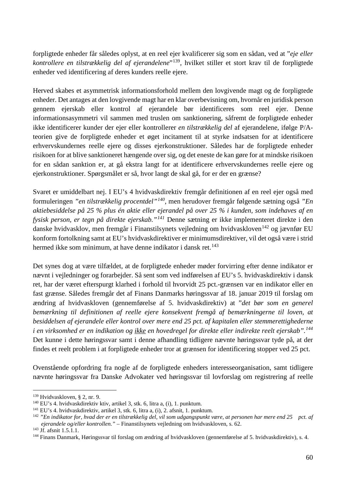forpligtede enheder får således oplyst, at en reel ejer kvalificerer sig som en sådan, ved at "*eje eller kontrollere en tilstrækkelig del af ejerandelene*"[139,](#page-60-0) hvilket stiller et stort krav til de forpligtede enheder ved identificering af deres kunders reelle ejere.

Herved skabes et asymmetrisk informationsforhold mellem den lovgivende magt og de forpligtede enheder. Det antages at den lovgivende magt har en klar overbevisning om, hvornår en juridisk person gennem ejerskab eller kontrol af ejerandele bør identificeres som reel ejer. Denne informationsasymmetri vil sammen med truslen om sanktionering, såfremt de forpligtede enheder ikke identificerer kunder der ejer eller kontrollerer *en tilstrækkelig del* af ejerandelene, ifølge P/Ateorien give de forpligtede enheder et øget incitament til at styrke indsatsen for at identificere erhvervskundernes reelle ejere og disses ejerkonstruktioner. Således har de forpligtede enheder risikoen for at blive sanktioneret hængende over sig, og det eneste de kan gøre for at mindske risikoen for en sådan sanktion er, at gå ekstra langt for at identificere erhvervskundernes reelle ejere og ejerkonstruktioner. Spørgsmålet er så, hvor langt de skal gå, for er der en grænse?

Svaret er umiddelbart nej. I EU's 4 hvidvaskdirektiv fremgår definitionen af en reel ejer også med formuleringen *"en tilstrækkelig procentdel"[140](#page-60-1)*, men herudover fremgår følgende sætning også *"En aktiebesiddelse på 25 % plus én aktie eller ejerandel på over 25 % i kunden, som indehaves af en fysisk person, er tegn på direkte ejerskab."[141](#page-60-2)* Denne sætning er ikke implementeret direkte i den danske hvidvasklov, men fremgår i Finanstilsynets vejledning om hvidvaskloven<sup>[142](#page-60-3)</sup> og jævnfør EU konform fortolkning samt at EU's hvidvaskdirektiver er minimumsdirektiver, vil det også være i strid hermed ikke som minimum, at have denne indikator i dansk ret.<sup>[143](#page-60-4)</sup>

Det synes dog at være tilfældet, at de forpligtede enheder møder forvirring efter denne indikator er nævnt i vejledninger og forarbejder. Så sent som ved indførelsen af EU's 5. hvidvaskdirektiv i dansk ret, har der været efterspurgt klarhed i forhold til hvorvidt 25 pct.-grænsen var en indikator eller en fast grænse. Således fremgår det af Finans Danmarks høringssvar af 18. januar 2019 til forslag om ændring af hvidvaskloven (gennemførelse af 5. hvidvaskdirektiv) at "*det bør som en generel bemærkning til definitionen af reelle ejere konsekvent fremgå af bemærkningerne til loven, at besiddelsen af ejerandele eller kontrol over mere end 25 pct. af kapitalen eller stemmerettighederne i en virksomhed er en indikation og ikke en hovedregel for direkte eller indirekte reelt ejerskab".[144](#page-60-5)* Det kunne i dette høringssvar samt i denne afhandling tidligere nævnte høringssvar tyde på, at der findes et reelt problem i at forpligtede enheder tror at grænsen for identificering stopper ved 25 pct.

Ovenstående opfordring fra nogle af de forpligtede enheders interesseorganisation, samt tidligere nævnte høringssvar fra Danske Advokater ved høringssvar til lovforslag om registrering af reelle

<span id="page-60-1"></span><span id="page-60-0"></span><sup>&</sup>lt;sup>139</sup> Hvidvaskloven, § 2, nr. 9.<br><sup>140</sup> EU's 4. hvidvaskdirektiv ktiv, artikel 3, stk. 6, litra a, (i), 1. punktum.<br><sup>141</sup> EU's 4. hvidvaskdirektiv, artikel 3, stk. 6, litra a, (i), 2. afsnit, 1. punktum.

<span id="page-60-2"></span>

<span id="page-60-3"></span><sup>&</sup>lt;sup>142</sup> "En indikator for, hvad der er en tilstrækkelig del, vil som udgangspunkt være, at personen har mere end 25 pct. af *ejerandele og/eller kontrollen."* – Finanstilsynets vejledning om hvidvaskloven, s. 62.

<span id="page-60-4"></span><sup>143</sup> Jf. afsnit 1.5.1.1.

<span id="page-60-5"></span><sup>144</sup> Finans Danmark, Høringssvar til forslag om ændring af hvidvaskloven (gennemførelse af 5. hvidvaskdirektiv), s. 4.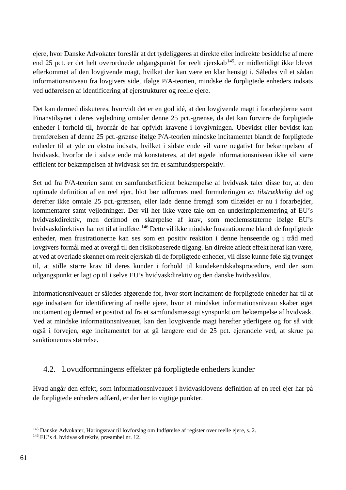ejere, hvor Danske Advokater foreslår at det tydeliggøres at direkte eller indirekte besiddelse af mere end 25 pct. er det helt overordnede udgangspunkt for reelt ejerskab<sup>145</sup>, er midlertidigt ikke blevet efterkommet af den lovgivende magt, hvilket der kan være en klar hensigt i. Således vil et sådan informationsniveau fra lovgivers side, ifølge P/A-teorien, mindske de forpligtede enheders indsats ved udførelsen af identificering af ejerstrukturer og reelle ejere.

Det kan dermed diskuteres, hvorvidt det er en god idé, at den lovgivende magt i forarbejderne samt Finanstilsynet i deres vejledning omtaler denne 25 pct.-grænse, da det kan forvirre de forpligtede enheder i forhold til, hvornår de har opfyldt kravene i lovgivningen. Ubevidst eller bevidst kan fremførelsen af denne 25 pct.-grænse ifølge P/A-teorien mindske incitamentet blandt de forpligtede enheder til at yde en ekstra indsats, hvilket i sidste ende vil være negativt for bekæmpelsen af hvidvask, hvorfor de i sidste ende må konstateres, at det øgede informationsniveau ikke vil være efficient for bekæmpelsen af hvidvask set fra et samfundsperspektiv.

Set ud fra P/A-teorien samt en samfundsefficient bekæmpelse af hvidvask taler disse for, at den optimale definition af en reel ejer, blot bør udformes med formuleringen *en tilstrækkelig del* og derefter ikke omtale 25 pct.-grænsen, eller lade denne fremgå som tilfældet er nu i forarbejder, kommentarer samt vejledninger. Der vil her ikke være tale om en underimplementering af EU's hvidvaskdirektiv, men derimod en skærpelse af krav, som medlemsstaterne ifølge EU's hvidvaskdirektiver har ret til at indføre.[146](#page-61-1) Dette vil ikke mindske frustrationerne blandt de forpligtede enheder, men frustrationerne kan ses som en positiv reaktion i denne henseende og i tråd med lovgivers formål med at overgå til den risikobaserede tilgang. En direkte afledt effekt heraf kan være, at ved at overlade skønnet om reelt ejerskab til de forpligtede enheder, vil disse kunne føle sig tvunget til, at stille større krav til deres kunder i forhold til kundekendskabsprocedure, end der som udgangspunkt er lagt op til i selve EU's hvidvaskdirektiv og den danske hvidvasklov.

Informationsniveauet er således afgørende for, hvor stort incitament de forpligtede enheder har til at øge indsatsen for identificering af reelle ejere, hvor et mindsket informationsniveau skaber øget incitament og dermed er positivt ud fra et samfundsmæssigt synspunkt om bekæmpelse af hvidvask. Ved at mindske informationsniveauet, kan den lovgivende magt herefter yderligere og for så vidt også i forvejen, øge incitamentet for at gå længere end de 25 pct. ejerandele ved, at skrue på sanktionernes størrelse.

## 4.2. Lovudformningens effekter på forpligtede enheders kunder

Hvad angår den effekt, som informationsniveauet i hvidvasklovens definition af en reel ejer har på de forpligtede enheders adfærd, er der her to vigtige punkter.

<span id="page-61-1"></span><span id="page-61-0"></span><sup>145</sup> Danske Advokater, Høringssvar til lovforslag om Indførelse af register over reelle ejere, s. 2. 146 EU's 4. hvidvaskdirektiv, præambel nr. 12.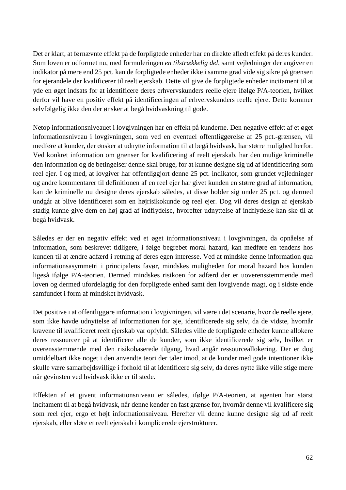Det er klart, at førnævnte effekt på de forpligtede enheder har en direkte afledt effekt på deres kunder. Som loven er udformet nu, med formuleringen *en tilstrækkelig del*, samt vejledninger der angiver en indikator på mere end 25 pct. kan de forpligtede enheder ikke i samme grad vide sig sikre på grænsen for ejerandele der kvalificerer til reelt ejerskab. Dette vil give de forpligtede enheder incitament til at yde en øget indsats for at identificere deres erhvervskunders reelle ejere ifølge P/A-teorien, hvilket derfor vil have en positiv effekt på identificeringen af erhvervskunders reelle ejere. Dette kommer selvfølgelig ikke den der ønsker at begå hvidvaskning til gode.

Netop informationsniveauet i lovgivningen har en effekt på kunderne. Den negative effekt af et øget informationsniveau i lovgivningen, som ved en eventuel offentliggørelse af 25 pct.-grænsen, vil medføre at kunder, der ønsker at udnytte information til at begå hvidvask, har større mulighed herfor. Ved konkret information om grænser for kvalificering af reelt ejerskab, har den mulige kriminelle den information og de betingelser denne skal bruge, for at kunne designe sig ud af identificering som reel ejer. I og med, at lovgiver har offentliggjort denne 25 pct. indikator, som grundet vejledninger og andre kommentarer til definitionen af en reel ejer har givet kunden en større grad af information, kan de kriminelle nu designe deres ejerskab således, at disse holder sig under 25 pct. og dermed undgår at blive identificeret som en højrisikokunde og reel ejer. Dog vil deres design af ejerskab stadig kunne give dem en høj grad af indflydelse, hvorefter udnyttelse af indflydelse kan ske til at begå hvidvask.

Således er der en negativ effekt ved et øget informationsniveau i lovgivningen, da opnåelse af information, som beskrevet tidligere, i følge begrebet moral hazard, kan medføre en tendens hos kunden til at ændre adfærd i retning af deres egen interesse. Ved at mindske denne information qua informationsasymmetri i principalens favør, mindskes muligheden for moral hazard hos kunden ligeså ifølge P/A-teorien. Dermed mindskes risikoen for adfærd der er uoverensstemmende med loven og dermed ufordelagtig for den forpligtede enhed samt den lovgivende magt, og i sidste ende samfundet i form af mindsket hvidvask.

Det positive i at offentliggøre information i lovgivningen, vil være i det scenarie, hvor de reelle ejere, som ikke havde udnyttelse af informationen for øje, identificerede sig selv, da de vidste, hvornår kravene til kvalificeret reelt ejerskab var opfyldt. Således ville de forpligtede enheder kunne allokere deres ressourcer på at identificere alle de kunder, som ikke identificerede sig selv, hvilket er overensstemmende med den risikobaserede tilgang, hvad angår ressourceallokering. Der er dog umiddelbart ikke noget i den anvendte teori der taler imod, at de kunder med gode intentioner ikke skulle være samarbejdsvillige i forhold til at identificere sig selv, da deres nytte ikke ville stige mere når gevinsten ved hvidvask ikke er til stede.

Effekten af et givent informationsniveau er således, ifølge P/A-teorien, at agenten har størst incitament til at begå hvidvask, når denne kender en fast grænse for, hvornår denne vil kvalificere sig som reel ejer, ergo et højt informationsniveau. Herefter vil denne kunne designe sig ud af reelt ejerskab, eller sløre et reelt ejerskab i komplicerede ejerstrukturer.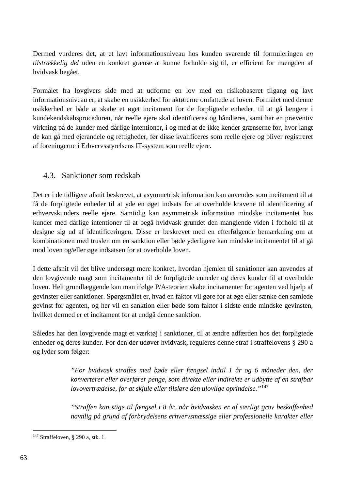Dermed vurderes det, at et lavt informationsniveau hos kunden svarende til formuleringen *en tilstrækkelig del* uden en konkret grænse at kunne forholde sig til, er efficient for mængden af hvidvask begået.

Formålet fra lovgivers side med at udforme en lov med en risikobaseret tilgang og lavt informationsniveau er, at skabe en usikkerhed for aktørerne omfattede af loven. Formålet med denne usikkerhed er både at skabe et øget incitament for de forpligtede enheder, til at gå længere i kundekendskabsproceduren, når reelle ejere skal identificeres og håndteres, samt har en præventiv virkning på de kunder med dårlige intentioner, i og med at de ikke kender grænserne for, hvor langt de kan gå med ejerandele og rettigheder, før disse kvalificeres som reelle ejere og bliver registreret af foreningerne i Erhvervsstyrelsens IT-system som reelle ejere.

## 4.3. Sanktioner som redskab

Det er i de tidligere afsnit beskrevet, at asymmetrisk information kan anvendes som incitament til at få de forpligtede enheder til at yde en øget indsats for at overholde kravene til identificering af erhvervskunders reelle ejere. Samtidig kan asymmetrisk information mindske incitamentet hos kunder med dårlige intentioner til at begå hvidvask grundet den manglende viden i forhold til at designe sig ud af identificeringen. Disse er beskrevet med en efterfølgende bemærkning om at kombinationen med truslen om en sanktion eller bøde yderligere kan mindske incitamentet til at gå mod loven og/eller øge indsatsen for at overholde loven.

I dette afsnit vil det blive undersøgt mere konkret, hvordan hjemlen til sanktioner kan anvendes af den lovgivende magt som incitamenter til de forpligtede enheder og deres kunder til at overholde loven. Helt grundlæggende kan man ifølge P/A-teorien skabe incitamenter for agenten ved hjælp af gevinster eller sanktioner. Spørgsmålet er, hvad en faktor vil gøre for at øge eller sænke den samlede gevinst for agenten, og her vil en sanktion eller bøde som faktor i sidste ende mindske gevinsten, hvilket dermed er et incitament for at undgå denne sanktion.

Således har den lovgivende magt et værktøj i sanktioner, til at ændre adfærden hos det forpligtede enheder og deres kunder. For den der udøver hvidvask, reguleres denne straf i straffelovens § 290 a og lyder som følger:

> *"For hvidvask straffes med bøde eller fængsel indtil 1 år og 6 måneder den, der konverterer eller overfører penge, som direkte eller indirekte er udbytte af en strafbar lovovertrædelse, for at skjule eller tilsløre den ulovlige oprindelse."*[147](#page-63-0)

> *"Straffen kan stige til fængsel i 8 år, når hvidvasken er af særligt grov beskaffenhed navnlig på grund af forbrydelsens erhvervsmæssige eller professionelle karakter eller*

<span id="page-63-0"></span> <sup>147</sup> Straffeloven, § 290 a, stk. 1.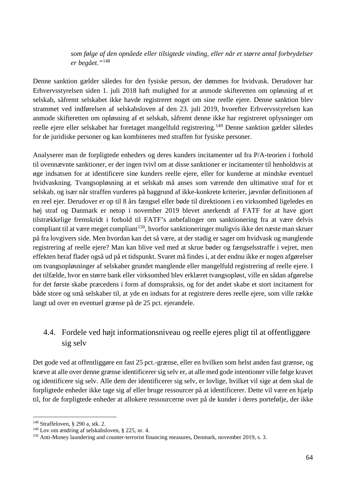#### *som følge af den opnåede eller tilsigtede vinding, eller når et større antal forbrydelser er begået."*[148](#page-64-0)

Denne sanktion gælder således for den fysiske person, der dømmes for hvidvask. Derudover har Erhvervsstyrelsen siden 1. juli 2018 haft mulighed for at anmode skifteretten om opløsning af et selskab, såfremt selskabet ikke havde registreret noget om sine reelle ejere. Denne sanktion blev strammet ved indførelsen af selskabsloven af den 23. juli 2019, hvorefter Erhvervsstyrelsen kan anmode skifteretten om opløsning af et selskab, såfremt denne ikke har registreret oplysninger om reelle ejere eller selskabet har foretaget mangelfuld registrering.<sup>[149](#page-64-1)</sup> Denne sanktion gælder således for de juridiske personer og kan kombineres med straffen for fysiske personer.

Analyserer man de forpligtede enheders og deres kunders incitamenter ud fra P/A-teorien i forhold til ovennævnte sanktioner, er der ingen tvivl om at disse sanktioner er incitamenter til henholdsvis at øge indsatsen for at identificere sine kunders reelle ejere, eller for kunderne at mindske eventuel hvidvaskning. Tvangsopløsning at et selskab må anses som værende den ultimative straf for et selskab, og især når straffen vurderes på baggrund af ikke-konkrete kriterier, jævnfør definitionen af en reel ejer. Derudover er op til 8 års fængsel eller bøde til direktionen i en virksomhed ligeledes en høj straf og Danmark er netop i november 2019 blevet anerkendt af FATF for at have gjort tilstrækkelige fremskridt i forhold til FATF's anbefalinger om sanktionering fra at være delvis compliant til at være meget compliant<sup>[150](#page-64-2)</sup>, hvorfor sanktioneringer muligvis ikke det næste man skruer på fra lovgivers side. Men hvordan kan det så være, at der stadig er sager om hvidvask og manglende registrering af reelle ejere? Man kan blive ved med at skrue bøder og fængselsstraffe i vejret, men effekten heraf flader også ud på et tidspunkt. Svaret må findes i, at der endnu ikke er nogen afgørelser om tvangsopløsninger af selskaber grundet manglende eller mangelfuld registrering af reelle ejere. I det tilfælde, hvor en større bank eller virksomhed blev erklæret tvangsopløst, ville en sådan afgørelse for det første skabe præcedens i form af domspraksis, og for det andet skabe et stort incitament for både store og små selskaber til, at yde en indsats for at registrere deres reelle ejere, som ville række langt ud over en eventuel grænse på de 25 pct. ejerandele.

# 4.4. Fordele ved højt informationsniveau og reelle ejeres pligt til at offentliggøre sig selv

Det gode ved at offentliggøre en fast 25 pct.-grænse, eller en hvilken som helst anden fast grænse, og kræve at alle over denne grænse identificerer sig selv er, at alle med gode intentioner ville følge kravet og identificere sig selv. Alle dem der identificerer sig selv, er lovlige, hvilket vil sige at dem skal de forpligtede enheder ikke tage sig af eller bruge ressourcer på at identificerer. Dette vil være en hjælp til, for de forpligtede enheder at allokere ressourcerne over på de kunder i deres portefølje, der ikke

<span id="page-64-0"></span> <sup>148</sup> Straffeloven, § 290 a, stk. 2.

<span id="page-64-1"></span><sup>149</sup> Lov om ændring af selskabsloven, § 225, nr. 4.

<span id="page-64-2"></span><sup>150</sup> Anti-Money laundering and counter-terrorist financing measures, Denmark, november 2019, s. 3.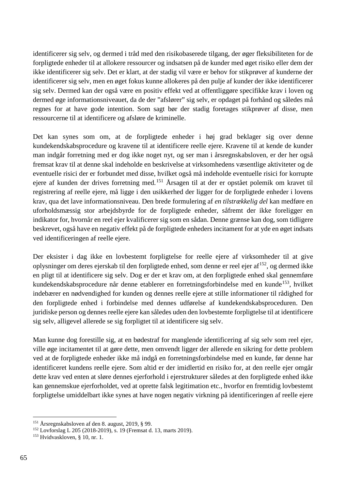identificerer sig selv, og dermed i tråd med den risikobaserede tilgang, der øger fleksibiliteten for de forpligtede enheder til at allokere ressourcer og indsatsen på de kunder med øget risiko eller dem der ikke identificerer sig selv. Det er klart, at der stadig vil være er behov for stikprøver af kunderne der identificerer sig selv, men en øget fokus kunne allokeres på den pulje af kunder der ikke identificerer sig selv. Dermed kan der også være en positiv effekt ved at offentliggøre specifikke krav i loven og dermed øge informationsniveauet, da de der "afslører" sig selv, er opdaget på forhånd og således må regnes for at have gode intention. Som sagt bør der stadig foretages stikprøver af disse, men ressourcerne til at identificere og afsløre de kriminelle.

Det kan synes som om, at de forpligtede enheder i høj grad beklager sig over denne kundekendskabsprocedure og kravene til at identificere reelle ejere. Kravene til at kende de kunder man indgår forretning med er dog ikke noget nyt, og ser man i årsregnskabsloven, er der her også fremsat krav til at denne skal indeholde en beskrivelse at virksomhedens væsentlige aktiviteter og de eventuelle risici der er forbundet med disse, hvilket også må indeholde eventuelle risici for korrupte ejere af kunden der drives forretning med.[151](#page-65-0) Årsagen til at der er opstået polemik om kravet til registrering af reelle ejere, må ligge i den usikkerhed der ligger for de forpligtede enheder i lovens krav, qua det lave informationsniveau. Den brede formulering af *en tilstrækkelig del* kan medføre en uforholdsmæssig stor arbejdsbyrde for de forpligtede enheder, såfremt der ikke foreligger en indikator for, hvornår en reel ejer kvalificerer sig som en sådan. Denne grænse kan dog, som tidligere beskrevet, også have en negativ effekt på de forpligtede enheders incitament for at yde en øget indsats ved identificeringen af reelle ejere.

Der eksister i dag ikke en lovbestemt forpligtelse for reelle ejere af virksomheder til at give oplysninger om deres ejerskab til den forpligtede enhed, som denne er reel ejer af[152](#page-65-1), og dermed ikke en pligt til at identificere sig selv. Dog er der et krav om, at den forpligtede enhed skal gennemføre kundekendskabsprocedure når denne etablerer en forretningsforbindelse med en kunde<sup>153</sup>, hvilket indebærer en nødvendighed for kunden og dennes reelle ejere at stille informationer til rådighed for den forpligtede enhed i forbindelse med dennes udførelse af kundekendskabsproceduren. Den juridiske person og dennes reelle ejere kan således uden den lovbestemte forpligtelse til at identificere sig selv, alligevel allerede se sig forpligtet til at identificere sig selv.

Man kunne dog forestille sig, at en bødestraf for manglende identificering af sig selv som reel ejer, ville øge incitamentet til at gøre dette, men omvendt ligger der allerede en sikring for dette problem ved at de forpligtede enheder ikke må indgå en forretningsforbindelse med en kunde, før denne har identificeret kundens reelle ejere. Som altid er der imidlertid en risiko for, at den reelle ejer omgår dette krav ved enten at sløre dennes ejerforhold i ejerstrukturer således at den forpligtede enhed ikke kan gennemskue ejerforholdet, ved at oprette falsk legitimation etc., hvorfor en fremtidig lovbestemt forpligtelse umiddelbart ikke synes at have nogen negativ virkning på identificeringen af reelle ejere

<span id="page-65-0"></span> <sup>151</sup> Årsregnskabsloven af den 8. august, 2019, § 99.

<span id="page-65-1"></span><sup>152</sup> Lovforslag L 205 (2018-2019), s. 19 (Fremsat d. 13, marts 2019).

<span id="page-65-2"></span><sup>153</sup> Hvidvaskloven, § 10, nr. 1.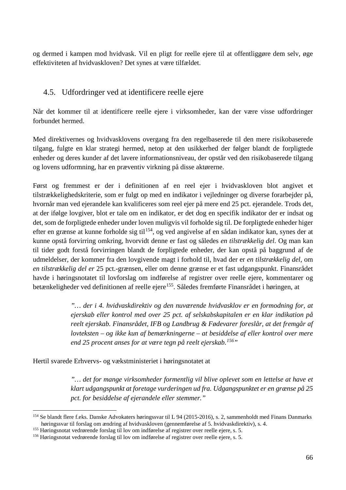og dermed i kampen mod hvidvask. Vil en pligt for reelle ejere til at offentliggøre dem selv, øge effektiviteten af hvidvaskloven? Det synes at være tilfældet.

# 4.5. Udfordringer ved at identificere reelle ejere

Når det kommer til at identificere reelle ejere i virksomheder, kan der være visse udfordringer forbundet hermed.

Med direktivernes og hvidvasklovens overgang fra den regelbaserede til den mere risikobaserede tilgang, fulgte en klar strategi hermed, netop at den usikkerhed der følger blandt de forpligtede enheder og deres kunder af det lavere informationsniveau, der opstår ved den risikobaserede tilgang og lovens udformning, har en præventiv virkning på disse aktørerne.

Først og fremmest er der i definitionen af en reel ejer i hvidvaskloven blot angivet et tilstrækkelighedskriterie, som er fulgt op med en indikator i vejledninger og diverse forarbejder på, hvornår man ved ejerandele kan kvalificeres som reel ejer på mere end 25 pct. ejerandele. Trods det, at der ifølge lovgiver, blot er tale om en indikator, er det dog en specifik indikator der er indsat og det, som de forpligtede enheder under loven muligvis vil forholde sig til. De forpligtede enheder higer efter en grænse at kunne forholde sig til<sup>[154](#page-66-0)</sup>, og ved angivelse af en sådan indikator kan, synes der at kunne opstå forvirring omkring, hvorvidt denne er fast og således *en tilstrækkelig del*. Og man kan til tider godt forstå forvirringen blandt de forpligtede enheder, der kan opstå på baggrund af de udmeldelser, der kommer fra den lovgivende magt i forhold til, hvad der er *en tilstrækkelig del*, om *en tilstrækkelig del er* 25 pct.-grænsen, eller om denne grænse er et fast udgangspunkt. Finansrådet havde i høringsnotatet til lovforslag om indførelse af registrer over reelle ejere, kommentarer og betænkeligheder ved definitionen af reelle ejere<sup>[155](#page-66-1)</sup>. Således fremførte Finansrådet i høringen, at

> *"… der i 4. hvidvaskdirektiv og den nuværende hvidvasklov er en formodning for, at ejerskab eller kontrol med over 25 pct. af selskabskapitalen er en klar indikation på reelt ejerskab. Finansrådet, IFB og Landbrug & Fødevarer foreslår, at det fremgår af lovteksten – og ikke kun af bemærkningerne – at besiddelse af eller kontrol over mere end 25 procent anses for at være tegn på reelt ejerskab.[156](#page-66-2)"*

Hertil svarede Erhvervs- og vækstministeriet i høringsnotatet at

*"… det for mange virksomheder formentlig vil blive oplevet som en lettelse at have et klart udgangspunkt at foretage vurderingen ud fra. Udgangspunktet er en grænse på 25 pct. for besiddelse af ejerandele eller stemmer."*

<span id="page-66-0"></span><sup>&</sup>lt;sup>154</sup> Se blandt flere f.eks. Danske Advokaters høringssvar til L 94 (2015-2016), s. 2, sammenholdt med Finans Danmarks høringssvar til forslag om ændring af hvidvaskloven (gennemførelse af 5. hvidvaskdirektiv), s. 4.

<span id="page-66-1"></span><sup>&</sup>lt;sup>155</sup> Høringsnotat vedrørende forslag til lov om indførelse af registrer over reelle ejere, s. 5.

<span id="page-66-2"></span><sup>156</sup> Høringsnotat vedrørende forslag til lov om indførelse af registrer over reelle ejere, s. 5.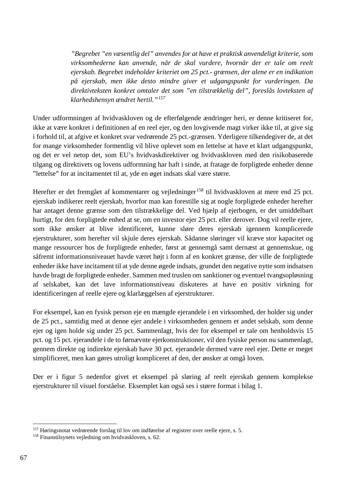*"Begrebet "en væsentlig del" anvendes for at have et praktisk anvendeligt kriterie, som virksomhederne kan anvende, når de skal vurdere, hvornår der er tale om reelt ejerskab. Begrebet indeholder kriteriet om 25 pct.- grænsen, der alene er en indikation på ejerskab, men ikke desto mindre giver et udgangspunkt for vurderingen. Da direktivteksten konkret omtaler det som "en tilstrækkelig del", foreslås lovteksten af klarhedshensyn ændret hertil."[157](#page-67-0)*

Under udformningen af hvidvaskloven og de efterfølgende ændringer heri, er denne kritiseret for, ikke at være konkret i definitionen af en reel ejer, og den lovgivende magt virker ikke til, at give sig i forhold til, at afgive et konkret svar vedrørende 25 pct.-grænsen. Yderligere tilkendegiver de, at det for mange virksomheder formentlig vil blive oplevet som en lettelse at have et klart udgangspunkt, og det er vel netop det, som EU's hvidvaskdirektiver og hvidvaskloven med den risikobaserede tilgang og direktivets og lovens udformning har haft i sinde, at fratage de forpligtede enheder denne "lettelse" for at incitamentet til at, yde en øget indsats skal være større.

Herefter er det fremgået af kommentarer og vejledninger<sup>[158](#page-67-1)</sup> til hvidvaskloven at mere end 25 pct. ejerskab indikerer reelt ejerskab, hvorfor man kan forestille sig at nogle forpligtede enheder herefter har antaget denne grænse som den tilstrækkelige del. Ved hjælp af ejerbogen, er det umiddelbart hurtigt, for den forpligtede enhed at se, om en investor ejer 25 pct. eller derover. Dog vil reelle ejere, som ikke ønsker at blive identificeret, kunne sløre deres ejerskab igennem komplicerede ejerstrukturer, som herefter vil skjule deres ejerskab. Sådanne sløringer vil kræve stor kapacitet og mange ressourcer hos de forpligtede enheder, først at gennemgå samt dernæst at gennemskue, og såfremt informationsniveauet havde været højt i form af en konkret grænse, der ville de forpligtede enheder ikke have incitament til at yde denne øgede indsats, grundet den negative nytte som indsatsen havde bragt de forpligtede enheder. Sammen med truslen om sanktioner og eventuel tvangsopløsning af selskabet, kan det lave informationsniveau diskuteres at have en positiv virkning for identificeringen af reelle ejere og klarlæggelsen af ejerstrukturer.

For eksempel, kan en fysisk person eje en mængde ejerandele i en virksomhed, der holder sig under de 25 pct., samtidig med at denne ejer andele i virksomheden gennem et andet selskab, som denne ejer og igen holde sig under 25 pct. Sammenlagt, hvis der for eksempel er tale om henholdsvis 15 pct. og 15 pct. ejerandele i de to førnævnte ejerkonstruktioner, vil den fysiske person nu sammenlagt, gennem direkte og indirekte ejerskab have 30 pct. ejerandele dermed være reel ejer. Dette er meget simplificeret, men kan gøres utroligt kompliceret af den, der ønsker at omgå loven.

Der er i figur 5 nedenfor givet et eksempel på sløring af reelt ejerskab gennem komplekse ejerstrukturer til visuel forståelse. Eksemplet kan også ses i større format i bilag 1.

<span id="page-67-0"></span> <sup>157</sup> Høringsnotat vedrørende forslag til lov om indførelse af registrer over reelle ejere, s. 5.

<span id="page-67-1"></span><sup>158</sup> Finanstilsynets vejledning om hvidvaskloven, s. 62.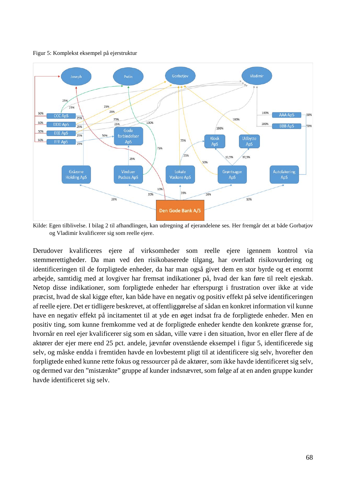Figur 5: Komplekst eksempel på ejerstruktur



Kilde: Egen tilblivelse. I bilag 2 til afhandlingen, kan udregning af ejerandelene ses. Her fremgår det at både Gorbatjov og Vladimir kvalificerer sig som reelle ejere.

Derudover kvalificeres ejere af virksomheder som reelle ejere igennem kontrol via stemmerettigheder. Da man ved den risikobaserede tilgang, har overladt risikovurdering og identificeringen til de forpligtede enheder, da har man også givet dem en stor byrde og et enormt arbejde, samtidig med at lovgiver har fremsat indikationer på, hvad der kan føre til reelt ejeskab. Netop disse indikationer, som forpligtede enheder har efterspurgt i frustration over ikke at vide præcist, hvad de skal kigge efter, kan både have en negativ og positiv effekt på selve identificeringen af reelle ejere. Det er tidligere beskrevet, at offentliggørelse af sådan en konkret information vil kunne have en negativ effekt på incitamentet til at yde en øget indsat fra de forpligtede enheder. Men en positiv ting, som kunne fremkomme ved at de forpligtede enheder kendte den konkrete grænse for, hvornår en reel ejer kvalificerer sig som en sådan, ville være i den situation, hvor en eller flere af de aktører der ejer mere end 25 pct. andele, jævnfør ovenstående eksempel i figur 5, identificerede sig selv, og måske endda i fremtiden havde en lovbestemt pligt til at identificere sig selv, hvorefter den forpligtede enhed kunne rette fokus og ressourcer på de aktører, som ikke havde identificeret sig selv, og dermed var den "mistænkte" gruppe af kunder indsnævret, som følge af at en anden gruppe kunder havde identificeret sig selv.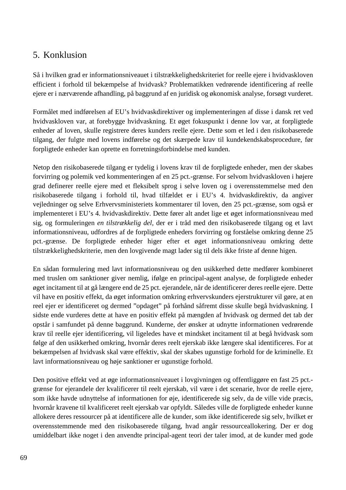# 5. Konklusion

Så i hvilken grad er informationsniveauet i tilstrækkelighedskriteriet for reelle ejere i hvidvaskloven efficient i forhold til bekæmpelse af hvidvask? Problematikken vedrørende identificering af reelle ejere er i nærværende afhandling, på baggrund af en juridisk og økonomisk analyse, forsøgt vurderet.

Formålet med indførelsen af EU's hvidvaskdirektiver og implementeringen af disse i dansk ret ved hvidvaskloven var, at forebygge hvidvaskning. Et øget fokuspunkt i denne lov var, at forpligtede enheder af loven, skulle registrere deres kunders reelle ejere. Dette som et led i den risikobaserede tilgang, der fulgte med lovens indførelse og det skærpede krav til kundekendskabsprocedure, før forpligtede enheder kan oprette en forretningsforbindelse med kunden.

Netop den risikobaserede tilgang er tydelig i lovens krav til de forpligtede enheder, men der skabes forvirring og polemik ved kommenteringen af en 25 pct.-grænse. For selvom hvidvaskloven i højere grad definerer reelle ejere med et fleksibelt sprog i selve loven og i overensstemmelse med den risikobaserede tilgang i forhold til, hvad tilfældet er i EU's 4. hvidvaskdirektiv, da angiver vejledninger og selve Erhvervsministeriets kommentarer til loven, den 25 pct.-grænse, som også er implementeret i EU's 4. hvidvaskdirektiv. Dette fører alt andet lige et øget informationsniveau med sig, og formuleringen *en tilstrækkelig del,* der er i tråd med den risikobaserede tilgang og et lavt informationsniveau, udfordres af de forpligtede enheders forvirring og forståelse omkring denne 25 pct.-grænse. De forpligtede enheder higer efter et øget informationsniveau omkring dette tilstrækkelighedskriterie, men den lovgivende magt lader sig til dels ikke friste af denne higen.

En sådan formulering med lavt informationsniveau og den usikkerhed dette medfører kombineret med truslen om sanktioner giver nemlig, ifølge en principal-agent analyse, de forpligtede enheder øget incitament til at gå længere end de 25 pct. ejerandele, når de identificerer deres reelle ejere. Dette vil have en positiv effekt, da øget information omkring erhvervskunders ejerstrukturer vil gøre, at en reel ejer er identificeret og dermed "opdaget" på forhånd såfremt disse skulle begå hvidvaskning. I sidste ende vurderes dette at have en positiv effekt på mængden af hvidvask og dermed det tab der opstår i samfundet på denne baggrund. Kunderne, der ønsker at udnytte informationen vedrørende krav til reelle ejer identificering, vil ligeledes have et mindsket incitament til at begå hvidvask som følge af den usikkerhed omkring, hvornår deres reelt ejerskab ikke længere skal identificeres. For at bekæmpelsen af hvidvask skal være effektiv, skal der skabes ugunstige forhold for de kriminelle. Et lavt informationsniveau og høje sanktioner er ugunstige forhold.

Den positive effekt ved at øge informationsniveauet i lovgivningen og offentliggøre en fast 25 pct. grænse for ejerandele der kvalificerer til reelt ejerskab, vil være i det scenarie, hvor de reelle ejere, som ikke havde udnyttelse af informationen for øje, identificerede sig selv, da de ville vide præcis, hvornår kravene til kvalificeret reelt ejerskab var opfyldt. Således ville de forpligtede enheder kunne allokere deres ressourcer på at identificere alle de kunder, som ikke identificerede sig selv, hvilket er overensstemmende med den risikobaserede tilgang, hvad angår ressourceallokering. Der er dog umiddelbart ikke noget i den anvendte principal-agent teori der taler imod, at de kunder med gode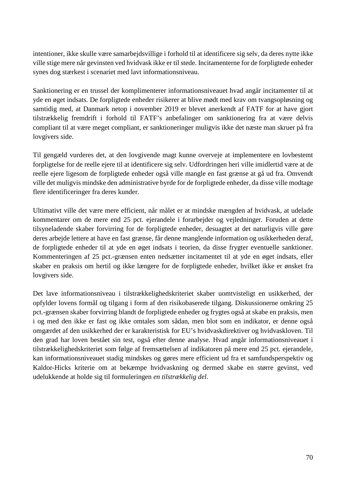intentioner, ikke skulle være samarbejdsvillige i forhold til at identificere sig selv, da deres nytte ikke ville stige mere når gevinsten ved hvidvask ikke er til stede. Incitamenterne for de forpligtede enheder synes dog stærkest i scenariet med lavt informationsniveau.

Sanktionering er en trussel der komplimenterer informationsniveauet hvad angår incitamenter til at yde en øget indsats. De forpligtede enheder risikerer at blive mødt med krav om tvangsopløsning og samtidig med, at Danmark netop i november 2019 er blevet anerkendt af FATF for at have gjort tilstrækkelig fremdrift i forhold til FATF's anbefalinger om sanktionering fra at være delvis compliant til at være meget compliant, er sanktioneringer muligvis ikke det næste man skruer på fra lovgivers side.

Til gengæld vurderes det, at den lovgivende magt kunne overveje at implementere en lovbestemt forpligtelse for de reelle ejere til at identificere sig selv. Udfordringen heri ville imidlertid være at de reelle ejere ligesom de forpligtede enheder også ville mangle en fast grænse at gå ud fra. Omvendt ville det muligvis mindske den administrative byrde for de forpligtede enheder, da disse ville modtage flere identificeringer fra deres kunder.

Ultimativt ville det være mere efficient, når målet er at mindske mængden af hvidvask, at udelade kommentarer om de mere end 25 pct. ejerandele i forarbejder og vejledninger. Foruden at dette tilsyneladende skaber forvirring for de forpligtede enheder, desuagtet at det naturligvis ville gøre deres arbejde lettere at have en fast grænse, får denne manglende information og usikkerheden deraf, de forpligtede enheder til at yde en øget indsats i teorien, da disse frygter eventuelle sanktioner. Kommenteringen af 25 pct.-grænsen enten nedsætter incitamentet til at yde en øget indsats, eller skaber en praksis om hertil og ikke længere for de forpligtede enheder, hvilket ikke er ønsket fra lovgivers side.

Det lave informationsniveau i tilstrækkelighedskriteriet skaber uomtvisteligt en usikkerhed, der opfylder lovens formål og tilgang i form af den risikobaserede tilgang. Diskussionerne omkring 25 pct.-grænsen skaber forvirring blandt de forpligtede enheder og frygtes også at skabe en praksis, men i og med den ikke er fast og ikke omtales som sådan, men blot som en indikator, er denne også omgærdet af den usikkerhed der er karakteristisk for EU's hvidvaskdirektiver og hvidvaskloven. Til den grad har loven bestået sin test, også efter denne analyse. Hvad angår informationsniveauet i tilstrækkelighedskriteriet som følge af fremsættelsen af indikatoren på mere end 25 pct. ejerandele, kan informationsniveauet stadig mindskes og gøres mere efficient ud fra et samfundsperspektiv og Kaldor-Hicks kriterie om at bekæmpe hvidvaskning og dermed skabe en større gevinst, ved udelukkende at holde sig til formuleringen *en tilstrækkelig del*.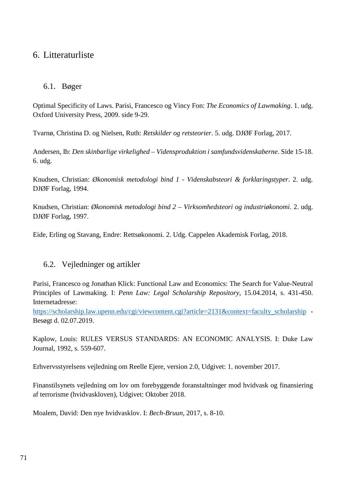# 6. Litteraturliste

## 6.1. Bøger

Optimal Specificity of Laws. Parisi, Francesco og Vincy Fon: *The Economics of Lawmaking*. 1. udg. Oxford University Press, 2009. side 9-29.

Tvarnø, Christina D. og Nielsen, Ruth: *Retskilder og retsteorier*. 5. udg. DJØF Forlag, 2017.

Andersen, Ib: *Den skinbarlige virkelighed – Vidensproduktion i samfundsvidenskaberne.* Side 15-18. 6. udg.

Knudsen, Christian: *Økonomisk metodologi bind 1 - Videnskabsteori & forklaringstyper*. 2. udg. DJØF Forlag, 1994.

Knudsen, Christian: *Økonomisk metodologi bind 2 – Virksomhedsteori og industriøkonomi*. 2. udg. DJØF Forlag, 1997.

Eide, Erling og Stavang, Endre: Rettsøkonomi. 2. Udg. Cappelen Akademisk Forlag, 2018.

## 6.2. Vejledninger og artikler

Parisi, Francesco og Jonathan Klick: Functional Law and Economics: The Search for Value-Neutral Principles of Lawmaking. I: *Penn Law: Legal Scholarship Repository*, 15.04.2014, s. 431-450. Internetadresse:

[https://scholarship.law.upenn.edu/cgi/viewcontent.cgi?article=2131&context=faculty\\_scholarship](https://scholarship.law.upenn.edu/cgi/viewcontent.cgi?article=2131&context=faculty_scholarship) - Besøgt d. 02.07.2019.

Kaplow, Louis: RULES VERSUS STANDARDS: AN ECONOMIC ANALYSIS. I: Duke Law Journal, 1992, s. 559-607.

Erhvervsstyrelsens vejledning om Reelle Ejere, version 2.0, Udgivet: 1. november 2017.

Finanstilsynets vejledning om lov om forebyggende foranstaltninger mod hvidvask og finansiering af terrorisme (hvidvaskloven), Udgivet: Oktober 2018.

Moalem, David: Den nye hvidvasklov. I: *Bech-Bruun*, 2017, s. 8-10.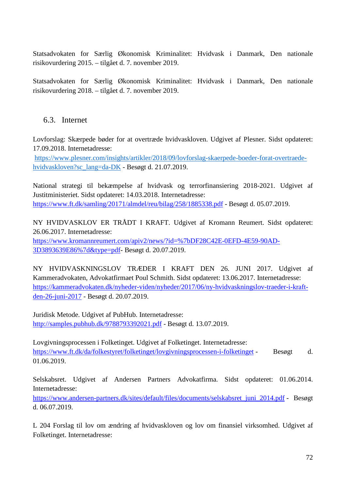Statsadvokaten for Særlig Økonomisk Kriminalitet: Hvidvask i Danmark, Den nationale risikovurdering 2015. – tilgået d. 7. november 2019.

Statsadvokaten for Særlig Økonomisk Kriminalitet: Hvidvask i Danmark, Den nationale risikovurdering 2018. – tilgået d. 7. november 2019.

## 6.3. Internet

Lovforslag: Skærpede bøder for at overtræde hvidvaskloven. Udgivet af Plesner. Sidst opdateret: 17.09.2018. Internetadresse:

[https://www.plesner.com/insights/artikler/2018/09/lovforslag-skaerpede-boeder-forat-overtraede](https://www.plesner.com/insights/artikler/2018/09/lovforslag-skaerpede-boeder-forat-overtraede-hvidvaskloven?sc_lang=da-DK)[hvidvaskloven?sc\\_lang=da-DK](https://www.plesner.com/insights/artikler/2018/09/lovforslag-skaerpede-boeder-forat-overtraede-hvidvaskloven?sc_lang=da-DK) - Besøgt d. 21.07.2019.

National strategi til bekæmpelse af hvidvask og terrorfinansiering 2018-2021. Udgivet af Justitministeriet. Sidst opdateret: 14.03.2018. Internetadresse: https://www.ft.dk/samling/20171/almdel/reu/bilag/258/1885338.pdf - Besøgt d. 05.07.2019.

NY HVIDVASKLOV ER TRÅDT I KRAFT. Udgivet af Kromann Reumert. Sidst opdateret: 26.06.2017. Internetadresse: https://www.kromannreumert.com/apiv2/news/?id=%7bDF28C42E-0EFD-4E59-90AD-

3D3893639E86%7d&type=pdf- Besøgt d. 20.07.2019.

NY HVIDVASKNINGSLOV TRÆDER I KRAFT DEN 26. JUNI 2017. Udgivet af Kammeradvokaten, Advokatfirmaet Poul Schmith. Sidst opdateret: 13.06.2017. Internetadresse: https://kammeradvokaten.dk/nyheder-viden/nyheder/2017/06/ny-hvidvaskningslov-traeder-i-kraftden-26-juni-2017 - Besøgt d. 20.07.2019.

Juridisk Metode. Udgivet af PubHub. Internetadresse: http://samples.pubhub.dk/9788793392021.pdf - Besøgt d. 13.07.2019.

Lovgivningsprocessen i Folketinget. Udgivet af Folketinget. Internetadresse: https://www.ft.dk/da/folkestyret/folketinget/lovgivningsprocessen-i-folketinget - Besøgt d. 01.06.2019.

Selskabsret. Udgivet af Andersen Partners Advokatfirma. Sidst opdateret: 01.06.2014. Internetadresse:

https://www.andersen-partners.dk/sites/default/files/documents/selskabsret\_juni\_2014.pdf - Besøgt d. 06.07.2019.

L 204 Forslag til lov om ændring af hvidvaskloven og lov om finansiel virksomhed. Udgivet af Folketinget. Internetadresse: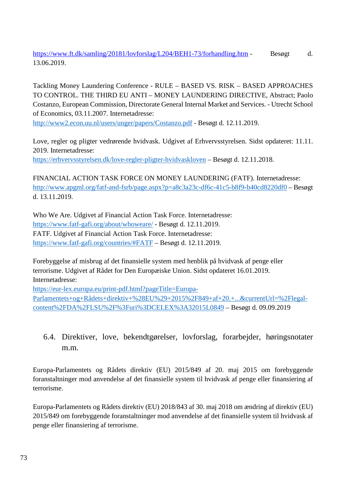https://www.ft.dk/samling/20181/lovforslag/L204/BEH1-73/forhandling.htm - Besøgt d. 13.06.2019.

Tackling Money Laundering Conference - RULE – BASED VS. RISK – BASED APPROACHES TO CONTROL. THE THIRD EU ANTI – MONEY LAUNDERING DIRECTIVE, Abstract; Paolo Costanzo, European Commission, Directorate General Internal Market and Services. - Utrecht School of Economics, 03.11.2007. Internetadresse:

<http://www2.econ.uu.nl/users/unger/papers/Costanzo.pdf> - Besøgt d. 12.11.2019.

Love, regler og pligter vedrørende hvidvask. Udgivet af Erhvervsstyrelsen. Sidst opdateret: 11.11. 2019. Internetadresse:

<https://erhvervsstyrelsen.dk/love-regler-pligter-hvidvaskloven> – Besøgt d. 12.11.2018.

FINANCIAL ACTION TASK FORCE ON MONEY LAUNDERING (FATF). Internetadresse: <http://www.apgml.org/fatf-and-fsrb/page.aspx?p=a8c3a23c-df6c-41c5-b8f9-b40cd8220df0> – Besøgt d. 13.11.2019.

Who We Are. Udgivet af Financial Action Task Force. Internetadresse: <https://www.fatf-gafi.org/about/whoweare/> - Besøgt d. 12.11.2019. FATF. Udgivet af Financial Action Task Force. Internetadresse: <https://www.fatf-gafi.org/countries/#FATF> – Besøgt d. 12.11.2019.

Forebyggelse af misbrug af det finansielle system med henblik på hvidvask af penge eller terrorisme. Udgivet af Rådet for Den Europæiske Union. Sidst opdateret 16.01.2019. Internetadresse:

[https://eur-lex.europa.eu/print-pdf.html?pageTitle=Europa-](https://eur-lex.europa.eu/print-pdf.html?pageTitle=Europa-Parlamentets+og+R%C3%A5dets+direktiv+%28EU%29+2015%2F849+af+20.+...¤tUrl=%2Flegal-content%2FDA%2FLSU%2F%3Furi%3DCELEX%3A32015L0849)[Parlamentets+og+Rådets+direktiv+%28EU%29+2015%2F849+af+20.+...&currentUrl=%2Flegal](https://eur-lex.europa.eu/print-pdf.html?pageTitle=Europa-Parlamentets+og+R%C3%A5dets+direktiv+%28EU%29+2015%2F849+af+20.+...¤tUrl=%2Flegal-content%2FDA%2FLSU%2F%3Furi%3DCELEX%3A32015L0849)[content%2FDA%2FLSU%2F%3Furi%3DCELEX%3A32015L0849](https://eur-lex.europa.eu/print-pdf.html?pageTitle=Europa-Parlamentets+og+R%C3%A5dets+direktiv+%28EU%29+2015%2F849+af+20.+...¤tUrl=%2Flegal-content%2FDA%2FLSU%2F%3Furi%3DCELEX%3A32015L0849) – Besøgt d. 09.09.2019

6.4. Direktiver, love, bekendtgørelser, lovforslag, forarbejder, høringsnotater m.m.

Europa-Parlamentets og Rådets direktiv (EU) 2015/849 af 20. maj 2015 om forebyggende foranstaltninger mod anvendelse af det finansielle system til hvidvask af penge eller finansiering af terrorisme.

Europa-Parlamentets og Rådets direktiv (EU) 2018/843 af 30. maj 2018 om ændring af direktiv (EU) 2015/849 om forebyggende foranstaltninger mod anvendelse af det finansielle system til hvidvask af penge eller finansiering af terrorisme.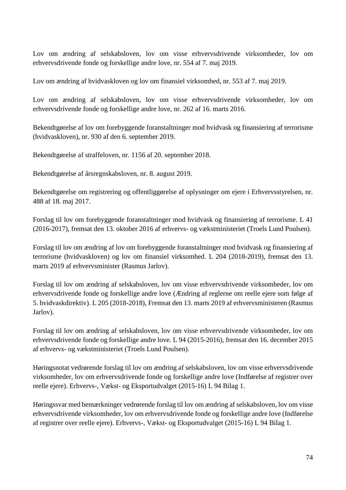Lov om ændring af selskabsloven, lov om visse erhvervsdrivende virksomheder, lov om erhvervsdrivende fonde og forskellige andre love, nr. 554 af 7. maj 2019.

Lov om ændring af hvidvaskloven og lov om finansiel virksomhed, nr. 553 af 7. maj 2019.

Lov om ændring af selskabsloven, lov om visse erhvervsdrivende virksomheder, lov om erhvervsdrivende fonde og forskellige andre love, nr. 262 af 16. marts 2016.

Bekendtgørelse af lov om forebyggende foranstaltninger mod hvidvask og finansiering af terrorisme (hvidvaskloven), nr. 930 af den 6. september 2019.

Bekendtgørelse af straffeloven, nr. 1156 af 20. september 2018.

Bekendtgørelse af årsregnskabsloven, nr. 8. august 2019.

Bekendtgørelse om registrering og offentliggørelse af oplysninger om ejere i Erhvervsstyrelsen, nr. 488 af 18. maj 2017.

Forslag til lov om forebyggende foranstaltninger mod hvidvask og finansiering af terrorisme. L 41 (2016-2017), fremsat den 13. oktober 2016 af erhvervs- og vækstministeriet (Troels Lund Poulsen).

Forslag til lov om ændring af lov om forebyggende foranstaltninger mod hvidvask og finansiering af terrorisme (hvidvaskloven) og lov om finansiel virksomhed. L 204 (2018-2019), fremsat den 13. marts 2019 af erhvervsminister (Rasmus Jarlov).

Forslag til lov om ændring af selskabsloven, lov om visse erhvervsdrivende virksomheder, lov om erhvervsdrivende fonde og forskellige andre love (Ændring af reglerne om reelle ejere som følge af 5. hvidvaskdirektiv). L 205 (2018-2018), Fremsat den 13. marts 2019 af erhvervsministeren (Rasmus Jarlov).

Forslag til lov om ændring af selskabsloven, lov om visse erhvervsdrivende virksomheder, lov om erhvervsdrivende fonde og forskellige andre love. L 94 (2015-2016), fremsat den 16. december 2015 af erhvervs- og vækstministeriet (Troels Lund Poulsen).

Høringsnotat vedrørende forslag til lov om ændring af selskabsloven, lov om visse erhvervsdrivende virksomheder, lov om erhvervsdrivende fonde og forskellige andre love (Indførelse af registrer over reelle ejere). Erhvervs-, Vækst- og Eksportudvalget (2015-16) L 94 Bilag 1.

Høringssvar med bemærkninger vedrørende forslag til lov om ændring af selskabsloven, lov om visse erhvervsdrivende virksomheder, lov om erhvervsdrivende fonde og forskellige andre love (Indførelse af registrer over reelle ejere). Erhvervs-, Vækst- og Eksportudvalget (2015-16) L 94 Bilag 1.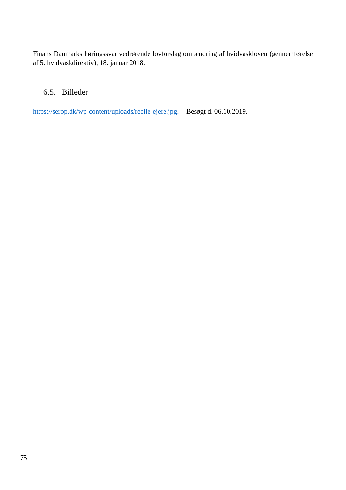Finans Danmarks høringssvar vedrørende lovforslag om ændring af hvidvaskloven (gennemførelse af 5. hvidvaskdirektiv), 18. januar 2018.

## 6.5. Billeder

[https://serop.dk/wp-content/uploads/reelle-ejere.jpg.](https://serop.dk/wp-content/uploads/reelle-ejere.jpg) - Besøgt d. 06.10.2019.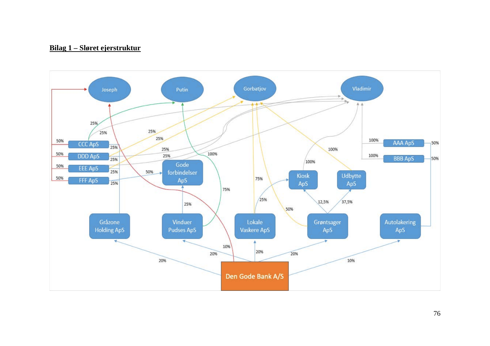## <u>Bilag 1 – Sløret ejerstruktur</u>